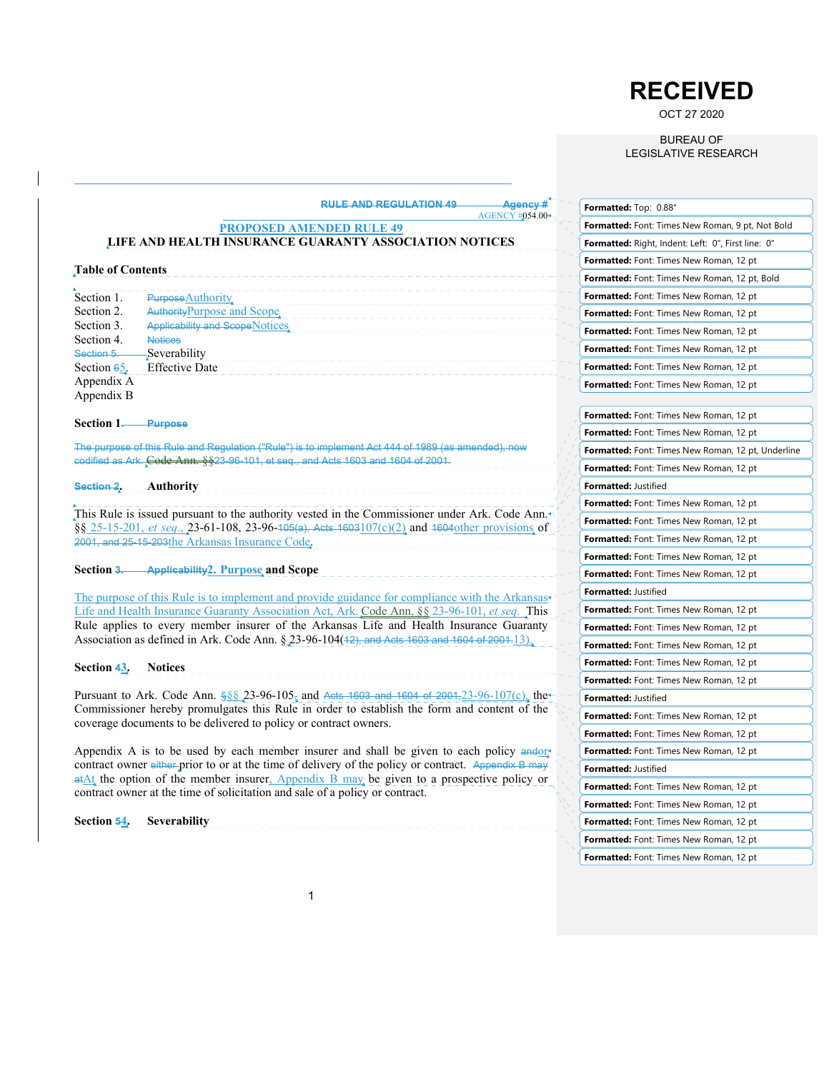# **RECEIVED**

OCT 27 2020

BUREAU OF LEGISLATIVE RESEARCH

| <b>RULE AND REGULATION 49-</b><br>Agency#<br><b>AGENCY #054.00</b>                                                                                                                     | Formatted: Top: 0.88"                              |
|----------------------------------------------------------------------------------------------------------------------------------------------------------------------------------------|----------------------------------------------------|
| <b>PROPOSED AMENDED RULE 49</b>                                                                                                                                                        | Formatted: Font: Times New Roman, 9 pt, Not Bold   |
| LIFE AND HEALTH INSURANCE GUARANTY ASSOCIATION NOTICES                                                                                                                                 | Formatted: Right, Indent: Left: 0", First line: 0" |
|                                                                                                                                                                                        | <b>Formatted:</b> Font: Times New Roman, 12 pt     |
| <b>Table of Contents</b>                                                                                                                                                               | Formatted: Font: Times New Roman, 12 pt, Bold      |
| Section 1.<br>Purpose Authority.                                                                                                                                                       | Formatted: Font: Times New Roman, 12 pt            |
| Section 2.<br>Authority Purpose and Scope.                                                                                                                                             | <b>Formatted:</b> Font: Times New Roman, 12 pt     |
| Section 3.<br><b>Applicability and Scope Notices</b>                                                                                                                                   | <b>Formatted:</b> Font: Times New Roman, 12 pt     |
| Section 4.<br><b>Notices</b><br>Section 5.<br>Severability                                                                                                                             | Formatted: Font: Times New Roman, 12 pt            |
| <b>Effective Date</b><br>Section $65$ .                                                                                                                                                | Formatted: Font: Times New Roman, 12 pt            |
| Appendix A                                                                                                                                                                             | Formatted: Font: Times New Roman, 12 pt            |
| Appendix B                                                                                                                                                                             |                                                    |
| Section 1.<br><b>Purpose</b>                                                                                                                                                           | Formatted: Font: Times New Roman, 12 pt            |
|                                                                                                                                                                                        | Formatted: Font: Times New Roman, 12 pt            |
| The purpose of this Rule and Regulation ("Rule") is to implement Act 444 of 1989 (as amended), now<br>codified as Ark. Code Ann. §§23-96-101, et seq., and Acts 1603 and 1604 of 2001. | Formatted: Font: Times New Roman, 12 pt, Underline |
|                                                                                                                                                                                        | Formatted: Font: Times New Roman, 12 pt            |
| Section 2.<br><b>Authority</b>                                                                                                                                                         | <b>Formatted: Justified</b>                        |
| This Rule is issued pursuant to the authority vested in the Commissioner under Ark. Code Ann. $\mathcal{L}$                                                                            | Formatted: Font: Times New Roman, 12 pt            |
| $\S_8$ 25-15-201, <i>et seq.</i> , 23-61-108, 23-96-105(a), Acts 1603107(c)(2) and 1604 other provisions of                                                                            | Formatted: Font: Times New Roman, 12 pt            |
| 2001, and 25-15-203the Arkansas Insurance Code.                                                                                                                                        | Formatted: Font: Times New Roman, 12 pt            |
|                                                                                                                                                                                        | Formatted: Font: Times New Roman, 12 pt            |
| Section 3.<br><b>Applicability2. Purpose and Scope</b>                                                                                                                                 | Formatted: Font: Times New Roman, 12 pt            |
| The purpose of this Rule is to implement and provide guidance for compliance with the Arkansas                                                                                         | Formatted: Justified                               |
| Life and Health Insurance Guaranty Association Act, Ark. Code Ann. §§ 23-96-101, et seq. This                                                                                          | <b>Formatted:</b> Font: Times New Roman, 12 pt     |
| Rule applies to every member insurer of the Arkansas Life and Health Insurance Guaranty                                                                                                | Formatted: Font: Times New Roman, 12 pt            |
| Association as defined in Ark. Code Ann. $\S$ 23-96-104(42), and Acts 1603 and 1604 of 2004.13).                                                                                       | Formatted: Font: Times New Roman, 12 pt            |
| Section 43.<br><b>Notices</b>                                                                                                                                                          | Formatted: Font: Times New Roman, 12 pt            |
|                                                                                                                                                                                        | Formatted: Font: Times New Roman, 12 pt            |
| Pursuant to Ark. Code Ann. $\S_6 \S 23-96-105$ , and Acts 1603 and 1604 of 2001, 23-96-107(c), the                                                                                     | Formatted: Justified                               |
| Commissioner hereby promulgates this Rule in order to establish the form and content of the<br>coverage documents to be delivered to policy or contract owners.                        | Formatted: Font: Times New Roman, 12 pt            |
|                                                                                                                                                                                        | Formatted: Font: Times New Roman, 12 pt            |
| Appendix A is to be used by each member insurer and shall be given to each policy and on                                                                                               | Formatted: Font: Times New Roman, 12 pt            |
| contract owner either prior to or at the time of delivery of the policy or contract. Appendix B may                                                                                    | Formatted: Justified                               |
| $\frac{atAt}{dt}$ the option of the member insurer, Appendix B may be given to a prospective policy or<br>contract owner at the time of solicitation and sale of a policy or contract. | Formatted: Font: Times New Roman, 12 pt            |
|                                                                                                                                                                                        | Formatted: Font: Times New Roman, 12 pt            |
| <b>Section 54.</b> Severability                                                                                                                                                        | Formatted: Font: Times New Roman, 12 pt            |
|                                                                                                                                                                                        | Formatted: Font: Times New Roman, 12 pt            |
|                                                                                                                                                                                        | Formatted: Font: Times New Roman, 12 pt            |
|                                                                                                                                                                                        |                                                    |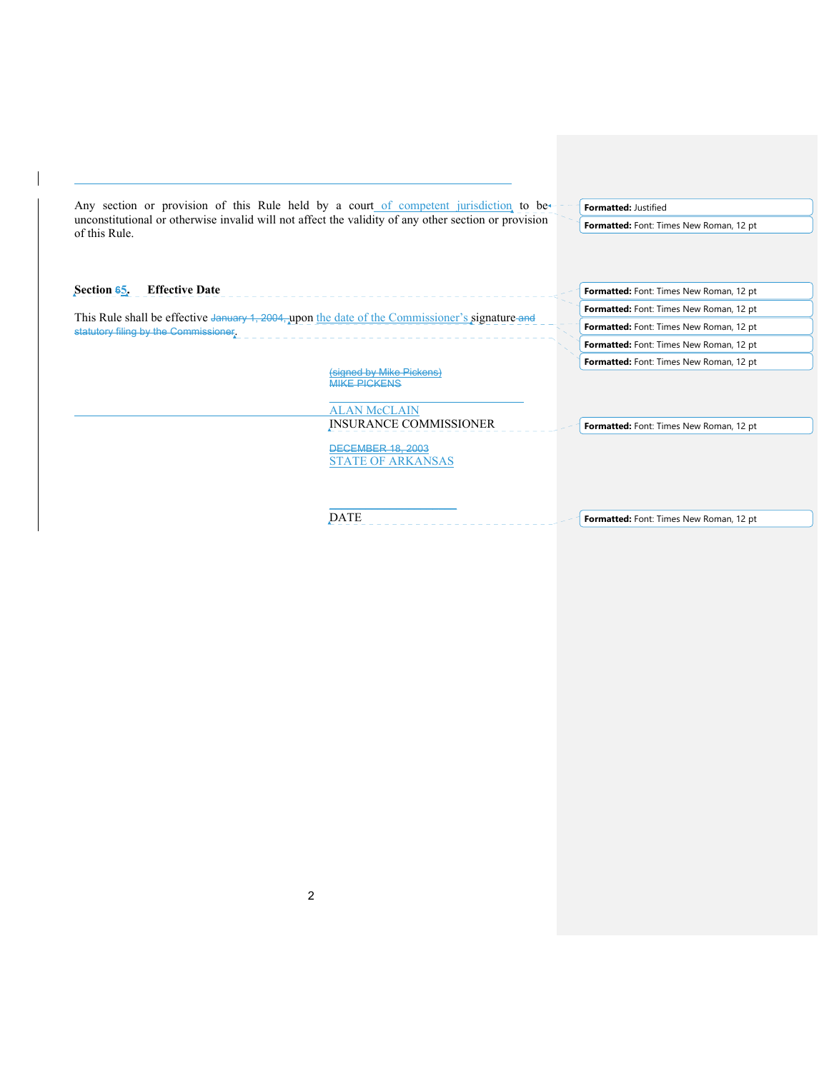| Any section or provision of this Rule held by a court of competent jurisdiction to be                                 |                          |  | Formatted: Justified                    |
|-----------------------------------------------------------------------------------------------------------------------|--------------------------|--|-----------------------------------------|
| unconstitutional or otherwise invalid will not affect the validity of any other section or provision<br>of this Rule. |                          |  | Formatted: Font: Times New Roman, 12 pt |
|                                                                                                                       |                          |  |                                         |
|                                                                                                                       |                          |  |                                         |
| <b>Effective Date</b><br>Section 65.                                                                                  |                          |  | Formatted: Font: Times New Roman, 12 pt |
| This Rule shall be effective January 1, 2004, upon the date of the Commissioner's signature and                       |                          |  | Formatted: Font: Times New Roman, 12 pt |
| statutory filing by the Commissioner.                                                                                 |                          |  | Formatted: Font: Times New Roman, 12 pt |
|                                                                                                                       |                          |  | Formatted: Font: Times New Roman, 12 pt |
|                                                                                                                       | (signed by Mike Pickens) |  | Formatted: Font: Times New Roman, 12 pt |
|                                                                                                                       | <b>MIKE PICKENS</b>      |  |                                         |
|                                                                                                                       | <b>ALAN McCLAIN</b>      |  |                                         |
|                                                                                                                       | INSURANCE COMMISSIONER   |  | Formatted: Font: Times New Roman, 12 pt |
|                                                                                                                       | <b>DECEMBER 18, 2003</b> |  |                                         |
|                                                                                                                       | <b>STATE OF ARKANSAS</b> |  |                                         |
|                                                                                                                       |                          |  |                                         |
|                                                                                                                       |                          |  |                                         |
|                                                                                                                       | <b>DATE</b>              |  | Formatted: Font: Times New Roman, 12 pt |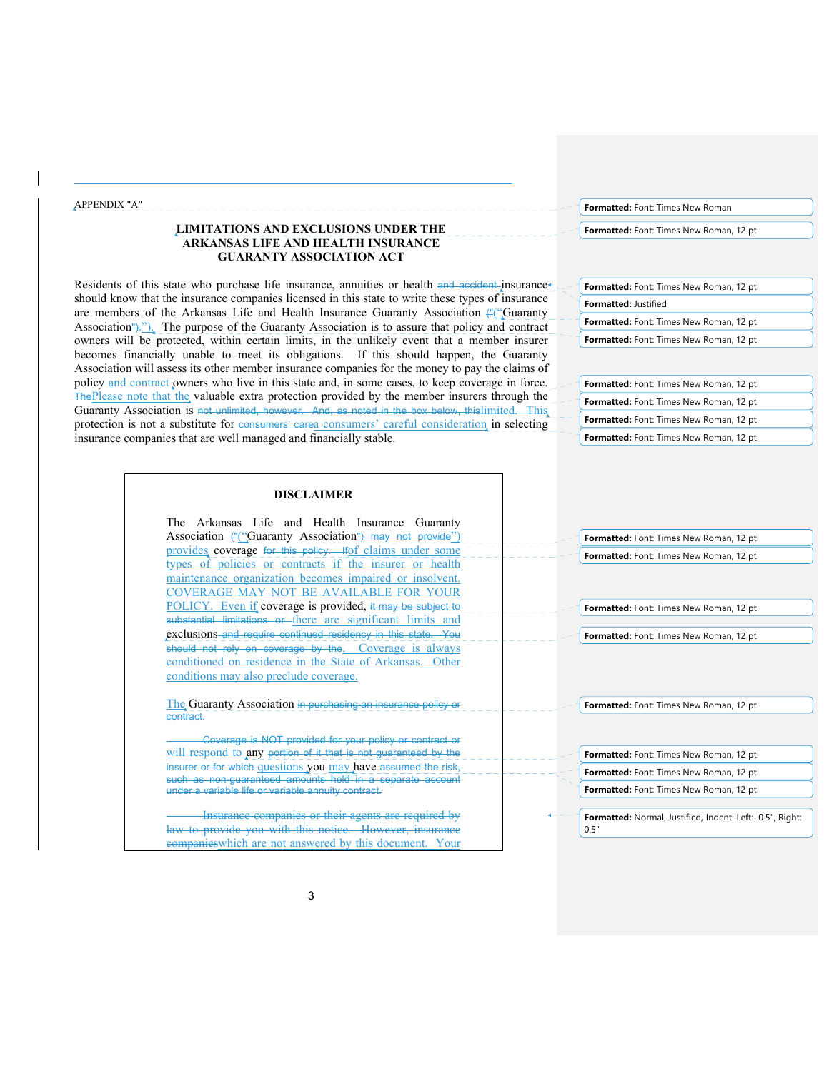#### APPENDIX "A"

# **LIMITATIONS AND EXCLUSIONS UNDER THE ARKANSAS LIFE AND HEALTH INSURANCE GUARANTY ASSOCIATION ACT**

Residents of this state who purchase life insurance, annuities or health and accident insurance should know that the insurance companies licensed in this state to write these types of insurance are members of the Arkansas Life and Health Insurance Guaranty Association ("Cuaranty") Association<sup>"</sup>). The purpose of the Guaranty Association is to assure that policy and contract owners will be protected, within certain limits, in the unlikely event that a member insurer becomes financially unable to meet its obligations. If this should happen, the Guaranty Association will assess its other member insurance companies for the money to pay the claims of policy and contract owners who live in this state and, in some cases, to keep coverage in force. The Please note that the valuable extra protection provided by the member insurers through the Guaranty Association is not unlimited, however. And, as noted in the box below, thislimited. This protection is not a substitute for consumers' carea consumers' careful consideration in selecting insurance companies that are well managed and financially stable.

**Formatted:** Font: Times New Roman

**Formatted:** Font: Times New Roman, 12 pt

| Formatted: Font: Times New Roman, 12 pt        |
|------------------------------------------------|
| <b>Formatted: Justified</b>                    |
| <b>Formatted:</b> Font: Times New Roman, 12 pt |
| <b>Formatted:</b> Font: Times New Roman, 12 pt |

**Formatted:** Font: Times New Roman, 12 pt **Formatted:** Font: Times New Roman, 12 pt **Formatted:** Font: Times New Roman, 12 pt **Formatted:** Font: Times New Roman, 12 pt

|          | The Arkansas Life and Health Insurance Guaranty                                                                                  |  |  |  |
|----------|----------------------------------------------------------------------------------------------------------------------------------|--|--|--|
|          | Association (""Guaranty Association") may not provide")                                                                          |  |  |  |
|          | provides coverage for this policy. Ifof claims under some                                                                        |  |  |  |
|          | types of policies or contracts if the insurer or health                                                                          |  |  |  |
|          | maintenance organization becomes impaired or insolvent.                                                                          |  |  |  |
|          | OVERAGE MAY NOT BE AVAILABLE FOR YOUR                                                                                            |  |  |  |
|          | POLICY. Even if coverage is provided, it may be subject to                                                                       |  |  |  |
|          | substantial limitations or there are significant limits and                                                                      |  |  |  |
|          | exclusions and require continued residency in this state. You                                                                    |  |  |  |
|          | should not rely on coverage by the. Coverage is always                                                                           |  |  |  |
|          | conditioned on residence in the State of Arkansas. Other                                                                         |  |  |  |
|          | conditions may also preclude coverage.                                                                                           |  |  |  |
|          |                                                                                                                                  |  |  |  |
|          | The Guaranty Association in purchasing an insurance policy or                                                                    |  |  |  |
| contract |                                                                                                                                  |  |  |  |
|          |                                                                                                                                  |  |  |  |
|          |                                                                                                                                  |  |  |  |
|          | Coverage is NOT provided for your policy or contract or                                                                          |  |  |  |
|          | will respond to any portion of it that is not guaranteed by the<br>insurer or for which questions you may have assumed the risk, |  |  |  |

Insurance companies or their agents are required by law to provide you with this notice. However, insurance companieswhich are not answered by this document. Your

**Formatted:** Font: Times New Roman, 12 pt **Formatted:** Font: Times New Roman, 12 pt

**Formatted:** Font: Times New Roman, 12 pt

**Formatted:** Font: Times New Roman, 12 pt

**Formatted:** Font: Times New Roman, 12 pt

**Formatted:** Font: Times New Roman, 12 pt **Formatted:** Font: Times New Roman, 12 pt

**Formatted:** Font: Times New Roman, 12 pt

**Formatted:** Normal, Justified, Indent: Left: 0.5", Right: 0.5"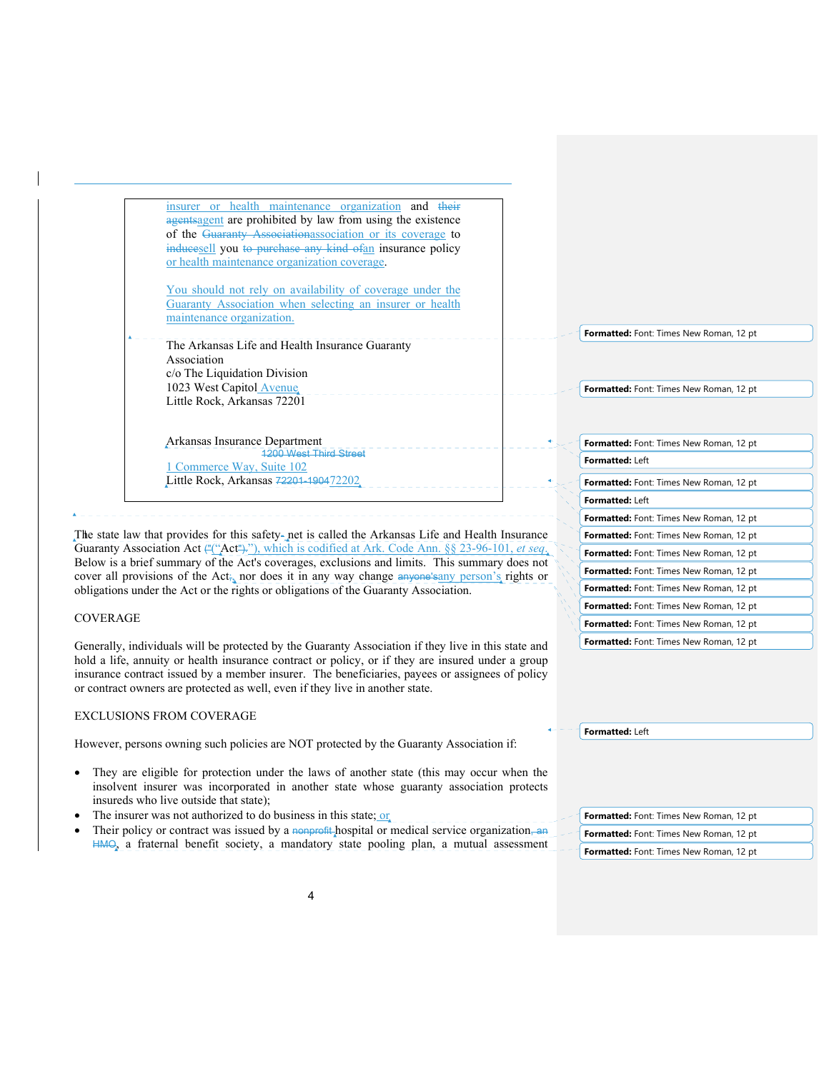| agentsagent are prohibited by law from using the existence |  |
|------------------------------------------------------------|--|
| of the Guaranty Associationassociation or its coverage to  |  |
| inducesell you to purchase any kind of an insurance policy |  |
| or health maintenance organization coverage.               |  |
|                                                            |  |
| You should not rely on availability of coverage under the  |  |
| Guaranty Association when selecting an insurer or health   |  |
| maintenance organization.                                  |  |
|                                                            |  |
| The Arkansas Life and Health Insurance Guaranty            |  |
| Association                                                |  |
| c/o The Liquidation Division                               |  |
| 1023 West Capitol Avenue                                   |  |
| Little Rock, Arkansas 72201                                |  |
|                                                            |  |

insurer or health maintenance organization and their

Arkansas Insurance Department 1200 West Third Street 1 Commerce Way, Suite 102 Little Rock, Arkansas 72201-190472202

The state law that provides for this safety- net is called the Arkansas Life and Health Insurance Guaranty Association Act ("("Act")."), which is codified at Ark. Code Ann. §§ 23-96-101, *et seq*. Below is a brief summary of the Act's coverages, exclusions and limits. This summary does not cover all provisions of the Act<sub>ia</sub> nor does it in any way change anyone's any person's rights or obligations under the Act or the rights or obligations of the Guaranty Association.

### COVERAGE

l

Generally, individuals will be protected by the Guaranty Association if they live in this state and hold a life, annuity or health insurance contract or policy, or if they are insured under a group insurance contract issued by a member insurer. The beneficiaries, payees or assignees of policy or contract owners are protected as well, even if they live in another state.

#### EXCLUSIONS FROM COVERAGE

However, persons owning such policies are NOT protected by the Guaranty Association if:

- They are eligible for protection under the laws of another state (this may occur when the insolvent insurer was incorporated in another state whose guaranty association protects insureds who live outside that state);
- The insurer was not authorized to do business in this state; or
- Their policy or contract was issued by a nonprofit hospital or medical service organization, an HMO, a fraternal benefit society, a mandatory state pooling plan, a mutual assessment

**Formatted:** Font: Times New Roman, 12 pt

**Formatted:** Font: Times New Roman, 12 pt

| <b>Formatted:</b> Font: Times New Roman, 12 pt |
|------------------------------------------------|
| Formatted: Left                                |
| <b>Formatted:</b> Font: Times New Roman, 12 pt |
| Formatted: Left                                |
| Formatted: Font: Times New Roman, 12 pt        |
| <b>Formatted:</b> Font: Times New Roman, 12 pt |
| <b>Formatted:</b> Font: Times New Roman, 12 pt |
| <b>Formatted:</b> Font: Times New Roman, 12 pt |
| <b>Formatted:</b> Font: Times New Roman, 12 pt |
| <b>Formatted:</b> Font: Times New Roman, 12 pt |
| <b>Formatted:</b> Font: Times New Roman, 12 pt |
| <b>Formatted:</b> Font: Times New Roman, 12 pt |

**Formatted:** Left

| <b>Formatted:</b> Font: Times New Roman, 12 pt |
|------------------------------------------------|
| <b>Formatted:</b> Font: Times New Roman, 12 pt |
| Formatted: Font: Times New Roman, 12 pt        |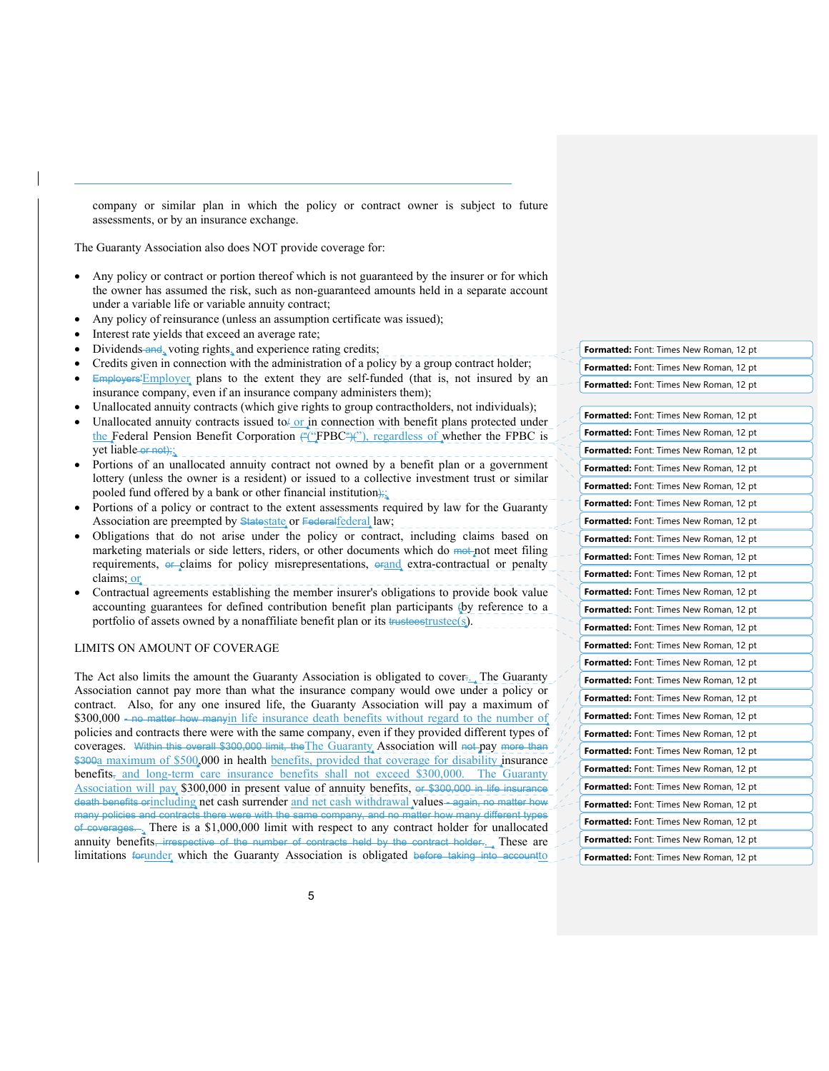company or similar plan in which the policy or contract owner is subject to future assessments, or by an insurance exchange.

The Guaranty Association also does NOT provide coverage for:

- Any policy or contract or portion thereof which is not guaranteed by the insurer or for which the owner has assumed the risk, such as non-guaranteed amounts held in a separate account under a variable life or variable annuity contract;
- Any policy of reinsurance (unless an assumption certificate was issued);
- Interest rate yields that exceed an average rate;

l

- Dividends and, voting rights, and experience rating credits;
- Credits given in connection with the administration of a policy by a group contract holder;
- Employers'Employer plans to the extent they are self-funded (that is, not insured by an insurance company, even if an insurance company administers them);
- Unallocated annuity contracts (which give rights to group contractholders, not individuals);
- Unallocated annuity contracts issued to  $\sigma$  in connection with benefit plans protected under the Federal Pension Benefit Corporation  $\frac{\mu(\cdot)\text{FPBC}(\cdot)}{\mu(\cdot)}$ , regardless of whether the FPBC is yet  $\bar{\text{liable-or-not}}$ ;
- Portions of an unallocated annuity contract not owned by a benefit plan or a government lottery (unless the owner is a resident) or issued to a collective investment trust or similar pooled fund offered by a bank or other financial institution);
- Portions of a policy or contract to the extent assessments required by law for the Guaranty Association are preempted by Statestate or Federal federal law;
- Obligations that do not arise under the policy or contract, including claims based on marketing materials or side letters, riders, or other documents which do mot not meet filing requirements, or claims for policy misrepresentations, orand extra-contractual or penalty claims; or
- Contractual agreements establishing the member insurer's obligations to provide book value accounting guarantees for defined contribution benefit plan participants (by reference to a portfolio of assets owned by a nonaffiliate benefit plan or its trusteestrustee(s).

# LIMITS ON AMOUNT OF COVERAGE

The Act also limits the amount the Guaranty Association is obligated to cover:... The Guaranty Association cannot pay more than what the insurance company would owe under a policy or contract. Also, for any one insured life, the Guaranty Association will pay a maximum of \$300,000 - no matter how manyin life insurance death benefits without regard to the number of policies and contracts there were with the same company, even if they provided different types of coverages. Within this overall \$300,000 limit, the The Guaranty Association will not pay more than \$300a maximum of \$500,000 in health benefits, provided that coverage for disability insurance benefits<sub> $\bar{x}$ </sub> and long-term care insurance benefits shall not exceed \$300,000. The Guaranty Association will pay \$300,000 in present value of annuity benefits, or \$300,000 in life insurance death benefits orincluding net cash surrender and net cash withdrawal values-again, no matter how many policies and contract of coverages. . There is a \$1,000,000 limit with respect to any contract holder for unallocated annuity benefits, irrespective of the number of contracts held by the contract holder. These are limitations forunder which the Guaranty Association is obligated before taking into account to

**Formatted:** Font: Times New Roman, 12 pt **Formatted:** Font: Times New Roman, 12 pt **Formatted:** Font: Times New Roman, 12 pt

| Formatted: Font: Times New Roman, 12 pt        |
|------------------------------------------------|
| Formatted: Font: Times New Roman, 12 pt        |
| Formatted: Font: Times New Roman, 12 pt        |
| Formatted: Font: Times New Roman, 12 pt        |
| Formatted: Font: Times New Roman, 12 pt        |
| Formatted: Font: Times New Roman, 12 pt        |
| Formatted: Font: Times New Roman, 12 pt        |
| Formatted: Font: Times New Roman, 12 pt        |
| Formatted: Font: Times New Roman, 12 pt        |
| Formatted: Font: Times New Roman, 12 pt        |
| Formatted: Font: Times New Roman, 12 pt        |
| Formatted: Font: Times New Roman, 12 pt        |
| Formatted: Font: Times New Roman, 12 pt        |
| Formatted: Font: Times New Roman, 12 pt        |
| <b>Formatted:</b> Font: Times New Roman, 12 pt |
| Formatted: Font: Times New Roman, 12 pt        |
| Formatted: Font: Times New Roman, 12 pt        |
| Formatted: Font: Times New Roman, 12 pt        |
| Formatted: Font: Times New Roman, 12 pt        |
| Formatted: Font: Times New Roman, 12 pt        |
| Formatted: Font: Times New Roman, 12 pt        |
| Formatted: Font: Times New Roman, 12 pt        |
| Formatted: Font: Times New Roman, 12 pt        |
| <b>Formatted:</b> Font: Times New Roman, 12 pt |
| Formatted: Font: Times New Roman, 12 pt        |
| Formatted: Font: Times New Roman, 12 pt        |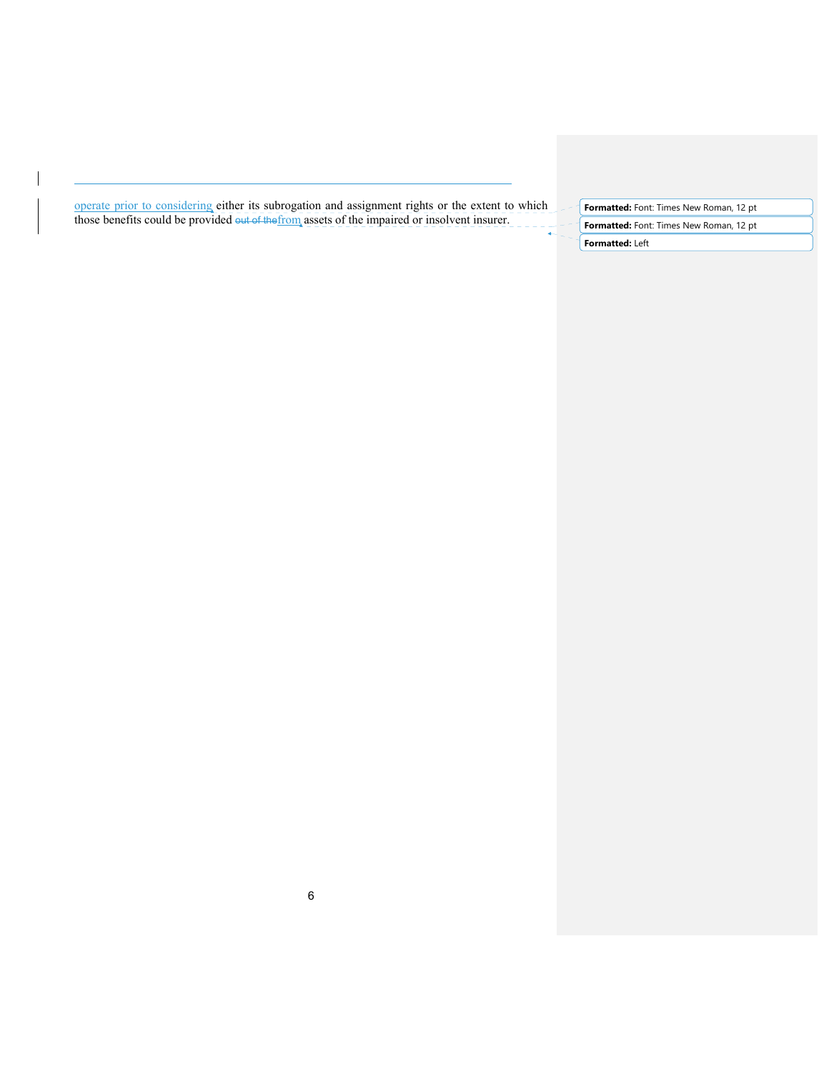operate prior to considering either its subrogation and assignment rights or the extent to which those benefits could be provided out of the from assets of the impaired or insolvent insurer.

l

**Formatted:** Font: Times New Roman, 12 pt **Formatted:** Font: Times New Roman, 12 pt **Formatted:** Left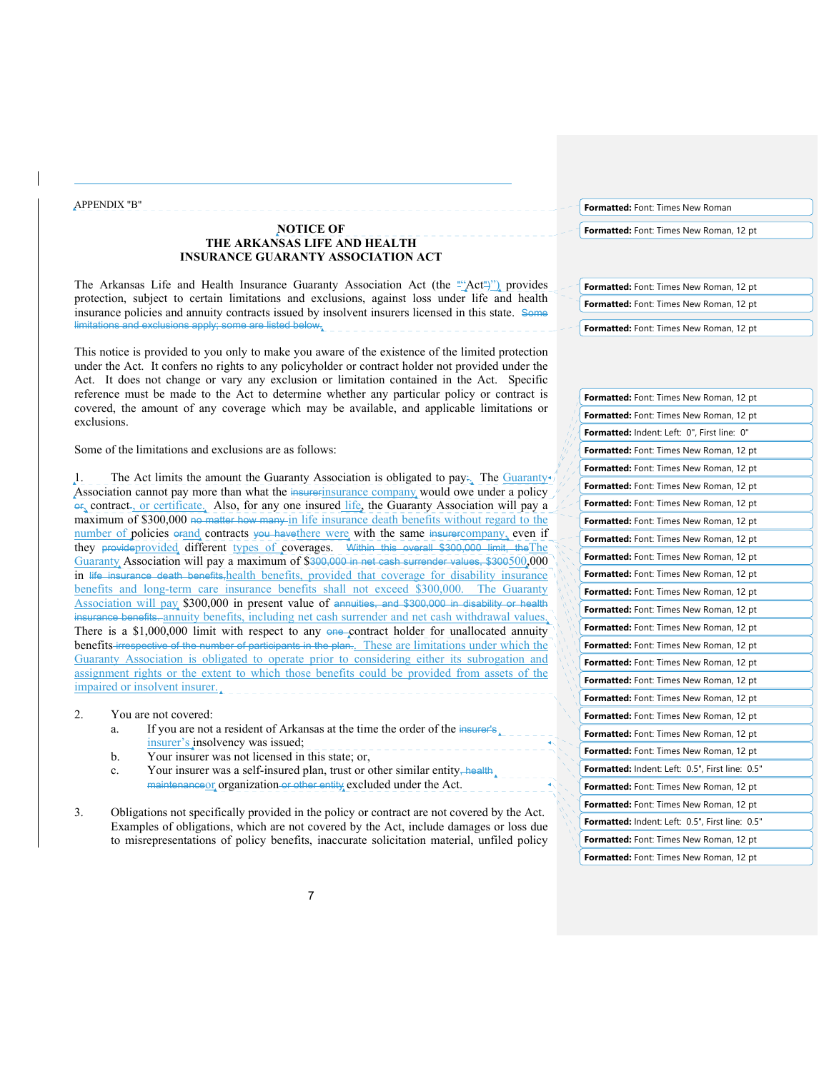APPENDIX "B"

l

# **NOTICE OF THE ARKANSAS LIFE AND HEALTH INSURANCE GUARANTY ASSOCIATION ACT**

The Arkansas Life and Health Insurance Guaranty Association Act (the ""Act")") provides protection, subject to certain limitations and exclusions, against loss under life and health insurance policies and annuity contracts issued by insolvent insurers licensed in this state. Some limitations and exclusions apply; some are listed below.

This notice is provided to you only to make you aware of the existence of the limited protection under the Act. It confers no rights to any policyholder or contract holder not provided under the Act. It does not change or vary any exclusion or limitation contained in the Act. Specific reference must be made to the Act to determine whether any particular policy or contract is covered, the amount of any coverage which may be available, and applicable limitations or exclusions.

Some of the limitations and exclusions are as follows:

1. The Act limits the amount the Guaranty Association is obligated to pay:. The Guaranty Association cannot pay more than what the insurerinsurance company would owe under a policy or, contract., or certificate. Also, for any one insured life, the Guaranty Association will pay a maximum of \$300,000 no matter how many in life insurance death benefits without regard to the number of policies orand contracts you have there were with the same insurercompany, even if they provideprovided different types of coverages. Within this overall \$300,000 limit, the The Guaranty Association will pay a maximum of \$300,000 in net cash surrender values, \$300500,000 in life insurance death benefits, health benefits, provided that coverage for disability insurance benefits and long-term care insurance benefits shall not exceed \$300,000. The Guaranty Association will pay \$300,000 in present value of annuities, and \$300,000 in disability or health insurance benefits. annuity benefits, including net cash surrender and net cash withdrawal values. There is a \$1,000,000 limit with respect to any  $\Theta$  contract holder for unallocated annuity benefits irrespective of the number of participants in the plan.. These are limitations under which the Guaranty Association is obligated to operate prior to considering either its subrogation and assignment rights or the extent to which those benefits could be provided from assets of the impaired or insolvent insurer.

- 2. You are not covered:
	- a. If you are not a resident of Arkansas at the time the order of the insurer's insurer's insolvency was issued;
	- b. Your insurer was not licensed in this state; or,
	- c. Your insurer was a self-insured plan, trust or other similar entity, health maintenanceor organization or other entity excluded under the Act.
- 3. Obligations not specifically provided in the policy or contract are not covered by the Act. Examples of obligations, which are not covered by the Act, include damages or loss due to misrepresentations of policy benefits, inaccurate solicitation material, unfiled policy

**Formatted:** Font: Times New Roman

**Formatted:** Font: Times New Roman, 12 pt

**Formatted:** Font: Times New Roman, 12 pt. **Formatted:** Font: Times New Roman, 12 pt

**Formatted:** Font: Times New Roman, 12 pt

| Formatted: Font: Times New Roman, 12 pt         |
|-------------------------------------------------|
| Formatted: Font: Times New Roman, 12 pt         |
| Formatted: Indent: Left: 0", First line: 0"     |
| Formatted: Font: Times New Roman, 12 pt         |
| Formatted: Font: Times New Roman, 12 pt         |
| Formatted: Font: Times New Roman, 12 pt         |
| Formatted: Font: Times New Roman, 12 pt         |
| Formatted: Font: Times New Roman, 12 pt         |
| Formatted: Font: Times New Roman, 12 pt         |
| Formatted: Font: Times New Roman, 12 pt         |
| Formatted: Font: Times New Roman, 12 pt         |
| <b>Formatted:</b> Font: Times New Roman, 12 pt  |
| Formatted: Font: Times New Roman, 12 pt         |
| Formatted: Font: Times New Roman, 12 pt         |
| Formatted: Font: Times New Roman, 12 pt         |
| Formatted: Font: Times New Roman, 12 pt         |
| Formatted: Font: Times New Roman, 12 pt         |
| Formatted: Font: Times New Roman, 12 pt         |
| Formatted: Font: Times New Roman, 12 pt         |
| Formatted: Font: Times New Roman, 12 pt         |
| <b>Formatted:</b> Font: Times New Roman, 12 pt  |
| Formatted: Indent: Left: 0.5", First line: 0.5" |
| Formatted: Font: Times New Roman, 12 pt         |
| Formatted: Font: Times New Roman, 12 pt         |
| Formatted: Indent: Left: 0.5", First line: 0.5" |
| Formatted: Font: Times New Roman, 12 pt         |
| Formatted: Font: Times New Roman, 12 pt         |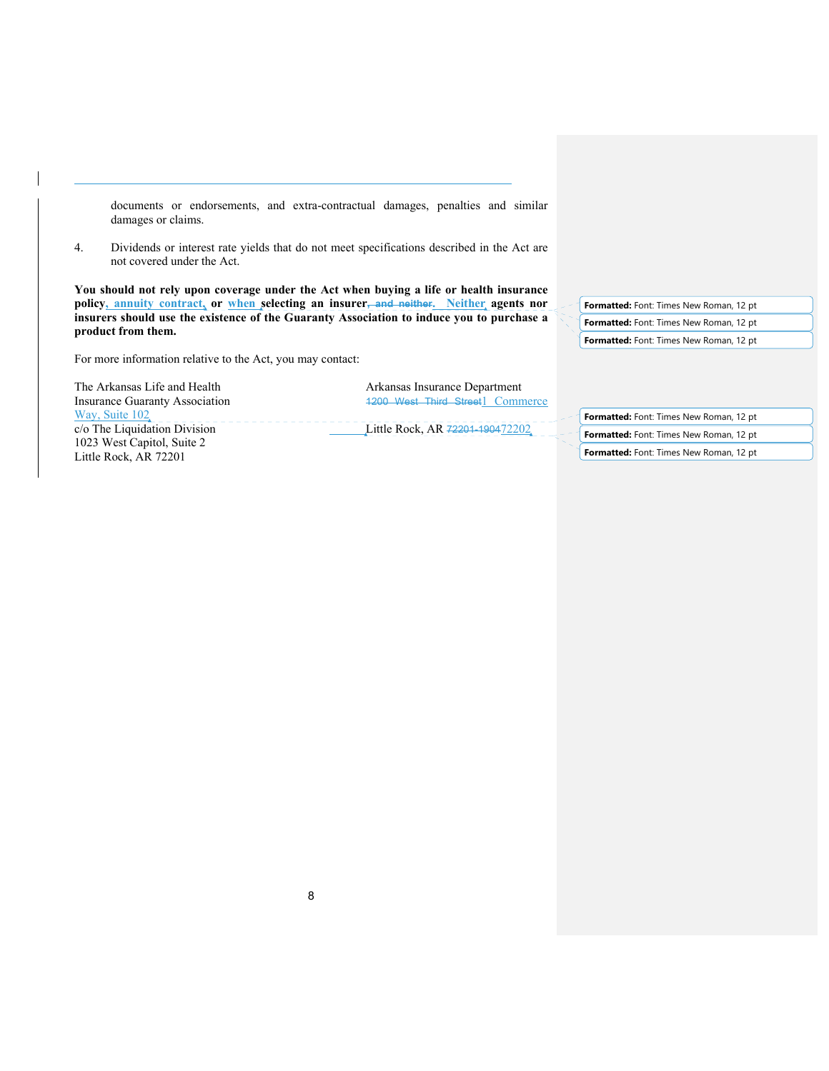documents or endorsements, and extra-contractual damages, penalties and similar damages or claims.

4. Dividends or interest rate yields that do not meet specifications described in the Act are not covered under the Act.

**You should not rely upon coverage under the Act when buying a life or health insurance policy, annuity contract, or when selecting an insurer, and neither. Neither agents nor insurers should use the existence of the Guaranty Association to induce you to purchase a product from them.** 

For more information relative to the Act, you may contact:

Way, Suite 102 1023 West Capitol, Suite 2 Little Rock, AR 72201

l

The Arkansas Life and Health Arkansas Insurance Department<br>
Insurance Guaranty Association 1200 West Third Street 1 Comm 1200 West Third Street1 Commerce

c/o The Liquidation Division Little Rock, AR 72201-190472202

**Formatted:** Font: Times New Roman, 12 pt **Formatted:** Font: Times New Roman, 12 pt **Formatted:** Font: Times New Roman, 12 pt

**Formatted:** Font: Times New Roman, 12 pt

**Formatted:** Font: Times New Roman, 12 pt

**Formatted:** Font: Times New Roman, 12 pt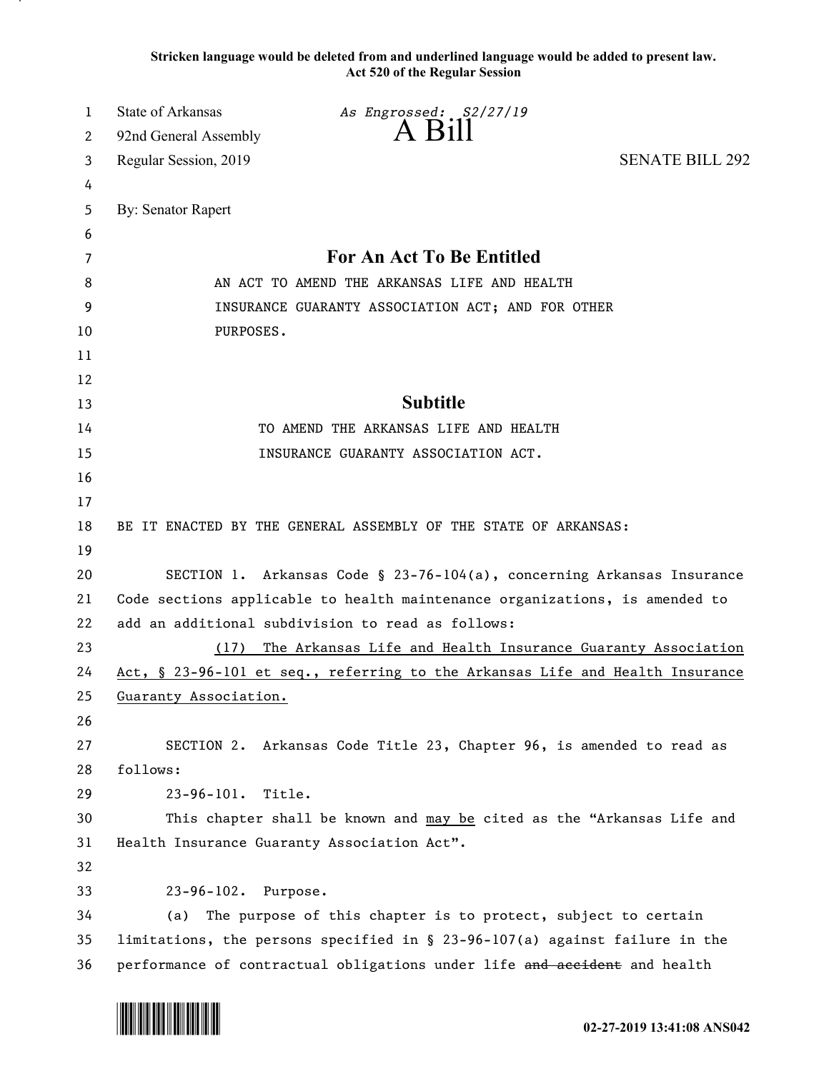**Stricken language would be deleted from and underlined language would be added to present law. Act 520 of the Regular Session**

| 1  | <b>State of Arkansas</b>  | As Engrossed: S2/27/19                                                         |                        |
|----|---------------------------|--------------------------------------------------------------------------------|------------------------|
| 2  | 92nd General Assembly     | $A$ Bill                                                                       |                        |
| 3  | Regular Session, 2019     |                                                                                | <b>SENATE BILL 292</b> |
| 4  |                           |                                                                                |                        |
| 5  | <b>By: Senator Rapert</b> |                                                                                |                        |
| 6  |                           |                                                                                |                        |
| 7  |                           | For An Act To Be Entitled                                                      |                        |
| 8  |                           | AN ACT TO AMEND THE ARKANSAS LIFE AND HEALTH                                   |                        |
| 9  |                           | INSURANCE GUARANTY ASSOCIATION ACT; AND FOR OTHER                              |                        |
| 10 | PURPOSES.                 |                                                                                |                        |
| 11 |                           |                                                                                |                        |
| 12 |                           |                                                                                |                        |
| 13 |                           | <b>Subtitle</b>                                                                |                        |
| 14 |                           | TO AMEND THE ARKANSAS LIFE AND HEALTH                                          |                        |
| 15 |                           | INSURANCE GUARANTY ASSOCIATION ACT.                                            |                        |
| 16 |                           |                                                                                |                        |
| 17 |                           |                                                                                |                        |
| 18 |                           | BE IT ENACTED BY THE GENERAL ASSEMBLY OF THE STATE OF ARKANSAS:                |                        |
| 19 |                           |                                                                                |                        |
| 20 |                           | SECTION 1. Arkansas Code § 23-76-104(a), concerning Arkansas Insurance         |                        |
| 21 |                           | Code sections applicable to health maintenance organizations, is amended to    |                        |
| 22 |                           | add an additional subdivision to read as follows:                              |                        |
| 23 | (17)                      | The Arkansas Life and Health Insurance Guaranty Association                    |                        |
| 24 |                           | Act, § 23-96-101 et seq., referring to the Arkansas Life and Health Insurance  |                        |
| 25 | Guaranty Association.     |                                                                                |                        |
| 26 |                           |                                                                                |                        |
| 27 |                           | SECTION 2. Arkansas Code Title 23, Chapter 96, is amended to read as           |                        |
| 28 | follows:                  |                                                                                |                        |
| 29 | $23 - 96 - 101.$          | Title.                                                                         |                        |
| 30 |                           | This chapter shall be known and may be cited as the "Arkansas Life and         |                        |
| 31 |                           | Health Insurance Guaranty Association Act".                                    |                        |
| 32 |                           |                                                                                |                        |
| 33 | 23-96-102. Purpose.       |                                                                                |                        |
| 34 | (a)                       | The purpose of this chapter is to protect, subject to certain                  |                        |
| 35 |                           | limitations, the persons specified in $\S$ 23-96-107(a) against failure in the |                        |
| 36 |                           | performance of contractual obligations under life and accident and health      |                        |

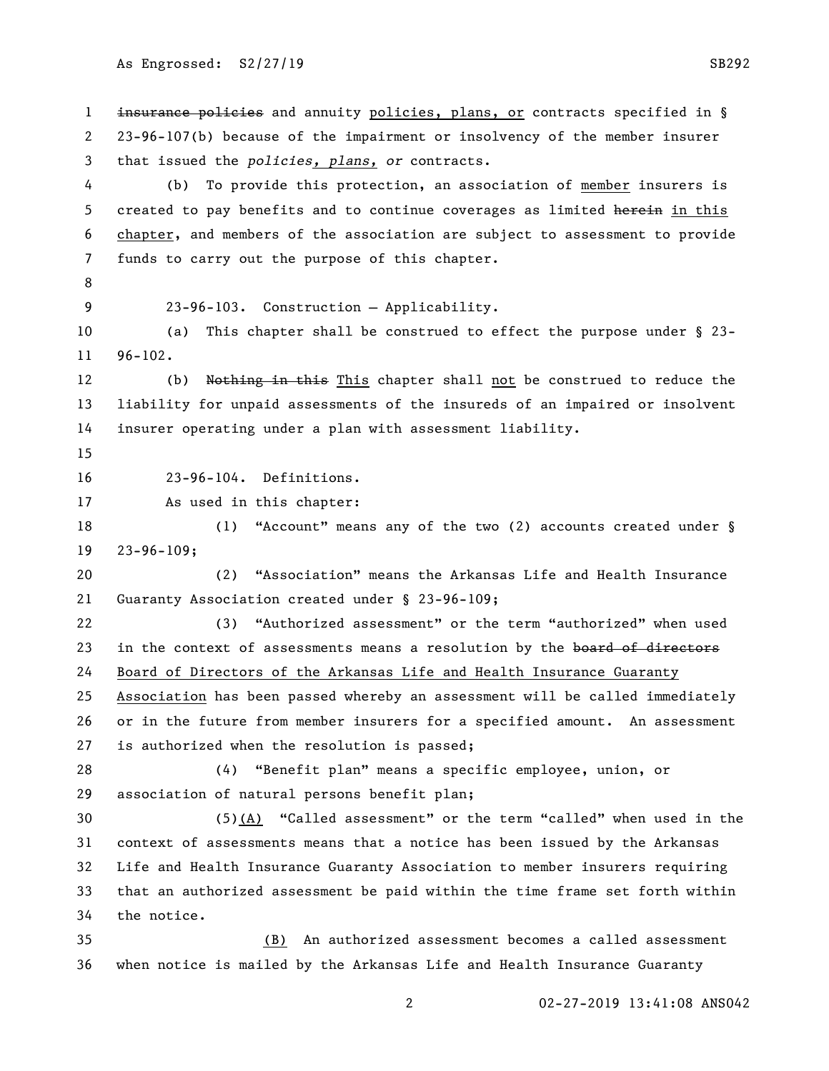As Engrossed: S2/27/19 SB292

1 insurance policies and annuity policies, plans, or contracts specified in § 23-96-107(b) because of the impairment or insolvency of the member insurer that issued the *policies, plans, or* contracts. (b) To provide this protection, an association of member insurers is 5 created to pay benefits and to continue coverages as limited herein in this chapter, and members of the association are subject to assessment to provide funds to carry out the purpose of this chapter. 23-96-103. Construction — Applicability. (a) This chapter shall be construed to effect the purpose under § 23- 96-102. 12 (b) Nothing in this This chapter shall not be construed to reduce the liability for unpaid assessments of the insureds of an impaired or insolvent insurer operating under a plan with assessment liability. 23-96-104. Definitions. As used in this chapter: 18 (1) "Account" means any of the two (2) accounts created under § 23-96-109; (2) "Association" means the Arkansas Life and Health Insurance Guaranty Association created under § 23-96-109; (3) "Authorized assessment" or the term "authorized" when used 23 in the context of assessments means a resolution by the board of directors Board of Directors of the Arkansas Life and Health Insurance Guaranty Association has been passed whereby an assessment will be called immediately or in the future from member insurers for a specified amount. An assessment is authorized when the resolution is passed; (4) "Benefit plan" means a specific employee, union, or association of natural persons benefit plan; (5)(A) "Called assessment" or the term "called" when used in the context of assessments means that a notice has been issued by the Arkansas Life and Health Insurance Guaranty Association to member insurers requiring that an authorized assessment be paid within the time frame set forth within the notice. (B) An authorized assessment becomes a called assessment when notice is mailed by the Arkansas Life and Health Insurance Guaranty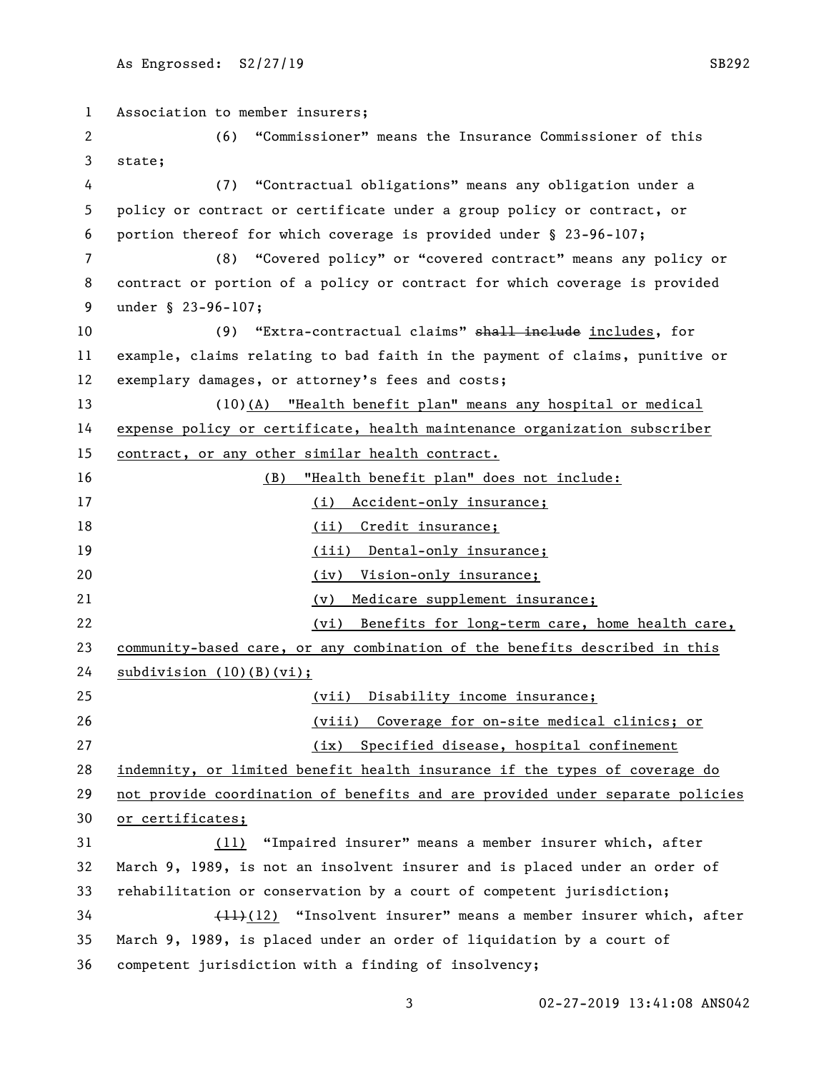Association to member insurers; (6) "Commissioner" means the Insurance Commissioner of this state; (7) "Contractual obligations" means any obligation under a policy or contract or certificate under a group policy or contract, or portion thereof for which coverage is provided under § 23-96-107; (8) "Covered policy" or "covered contract" means any policy or contract or portion of a policy or contract for which coverage is provided under § 23-96-107; 10 (9) "Extra-contractual claims" shall include includes, for example, claims relating to bad faith in the payment of claims, punitive or exemplary damages, or attorney's fees and costs; (10)(A) "Health benefit plan" means any hospital or medical expense policy or certificate, health maintenance organization subscriber contract, or any other similar health contract. (B) "Health benefit plan" does not include: 17 (i) Accident-only insurance; 18 (ii) Credit insurance; 19 (iii) Dental-only insurance; (iv) Vision-only insurance; (v) Medicare supplement insurance; (vi) Benefits for long-term care, home health care, community-based care, or any combination of the benefits described in this subdivision (10)(B)(vi); (vii) Disability income insurance; (viii) Coverage for on-site medical clinics; or (ix) Specified disease, hospital confinement indemnity, or limited benefit health insurance if the types of coverage do not provide coordination of benefits and are provided under separate policies or certificates; (11) "Impaired insurer" means a member insurer which, after March 9, 1989, is not an insolvent insurer and is placed under an order of rehabilitation or conservation by a court of competent jurisdiction; (11)(12) "Insolvent insurer" means a member insurer which, after March 9, 1989, is placed under an order of liquidation by a court of competent jurisdiction with a finding of insolvency;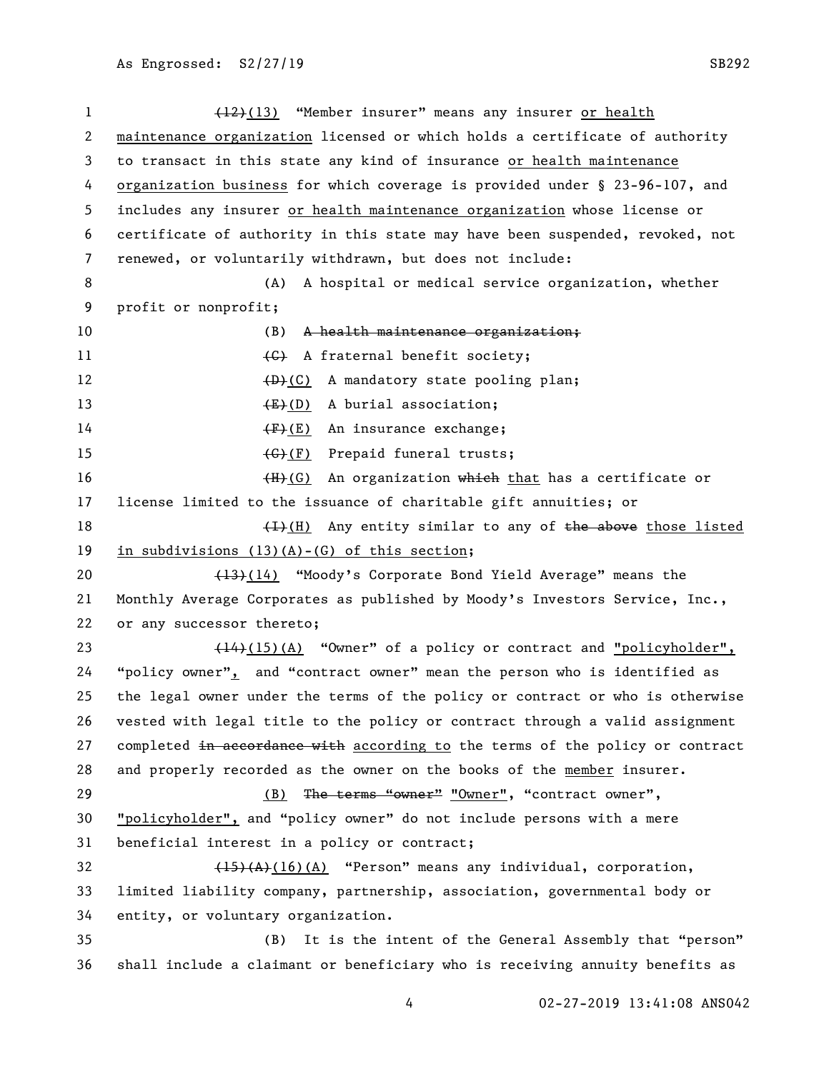1 (12)(13) "Member insurer" means any insurer or health maintenance organization licensed or which holds a certificate of authority to transact in this state any kind of insurance or health maintenance organization business for which coverage is provided under § 23-96-107, and includes any insurer or health maintenance organization whose license or certificate of authority in this state may have been suspended, revoked, not renewed, or voluntarily withdrawn, but does not include: (A) A hospital or medical service organization, whether profit or nonprofit; 10 (B) A health maintenance organization; 11 (G) A fraternal benefit society; 12 (D)(C) A mandatory state pooling plan; 13 (E)(D) A burial association; 14 (F)(E) An insurance exchange; 15 (G)(F) Prepaid funeral trusts; 16 (H)(G) An organization which that has a certificate or license limited to the issuance of charitable gift annuities; or  $(H)(H)$  Any entity similar to any of the above those listed in subdivisions (13)(A)-(G) of this section; 20 (13)(14) "Moody's Corporate Bond Yield Average" means the Monthly Average Corporates as published by Moody's Investors Service, Inc., or any successor thereto; 23 (14)(15)(A) "Owner" of a policy or contract and "policyholder", "policy owner", and "contract owner" mean the person who is identified as the legal owner under the terms of the policy or contract or who is otherwise vested with legal title to the policy or contract through a valid assignment 27 completed in accordance with according to the terms of the policy or contract and properly recorded as the owner on the books of the member insurer. 29 (B) The terms "owner" "Owner", "contract owner", "policyholder", and "policy owner" do not include persons with a mere beneficial interest in a policy or contract;  $\left(15\right)\left(A\right)$  (16)(A) "Person" means any individual, corporation, limited liability company, partnership, association, governmental body or entity, or voluntary organization. (B) It is the intent of the General Assembly that "person" shall include a claimant or beneficiary who is receiving annuity benefits as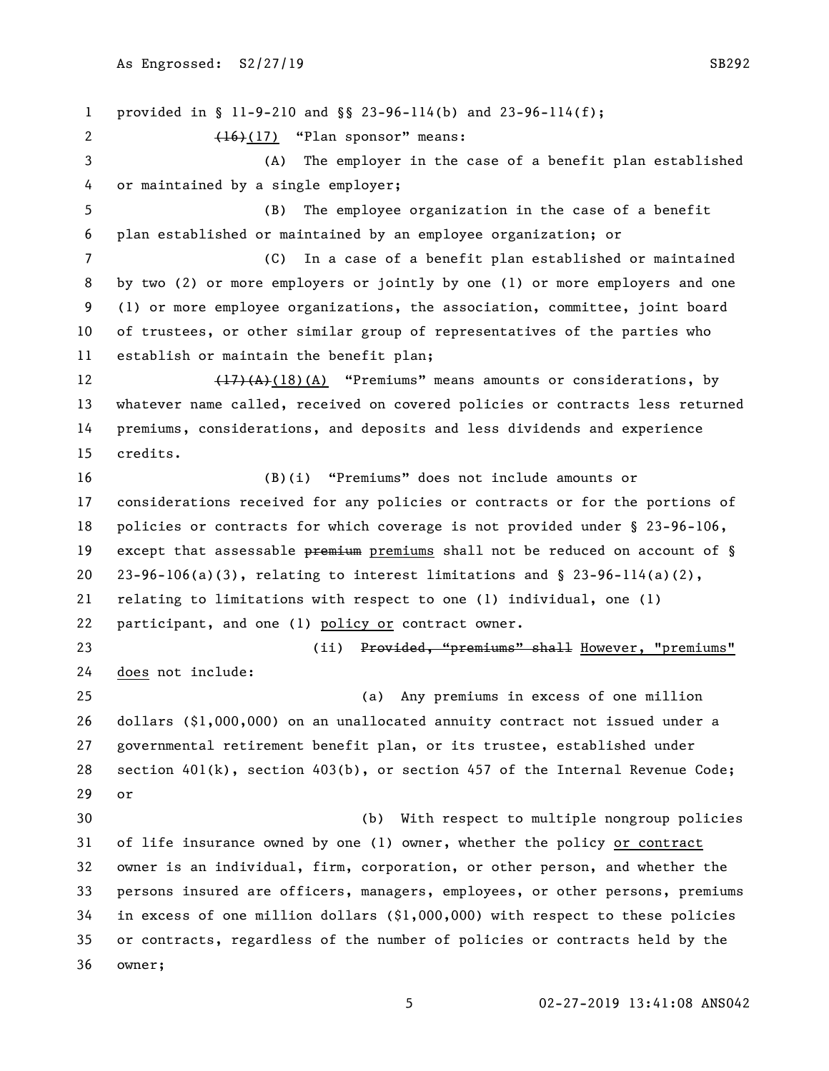provided in § 11-9-210 and §§ 23-96-114(b) and 23-96-114(f); (16)(17) "Plan sponsor" means: (A) The employer in the case of a benefit plan established or maintained by a single employer; (B) The employee organization in the case of a benefit plan established or maintained by an employee organization; or (C) In a case of a benefit plan established or maintained by two (2) or more employers or jointly by one (1) or more employers and one (1) or more employee organizations, the association, committee, joint board of trustees, or other similar group of representatives of the parties who establish or maintain the benefit plan; 12 (17)(A)(18)(A) "Premiums" means amounts or considerations, by whatever name called, received on covered policies or contracts less returned premiums, considerations, and deposits and less dividends and experience credits. (B)(i) "Premiums" does not include amounts or considerations received for any policies or contracts or for the portions of policies or contracts for which coverage is not provided under § 23-96-106, 19 except that assessable premium premiums shall not be reduced on account of § 20 23-96-106(a)(3), relating to interest limitations and  $\S$  23-96-114(a)(2), relating to limitations with respect to one (1) individual, one (1) participant, and one (1) policy or contract owner. (ii) Provided, "premiums" shall However, "premiums" does not include: (a) Any premiums in excess of one million dollars (\$1,000,000) on an unallocated annuity contract not issued under a governmental retirement benefit plan, or its trustee, established under section 401(k), section 403(b), or section 457 of the Internal Revenue Code; or (b) With respect to multiple nongroup policies of life insurance owned by one (1) owner, whether the policy or contract owner is an individual, firm, corporation, or other person, and whether the persons insured are officers, managers, employees, or other persons, premiums in excess of one million dollars (\$1,000,000) with respect to these policies or contracts, regardless of the number of policies or contracts held by the owner;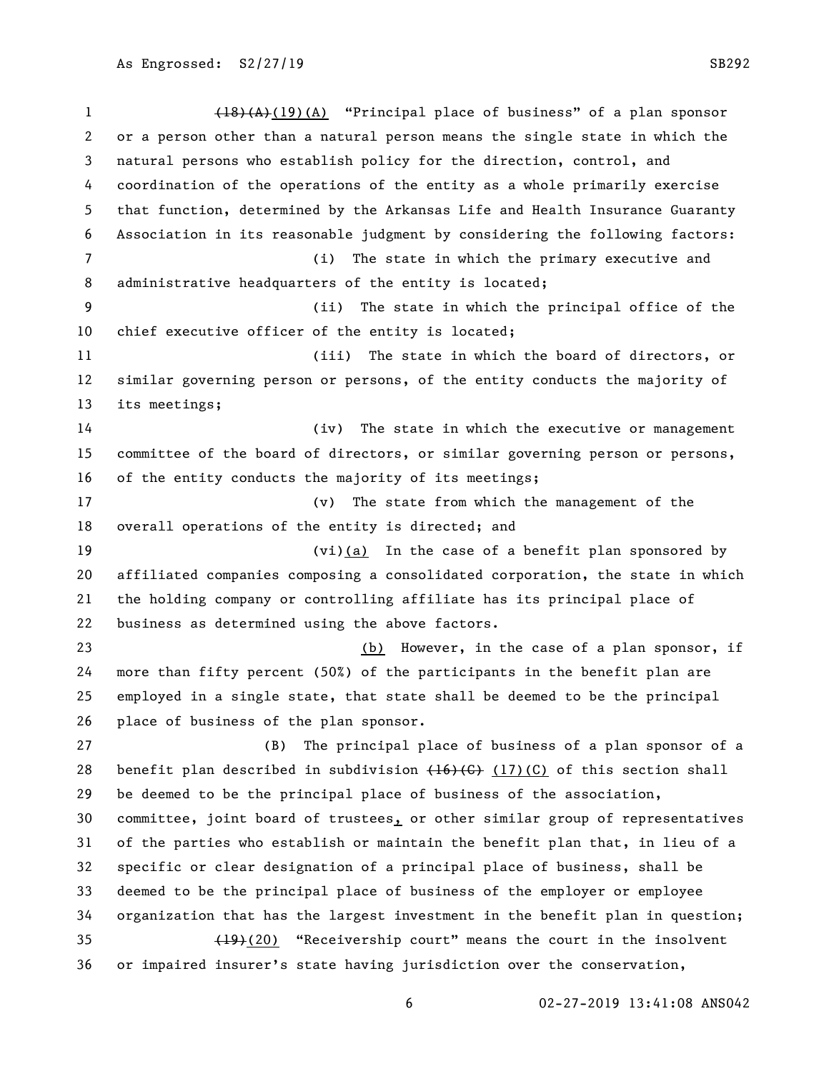1 (18)(A)(19)(A) "Principal place of business" of a plan sponsor or a person other than a natural person means the single state in which the natural persons who establish policy for the direction, control, and coordination of the operations of the entity as a whole primarily exercise that function, determined by the Arkansas Life and Health Insurance Guaranty Association in its reasonable judgment by considering the following factors: (i) The state in which the primary executive and administrative headquarters of the entity is located; (ii) The state in which the principal office of the chief executive officer of the entity is located; (iii) The state in which the board of directors, or similar governing person or persons, of the entity conducts the majority of its meetings; (iv) The state in which the executive or management committee of the board of directors, or similar governing person or persons, of the entity conducts the majority of its meetings; (v) The state from which the management of the overall operations of the entity is directed; and (vi)(a) In the case of a benefit plan sponsored by affiliated companies composing a consolidated corporation, the state in which the holding company or controlling affiliate has its principal place of business as determined using the above factors. (b) However, in the case of a plan sponsor, if more than fifty percent (50%) of the participants in the benefit plan are employed in a single state, that state shall be deemed to be the principal place of business of the plan sponsor. (B) The principal place of business of a plan sponsor of a 28 benefit plan described in subdivision  $(16)(C)$  (17)(C) of this section shall be deemed to be the principal place of business of the association, 30 committee, joint board of trustees, or other similar group of representatives of the parties who establish or maintain the benefit plan that, in lieu of a specific or clear designation of a principal place of business, shall be deemed to be the principal place of business of the employer or employee organization that has the largest investment in the benefit plan in question; (19)(20) "Receivership court" means the court in the insolvent or impaired insurer's state having jurisdiction over the conservation,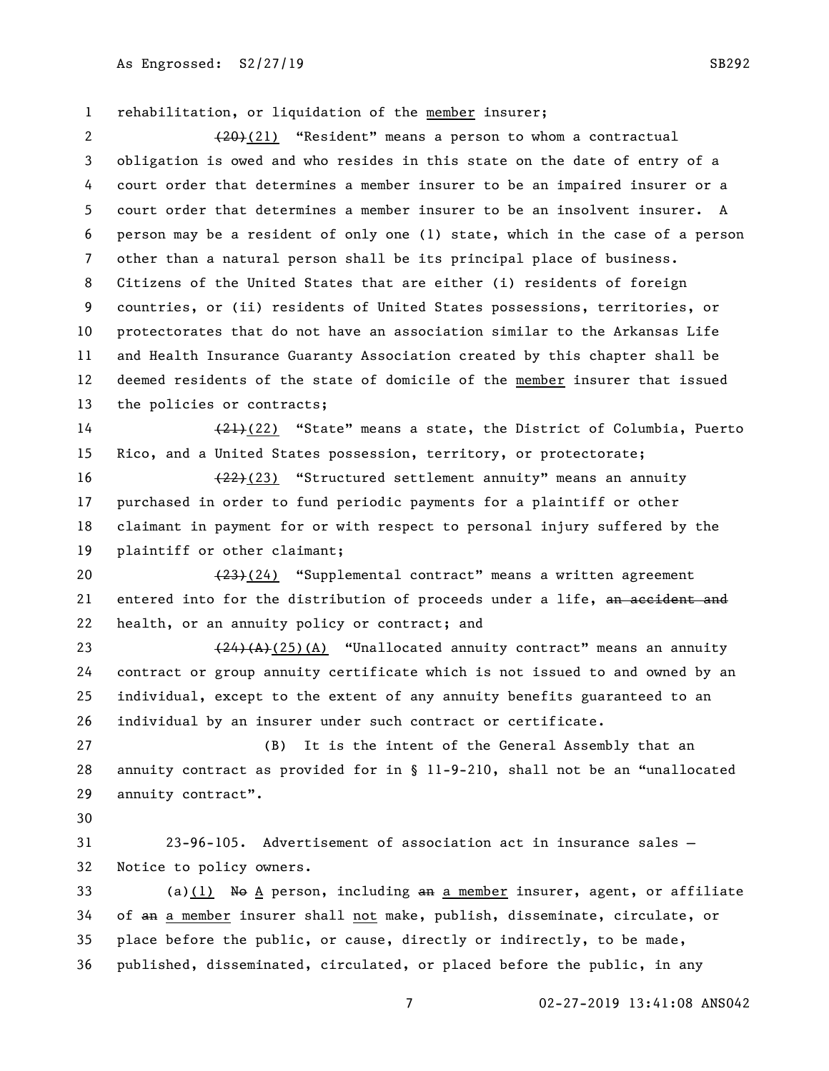rehabilitation, or liquidation of the member insurer; 2 (20)(21) "Resident" means a person to whom a contractual obligation is owed and who resides in this state on the date of entry of a court order that determines a member insurer to be an impaired insurer or a court order that determines a member insurer to be an insolvent insurer. A person may be a resident of only one (1) state, which in the case of a person other than a natural person shall be its principal place of business. Citizens of the United States that are either (i) residents of foreign countries, or (ii) residents of United States possessions, territories, or protectorates that do not have an association similar to the Arkansas Life and Health Insurance Guaranty Association created by this chapter shall be deemed residents of the state of domicile of the member insurer that issued the policies or contracts; 14 (21)(22) "State" means a state, the District of Columbia, Puerto Rico, and a United States possession, territory, or protectorate; (22)(23) "Structured settlement annuity" means an annuity purchased in order to fund periodic payments for a plaintiff or other claimant in payment for or with respect to personal injury suffered by the plaintiff or other claimant; 20 (23)(24) "Supplemental contract" means a written agreement 21 entered into for the distribution of proceeds under a life, an accident and health, or an annuity policy or contract; and

 $(24)(A)(25)(A)$  "Unallocated annuity contract" means an annuity contract or group annuity certificate which is not issued to and owned by an individual, except to the extent of any annuity benefits guaranteed to an individual by an insurer under such contract or certificate.

 (B) It is the intent of the General Assembly that an annuity contract as provided for in § 11-9-210, shall not be an "unallocated annuity contract".

 23-96-105. Advertisement of association act in insurance sales — Notice to policy owners.

33 (a)(1) No A person, including an a member insurer, agent, or affiliate of an a member insurer shall not make, publish, disseminate, circulate, or place before the public, or cause, directly or indirectly, to be made, published, disseminated, circulated, or placed before the public, in any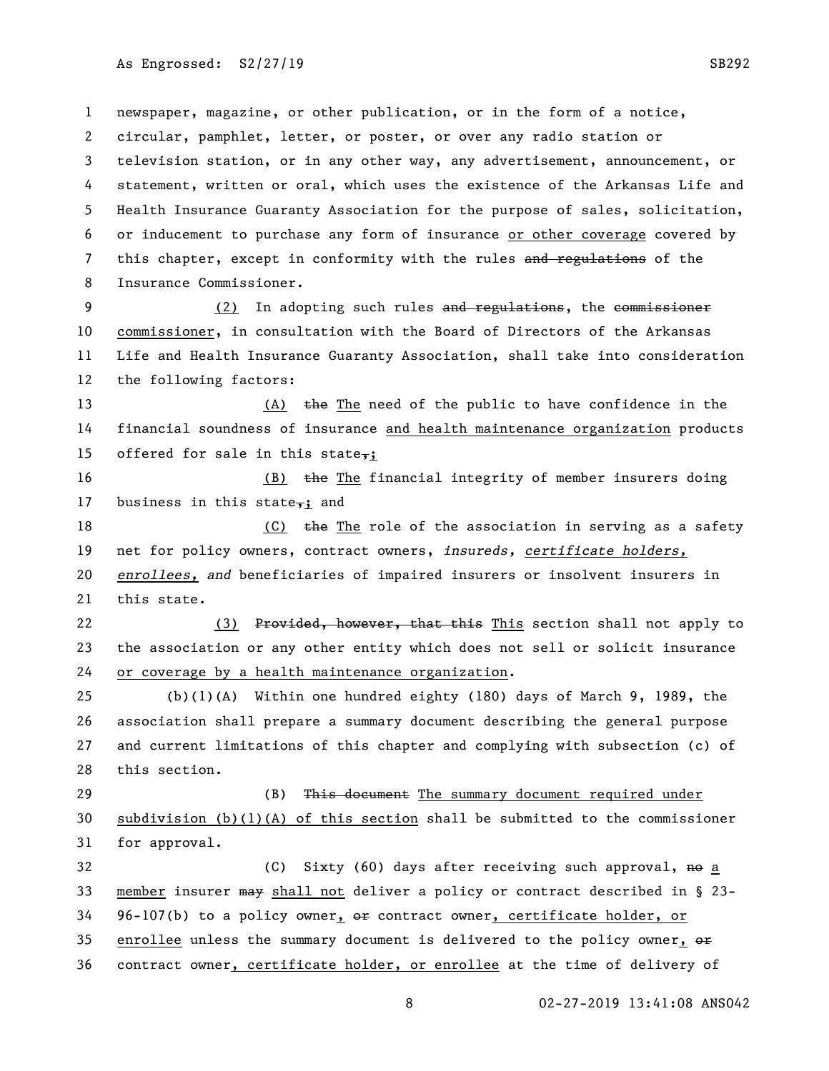newspaper, magazine, or other publication, or in the form of a notice, circular, pamphlet, letter, or poster, or over any radio station or television station, or in any other way, any advertisement, announcement, or statement, written or oral, which uses the existence of the Arkansas Life and Health Insurance Guaranty Association for the purpose of sales, solicitation, or inducement to purchase any form of insurance or other coverage covered by 7 this chapter, except in conformity with the rules and regulations of the Insurance Commissioner.

9 (2) In adopting such rules and regulations, the commissioner commissioner, in consultation with the Board of Directors of the Arkansas Life and Health Insurance Guaranty Association, shall take into consideration the following factors:

13 (A)  $\frac{1}{2}$  (A)  $\frac{1}{2}$  the The need of the public to have confidence in the financial soundness of insurance and health maintenance organization products 15 offered for sale in this state,;

16 (B)  $\frac{1}{2}$  the The financial integrity of member insurers doing 17 business in this state,; and

18 (C) the The role of the association in serving as a safety net for policy owners, contract owners, *insureds, certificate holders, enrollees, and* beneficiaries of impaired insurers or insolvent insurers in this state.

22 (3) Provided, however, that this This section shall not apply to the association or any other entity which does not sell or solicit insurance or coverage by a health maintenance organization.

 (b)(1)(A) Within one hundred eighty (180) days of March 9, 1989, the association shall prepare a summary document describing the general purpose and current limitations of this chapter and complying with subsection (c) of this section.

29 (B) This document The summary document required under subdivision (b)(1)(A) of this section shall be submitted to the commissioner for approval.

32 (C) Sixty (60) days after receiving such approval, no a member insurer may shall not deliver a policy or contract described in § 23- 96-107(b) to a policy owner,  $\theta$  contract owner, certificate holder, or 35 enrollee unless the summary document is delivered to the policy owner,  $\Theta$ contract owner, certificate holder, or enrollee at the time of delivery of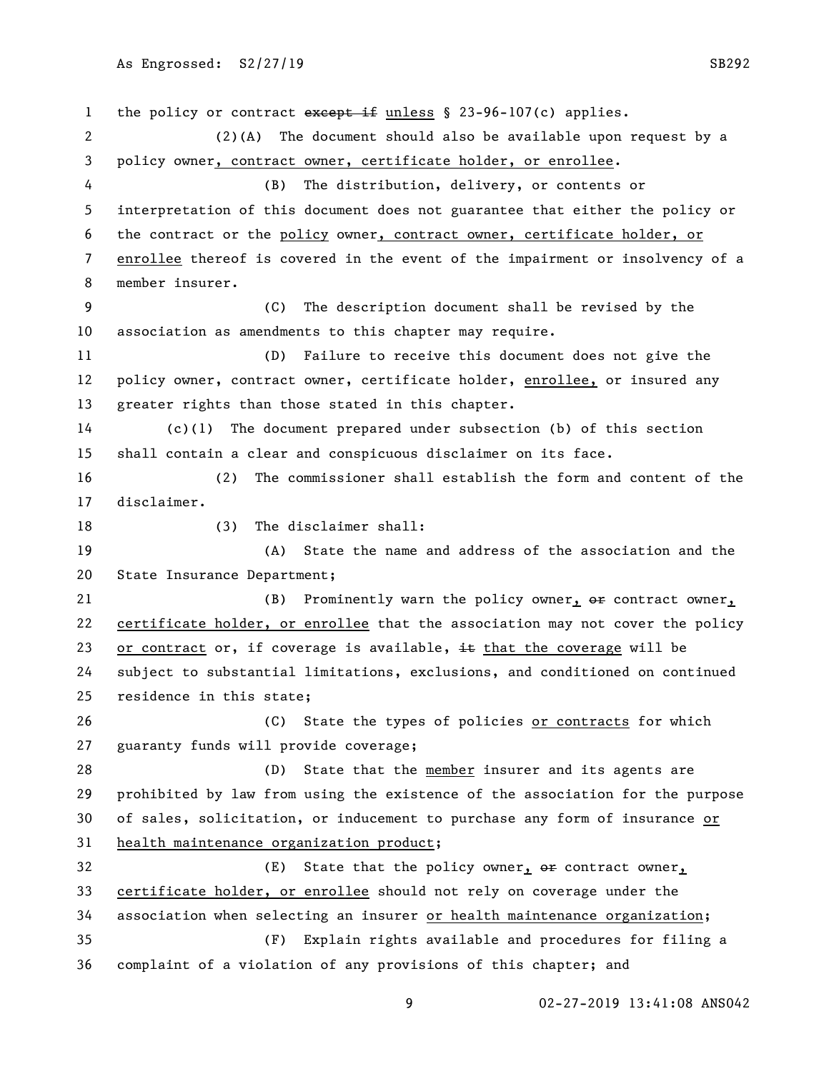1 the policy or contract except if unless § 23-96-107(c) applies. (2)(A) The document should also be available upon request by a policy owner, contract owner, certificate holder, or enrollee. (B) The distribution, delivery, or contents or interpretation of this document does not guarantee that either the policy or the contract or the policy owner, contract owner, certificate holder, or enrollee thereof is covered in the event of the impairment or insolvency of a member insurer. (C) The description document shall be revised by the association as amendments to this chapter may require. (D) Failure to receive this document does not give the policy owner, contract owner, certificate holder, enrollee, or insured any greater rights than those stated in this chapter. (c)(1) The document prepared under subsection (b) of this section shall contain a clear and conspicuous disclaimer on its face. (2) The commissioner shall establish the form and content of the disclaimer. 18 (3) The disclaimer shall: (A) State the name and address of the association and the State Insurance Department; 21 (B) Prominently warn the policy owner,  $\Theta$  are contract owner, certificate holder, or enrollee that the association may not cover the policy 23 or contract or, if coverage is available,  $\pm \epsilon$  that the coverage will be subject to substantial limitations, exclusions, and conditioned on continued residence in this state; (C) State the types of policies or contracts for which guaranty funds will provide coverage; (D) State that the member insurer and its agents are prohibited by law from using the existence of the association for the purpose 30 of sales, solicitation, or inducement to purchase any form of insurance or health maintenance organization product; 32 (E) State that the policy owner,  $\Theta$  are contract owner, certificate holder, or enrollee should not rely on coverage under the association when selecting an insurer or health maintenance organization; (F) Explain rights available and procedures for filing a complaint of a violation of any provisions of this chapter; and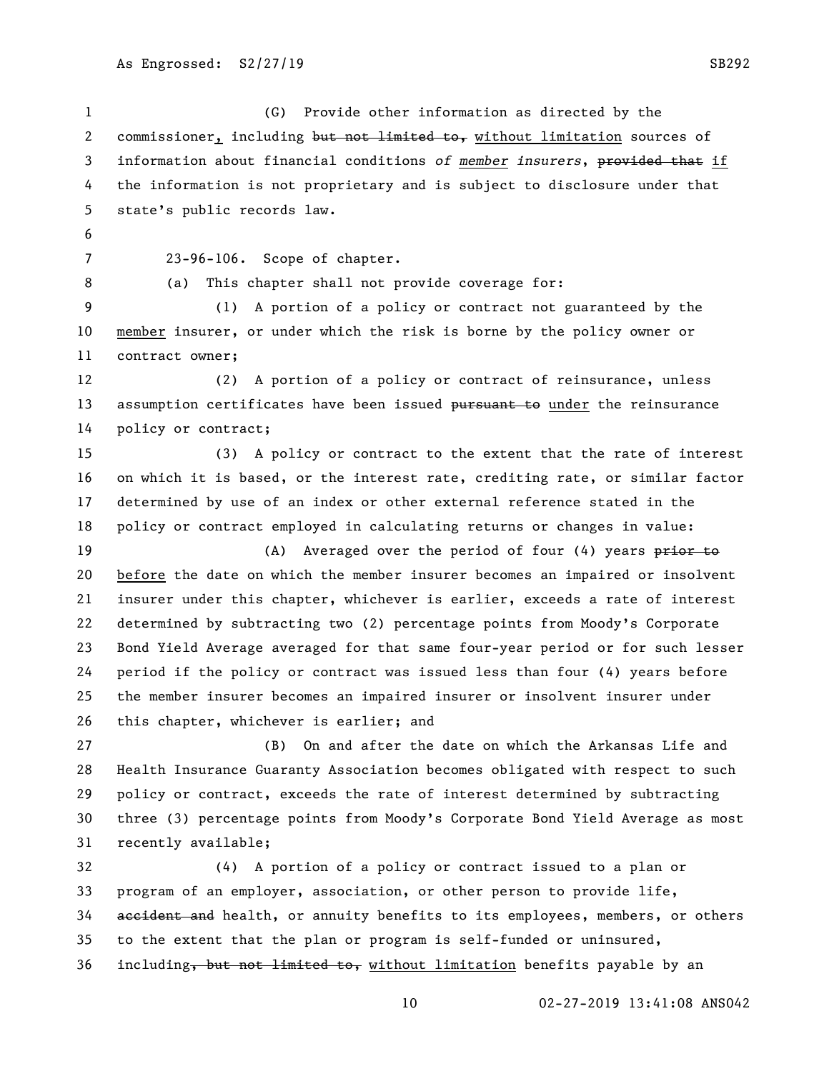(G) Provide other information as directed by the 2 commissioner, including but not limited to, without limitation sources of information about financial conditions *of member insurers*, provided that if the information is not proprietary and is subject to disclosure under that state's public records law. 23-96-106. Scope of chapter. (a) This chapter shall not provide coverage for: (1) A portion of a policy or contract not guaranteed by the member insurer, or under which the risk is borne by the policy owner or contract owner; (2) A portion of a policy or contract of reinsurance, unless 13 assumption certificates have been issued pursuant to under the reinsurance policy or contract; (3) A policy or contract to the extent that the rate of interest on which it is based, or the interest rate, crediting rate, or similar factor determined by use of an index or other external reference stated in the policy or contract employed in calculating returns or changes in value: 19 (A) Averaged over the period of four (4) years prior to 20 before the date on which the member insurer becomes an impaired or insolvent insurer under this chapter, whichever is earlier, exceeds a rate of interest determined by subtracting two (2) percentage points from Moody's Corporate Bond Yield Average averaged for that same four-year period or for such lesser period if the policy or contract was issued less than four (4) years before the member insurer becomes an impaired insurer or insolvent insurer under this chapter, whichever is earlier; and (B) On and after the date on which the Arkansas Life and Health Insurance Guaranty Association becomes obligated with respect to such policy or contract, exceeds the rate of interest determined by subtracting three (3) percentage points from Moody's Corporate Bond Yield Average as most recently available; (4) A portion of a policy or contract issued to a plan or program of an employer, association, or other person to provide life, 34 accident and health, or annuity benefits to its employees, members, or others to the extent that the plan or program is self-funded or uninsured,

36 including, but not limited to, without limitation benefits payable by an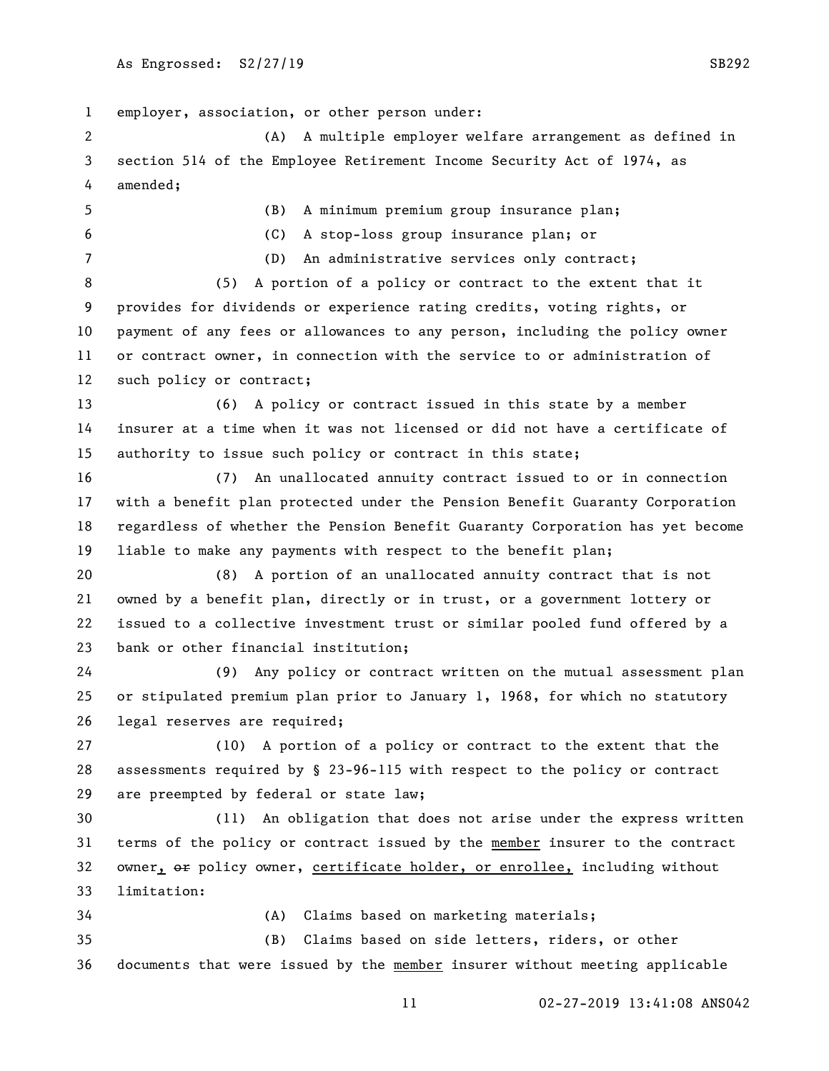employer, association, or other person under: (A) A multiple employer welfare arrangement as defined in section 514 of the Employee Retirement Income Security Act of 1974, as amended; (B) A minimum premium group insurance plan; (C) A stop-loss group insurance plan; or (D) An administrative services only contract; (5) A portion of a policy or contract to the extent that it provides for dividends or experience rating credits, voting rights, or payment of any fees or allowances to any person, including the policy owner or contract owner, in connection with the service to or administration of such policy or contract; (6) A policy or contract issued in this state by a member insurer at a time when it was not licensed or did not have a certificate of authority to issue such policy or contract in this state; (7) An unallocated annuity contract issued to or in connection with a benefit plan protected under the Pension Benefit Guaranty Corporation regardless of whether the Pension Benefit Guaranty Corporation has yet become liable to make any payments with respect to the benefit plan; (8) A portion of an unallocated annuity contract that is not owned by a benefit plan, directly or in trust, or a government lottery or issued to a collective investment trust or similar pooled fund offered by a bank or other financial institution; (9) Any policy or contract written on the mutual assessment plan or stipulated premium plan prior to January 1, 1968, for which no statutory legal reserves are required; (10) A portion of a policy or contract to the extent that the assessments required by § 23-96-115 with respect to the policy or contract are preempted by federal or state law; (11) An obligation that does not arise under the express written terms of the policy or contract issued by the member insurer to the contract 32 owner,  $\Theta$  policy owner, certificate holder, or enrollee, including without limitation: (A) Claims based on marketing materials; (B) Claims based on side letters, riders, or other documents that were issued by the member insurer without meeting applicable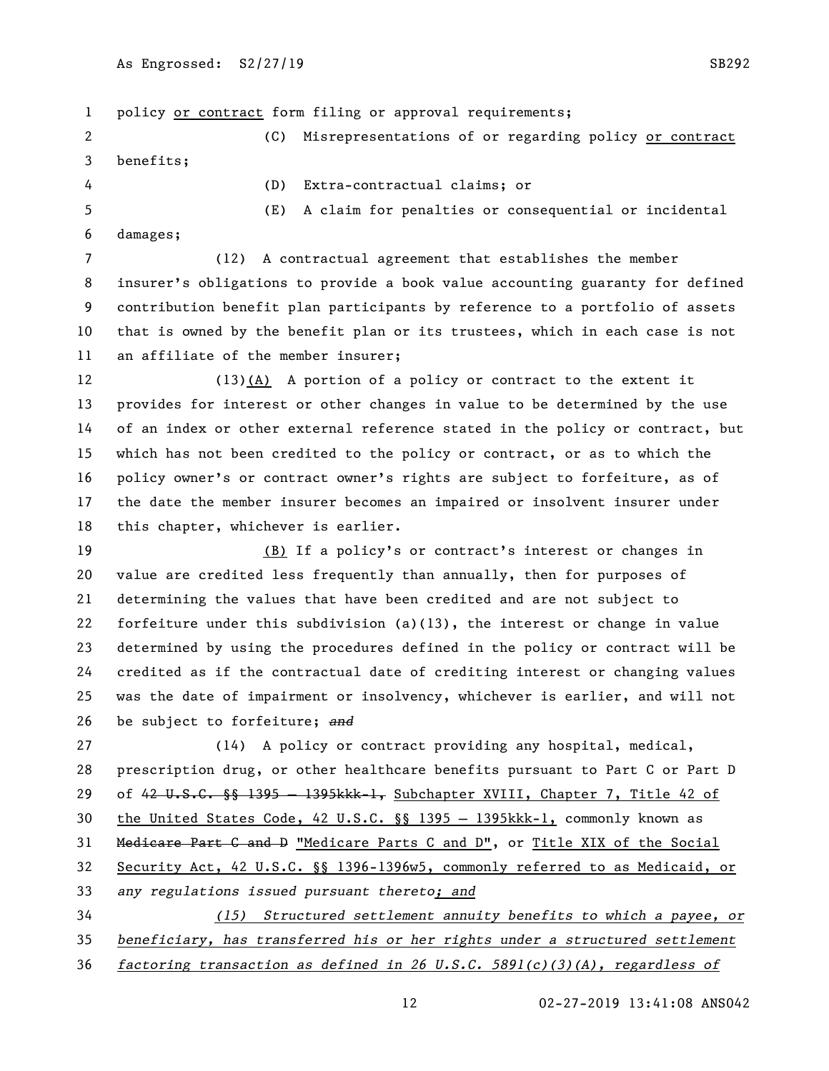policy or contract form filing or approval requirements; (C) Misrepresentations of or regarding policy or contract benefits; (D) Extra-contractual claims; or (E) A claim for penalties or consequential or incidental damages; (12) A contractual agreement that establishes the member insurer's obligations to provide a book value accounting guaranty for defined contribution benefit plan participants by reference to a portfolio of assets that is owned by the benefit plan or its trustees, which in each case is not an affiliate of the member insurer; (13)(A) A portion of a policy or contract to the extent it provides for interest or other changes in value to be determined by the use of an index or other external reference stated in the policy or contract, but which has not been credited to the policy or contract, or as to which the policy owner's or contract owner's rights are subject to forfeiture, as of the date the member insurer becomes an impaired or insolvent insurer under this chapter, whichever is earlier. (B) If a policy's or contract's interest or changes in value are credited less frequently than annually, then for purposes of determining the values that have been credited and are not subject to forfeiture under this subdivision (a)(13), the interest or change in value determined by using the procedures defined in the policy or contract will be credited as if the contractual date of crediting interest or changing values was the date of impairment or insolvency, whichever is earlier, and will not be subject to forfeiture; *and* (14) A policy or contract providing any hospital, medical, prescription drug, or other healthcare benefits pursuant to Part C or Part D 29 of 42 U.S.C. §§ 1395 - 1395kkk-1, Subchapter XVIII, Chapter 7, Title 42 of the United States Code, 42 U.S.C. §§ 1395 — 1395kkk-1, commonly known as Medicare Part C and D "Medicare Parts C and D", or Title XIX of the Social Security Act, 42 U.S.C. §§ 1396-1396w5, commonly referred to as Medicaid, or *any regulations issued pursuant thereto; and (15) Structured settlement annuity benefits to which a payee, or beneficiary, has transferred his or her rights under a structured settlement factoring transaction as defined in 26 U.S.C. 5891(c)(3)(A), regardless of*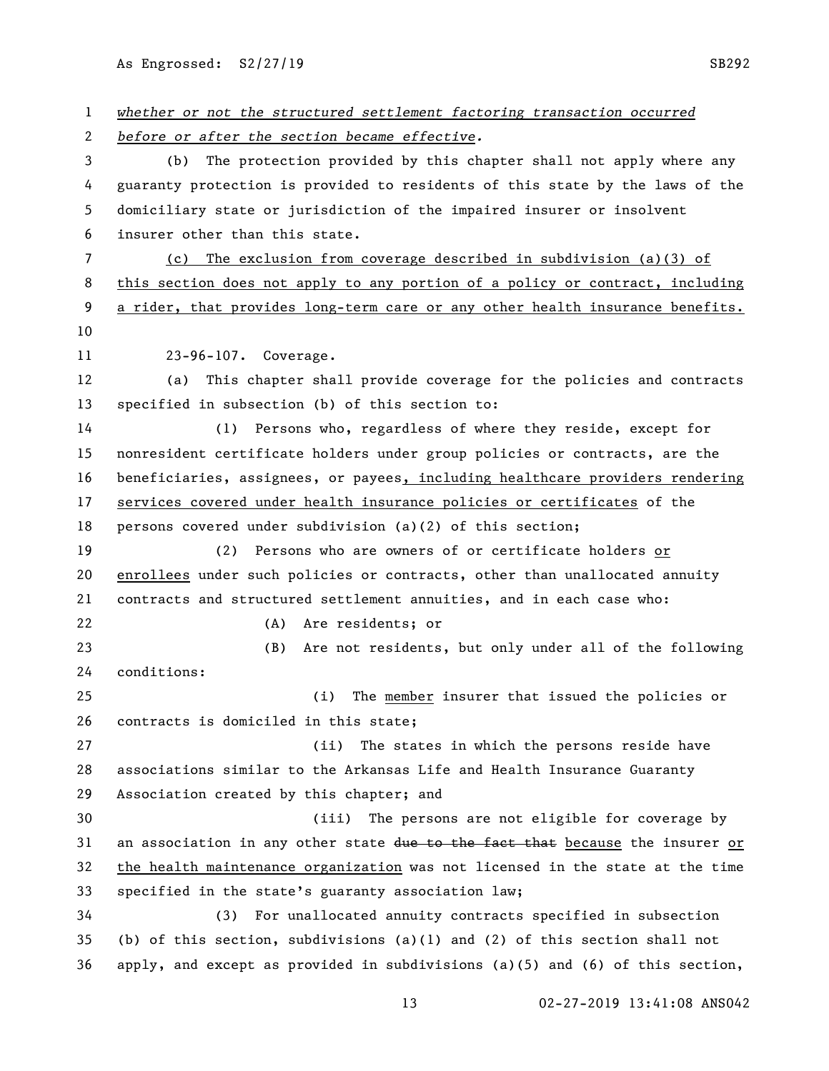As Engrossed: S2/27/19 SB292

| $\mathbf{1}$   | whether or not the structured settlement factoring transaction occurred           |
|----------------|-----------------------------------------------------------------------------------|
| 2              | before or after the section became effective.                                     |
| 3              | The protection provided by this chapter shall not apply where any<br>(b)          |
| 4              | guaranty protection is provided to residents of this state by the laws of the     |
| 5              | domiciliary state or jurisdiction of the impaired insurer or insolvent            |
| 6              | insurer other than this state.                                                    |
| $\overline{7}$ | The exclusion from coverage described in subdivision (a)(3) of<br>(c)             |
| 8              | this section does not apply to any portion of a policy or contract, including     |
| 9              | a rider, that provides long-term care or any other health insurance benefits.     |
| 10             |                                                                                   |
| 11             | 23-96-107. Coverage.                                                              |
| 12             | This chapter shall provide coverage for the policies and contracts<br>(a)         |
| 13             | specified in subsection (b) of this section to:                                   |
| 14             | Persons who, regardless of where they reside, except for<br>(1)                   |
| 15             | nonresident certificate holders under group policies or contracts, are the        |
| 16             | beneficiaries, assignees, or payees, including healthcare providers rendering     |
| 17             | services covered under health insurance policies or certificates of the           |
| 18             | persons covered under subdivision $(a)(2)$ of this section;                       |
| 19             | Persons who are owners of or certificate holders or<br>(2)                        |
| 20             | enrollees under such policies or contracts, other than unallocated annuity        |
| 21             | contracts and structured settlement annuities, and in each case who:              |
| 22             | (A) Are residents; or                                                             |
| 23             | Are not residents, but only under all of the following<br>(B)                     |
| 24             | conditions:                                                                       |
| 25             | (i)<br>The member insurer that issued the policies or                             |
| 26             | contracts is domiciled in this state;                                             |
| 27             | (ii)<br>The states in which the persons reside have                               |
| 28             | associations similar to the Arkansas Life and Health Insurance Guaranty           |
| 29             | Association created by this chapter; and                                          |
| 30             | (iii) The persons are not eligible for coverage by                                |
| 31             | an association in any other state due to the fact that because the insurer or     |
| 32             | the health maintenance organization was not licensed in the state at the time     |
| 33             | specified in the state's guaranty association law;                                |
| 34             | For unallocated annuity contracts specified in subsection<br>(3)                  |
| 35             | (b) of this section, subdivisions (a)(1) and (2) of this section shall not        |
| 36             | apply, and except as provided in subdivisions $(a)(5)$ and $(6)$ of this section, |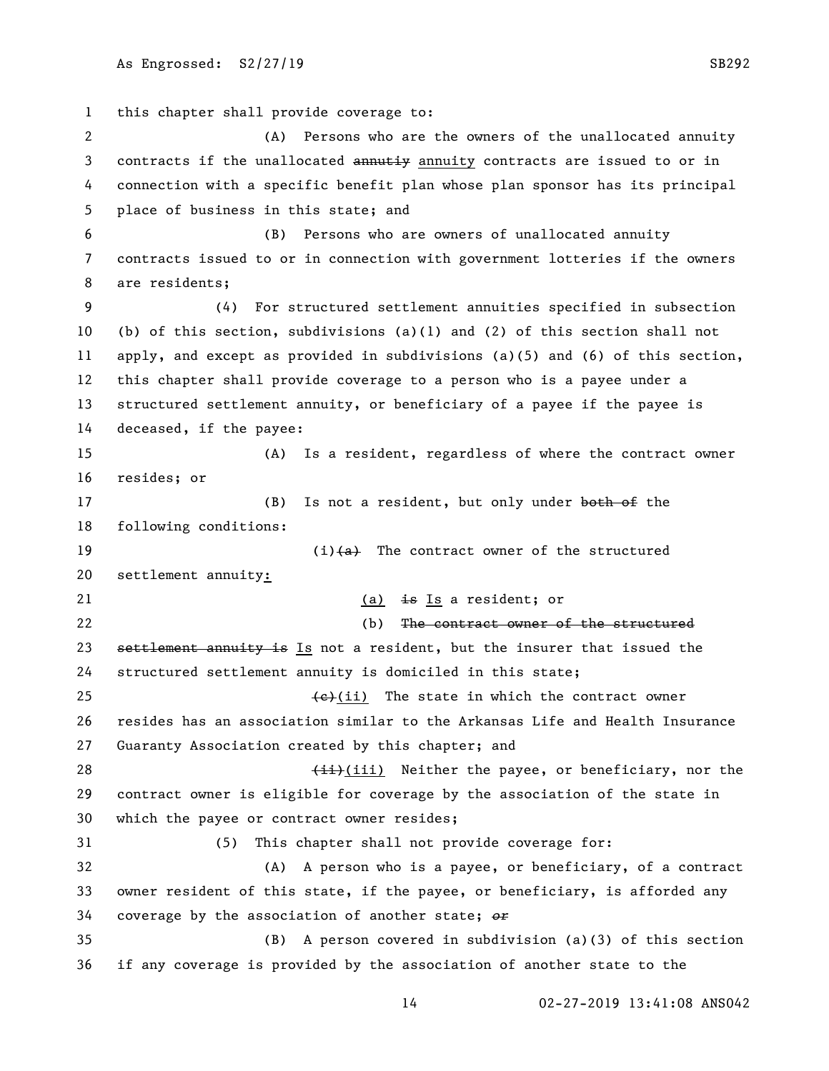this chapter shall provide coverage to: (A) Persons who are the owners of the unallocated annuity 3 contracts if the unallocated annutiy annuity contracts are issued to or in connection with a specific benefit plan whose plan sponsor has its principal place of business in this state; and (B) Persons who are owners of unallocated annuity contracts issued to or in connection with government lotteries if the owners are residents; (4) For structured settlement annuities specified in subsection (b) of this section, subdivisions (a)(1) and (2) of this section shall not apply, and except as provided in subdivisions (a)(5) and (6) of this section, this chapter shall provide coverage to a person who is a payee under a structured settlement annuity, or beneficiary of a payee if the payee is deceased, if the payee: (A) Is a resident, regardless of where the contract owner resides; or 17 (B) Is not a resident, but only under both of the following conditions:  $(i)$   $(a)$  The contract owner of the structured settlement annuity: 21 (a)  $\frac{1}{2}$  are Is a resident; or (b) The contract owner of the structured 23 settlement annuity is Is not a resident, but the insurer that issued the structured settlement annuity is domiciled in this state;  $\left\{\frac{e}{c}\right\}$  (ii) The state in which the contract owner resides has an association similar to the Arkansas Life and Health Insurance Guaranty Association created by this chapter; and 28 (ii) Neither the payee, or beneficiary, nor the contract owner is eligible for coverage by the association of the state in which the payee or contract owner resides; (5) This chapter shall not provide coverage for: (A) A person who is a payee, or beneficiary, of a contract owner resident of this state, if the payee, or beneficiary, is afforded any coverage by the association of another state; *or* (B) A person covered in subdivision (a)(3) of this section if any coverage is provided by the association of another state to the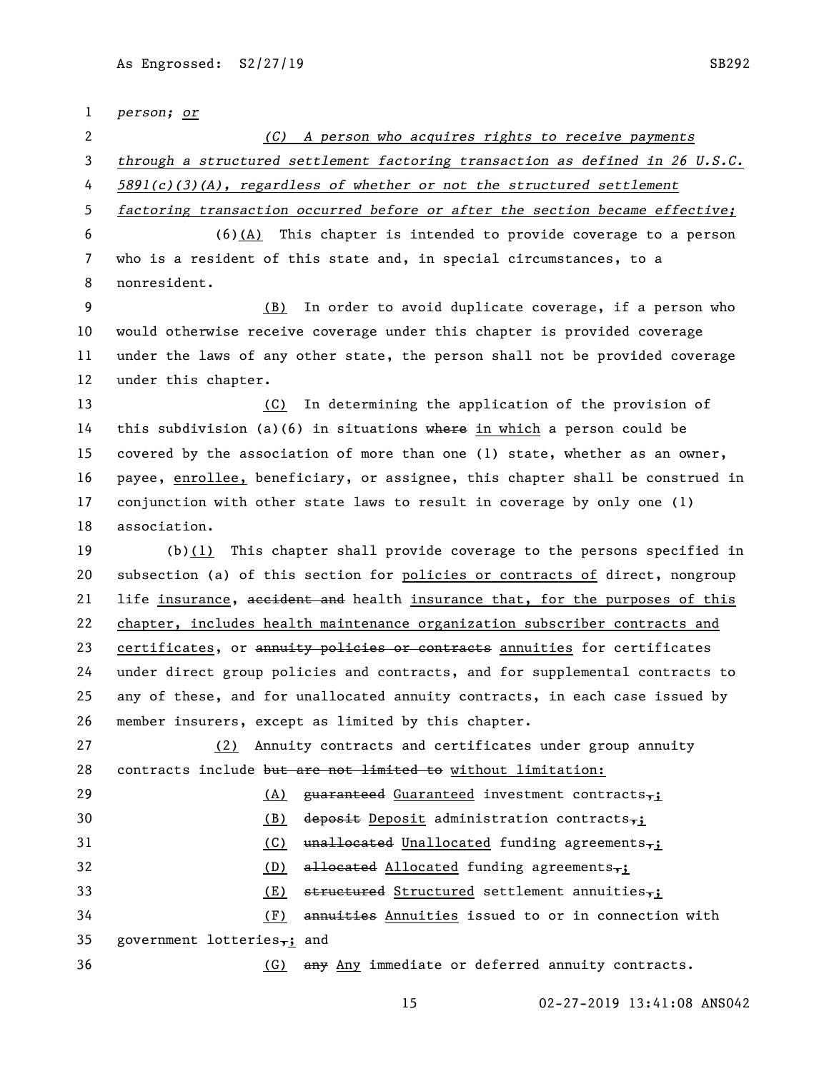*person; or (C) A person who acquires rights to receive payments through a structured settlement factoring transaction as defined in 26 U.S.C. 5891(c)(3)(A), regardless of whether or not the structured settlement factoring transaction occurred before or after the section became effective;* (6)(A) This chapter is intended to provide coverage to a person who is a resident of this state and, in special circumstances, to a nonresident. (B) In order to avoid duplicate coverage, if a person who would otherwise receive coverage under this chapter is provided coverage under the laws of any other state, the person shall not be provided coverage under this chapter. (C) In determining the application of the provision of 14 this subdivision (a)(6) in situations where in which a person could be covered by the association of more than one (1) state, whether as an owner, payee, enrollee, beneficiary, or assignee, this chapter shall be construed in conjunction with other state laws to result in coverage by only one (1) association. (b)(1) This chapter shall provide coverage to the persons specified in subsection (a) of this section for policies or contracts of direct, nongroup 21 life insurance, accident and health insurance that, for the purposes of this chapter, includes health maintenance organization subscriber contracts and 23 certificates, or annuity policies or contracts annuities for certificates under direct group policies and contracts, and for supplemental contracts to any of these, and for unallocated annuity contracts, in each case issued by member insurers, except as limited by this chapter. (2) Annuity contracts and certificates under group annuity 28 contracts include but are not limited to without limitation: 29 (A)  $\alpha$  (A) guaranteed Guaranteed investment contracts, 30 (B) deposit Deposit administration contracts, 31 (C) unallocated Unallocated funding agreements, 32 (D) allocated Allocated funding agreements, 33 (E) structured Structured settlement annuities, (F) annuities Annuities issued to or in connection with 35 government lotteries,; and (G) any Any immediate or deferred annuity contracts.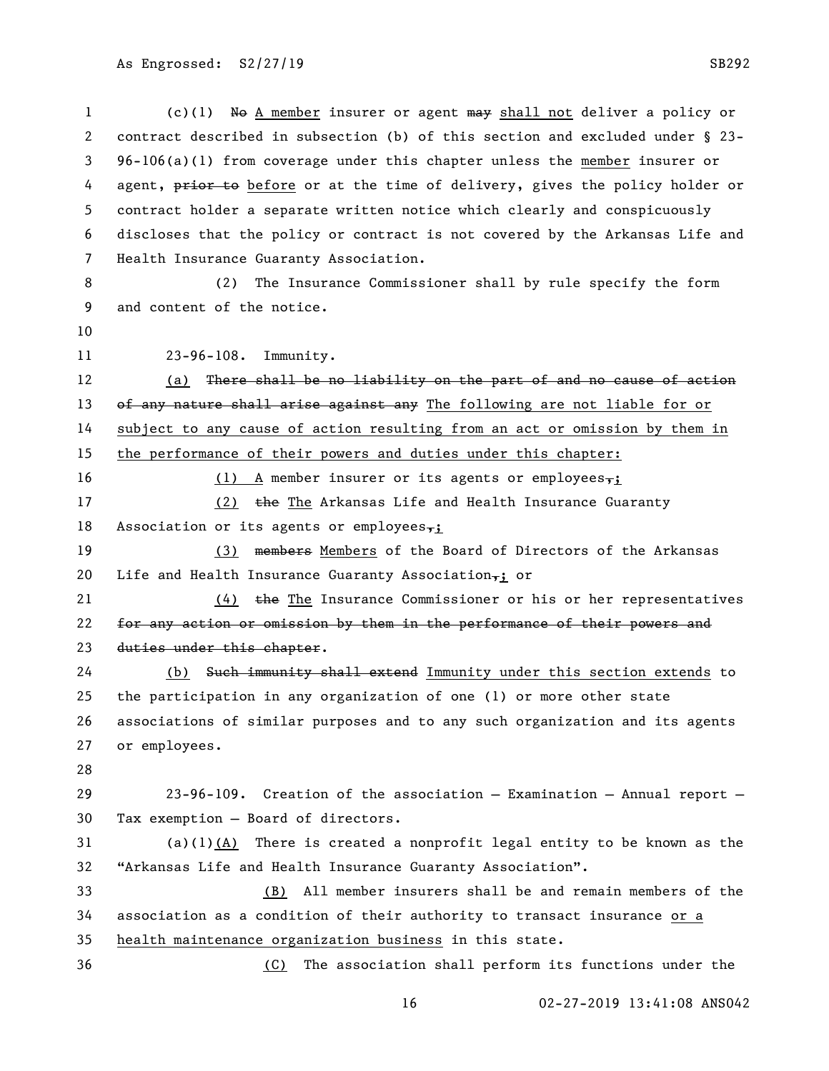(c)(1) No A member insurer or agent may shall not deliver a policy or contract described in subsection (b) of this section and excluded under § 23- 96-106(a)(1) from coverage under this chapter unless the member insurer or 4 agent, prior to before or at the time of delivery, gives the policy holder or contract holder a separate written notice which clearly and conspicuously discloses that the policy or contract is not covered by the Arkansas Life and Health Insurance Guaranty Association.

 (2) The Insurance Commissioner shall by rule specify the form and content of the notice.

23-96-108. Immunity.

12 (a) There shall be no liability on the part of and no cause of action 13 of any nature shall arise against any The following are not liable for or subject to any cause of action resulting from an act or omission by them in the performance of their powers and duties under this chapter:

16 (1) A member insurer or its agents or employees,

17 (2) the The Arkansas Life and Health Insurance Guaranty 18 Association or its agents or employees $\frac{1}{2}$ ;

19 (3) members Members of the Board of Directors of the Arkansas 20 Life and Health Insurance Guaranty Association $\frac{1}{7}$  or

21 (4) the The Insurance Commissioner or his or her representatives 22 for any action or omission by them in the performance of their powers and duties under this chapter.

 (b) Such immunity shall extend Immunity under this section extends to the participation in any organization of one (1) or more other state associations of similar purposes and to any such organization and its agents or employees.

 23-96-109. Creation of the association — Examination — Annual report — Tax exemption — Board of directors.

 (a)(1)(A) There is created a nonprofit legal entity to be known as the "Arkansas Life and Health Insurance Guaranty Association".

 (B) All member insurers shall be and remain members of the association as a condition of their authority to transact insurance or a health maintenance organization business in this state.

(C) The association shall perform its functions under the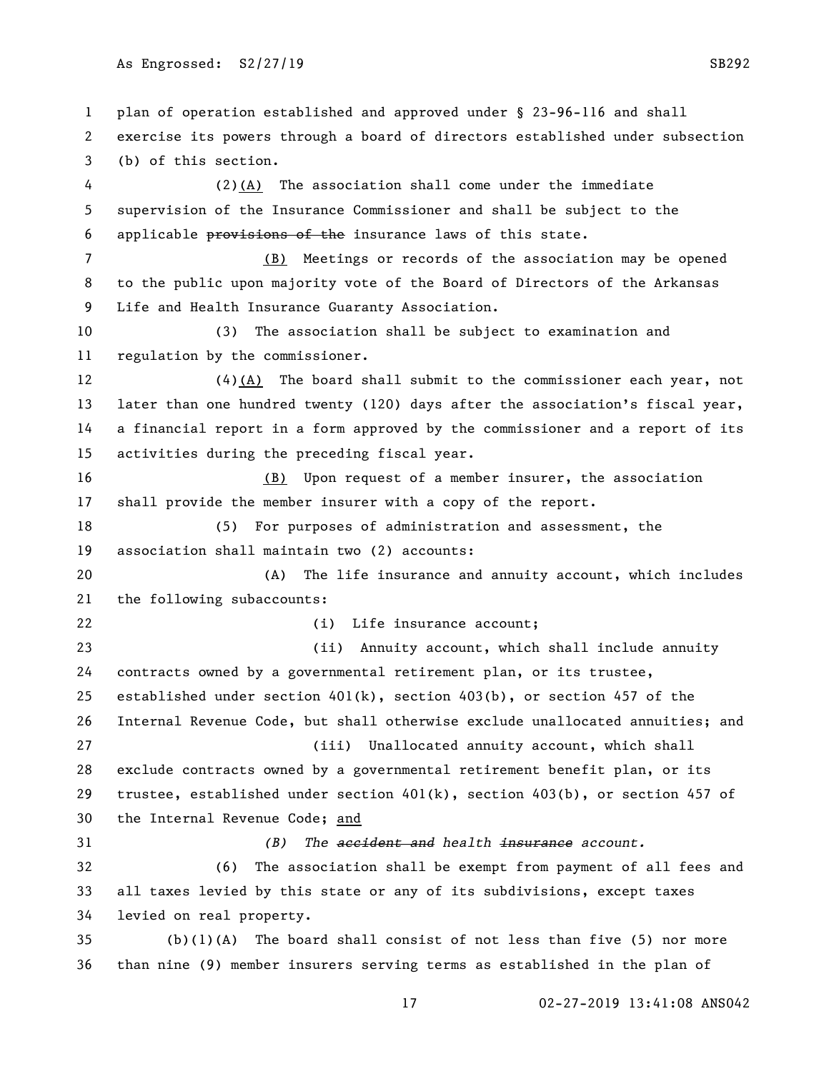plan of operation established and approved under § 23-96-116 and shall exercise its powers through a board of directors established under subsection (b) of this section. (2)(A) The association shall come under the immediate supervision of the Insurance Commissioner and shall be subject to the applicable provisions of the insurance laws of this state. (B) Meetings or records of the association may be opened to the public upon majority vote of the Board of Directors of the Arkansas Life and Health Insurance Guaranty Association. (3) The association shall be subject to examination and regulation by the commissioner. (4)(A) The board shall submit to the commissioner each year, not 13 later than one hundred twenty (120) days after the association's fiscal year, a financial report in a form approved by the commissioner and a report of its activities during the preceding fiscal year. (B) Upon request of a member insurer, the association shall provide the member insurer with a copy of the report. (5) For purposes of administration and assessment, the association shall maintain two (2) accounts: (A) The life insurance and annuity account, which includes the following subaccounts: 22 (i) Life insurance account; (ii) Annuity account, which shall include annuity contracts owned by a governmental retirement plan, or its trustee, 25 established under section  $401(k)$ , section  $403(b)$ , or section 457 of the Internal Revenue Code, but shall otherwise exclude unallocated annuities; and (iii) Unallocated annuity account, which shall exclude contracts owned by a governmental retirement benefit plan, or its trustee, established under section 401(k), section 403(b), or section 457 of the Internal Revenue Code; and *(B) The accident and health insurance account.* (6) The association shall be exempt from payment of all fees and all taxes levied by this state or any of its subdivisions, except taxes levied on real property. (b)(1)(A) The board shall consist of not less than five (5) nor more than nine (9) member insurers serving terms as established in the plan of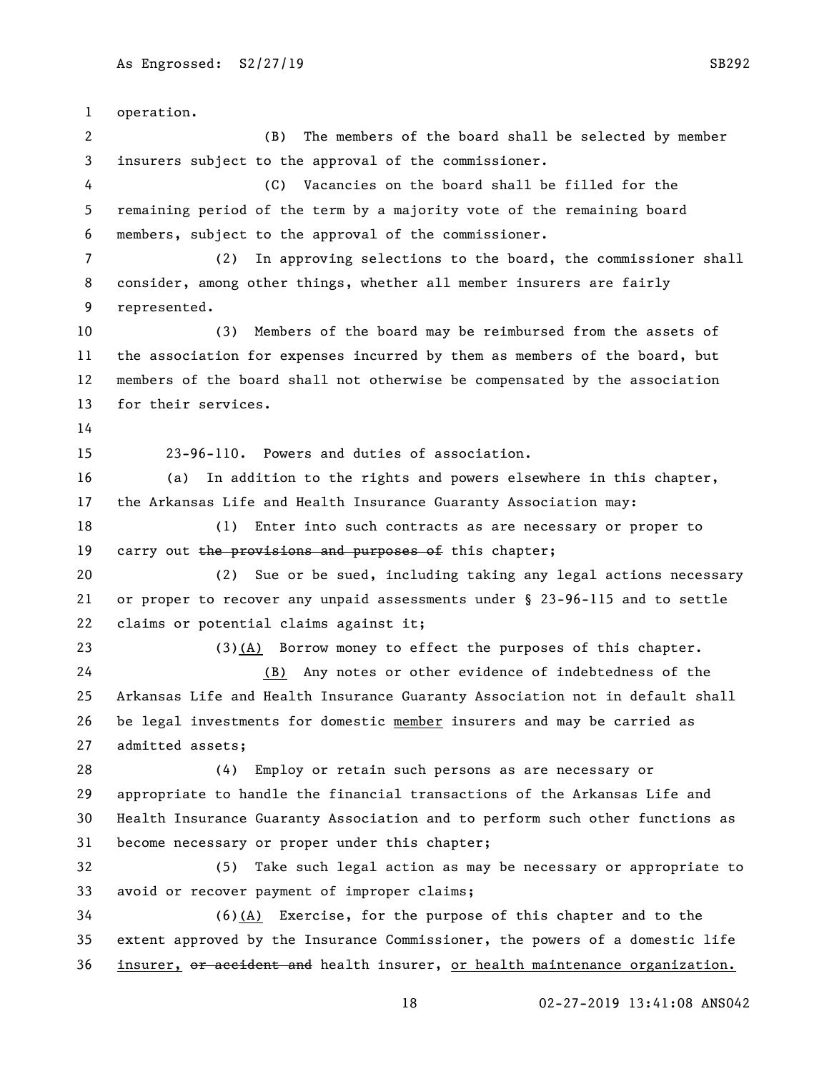operation. (B) The members of the board shall be selected by member insurers subject to the approval of the commissioner. (C) Vacancies on the board shall be filled for the remaining period of the term by a majority vote of the remaining board members, subject to the approval of the commissioner. (2) In approving selections to the board, the commissioner shall consider, among other things, whether all member insurers are fairly represented. (3) Members of the board may be reimbursed from the assets of the association for expenses incurred by them as members of the board, but members of the board shall not otherwise be compensated by the association for their services. 23-96-110. Powers and duties of association. (a) In addition to the rights and powers elsewhere in this chapter, the Arkansas Life and Health Insurance Guaranty Association may: (1) Enter into such contracts as are necessary or proper to 19 carry out the provisions and purposes of this chapter; (2) Sue or be sued, including taking any legal actions necessary or proper to recover any unpaid assessments under § 23-96-115 and to settle claims or potential claims against it; (3)(A) Borrow money to effect the purposes of this chapter. (B) Any notes or other evidence of indebtedness of the Arkansas Life and Health Insurance Guaranty Association not in default shall be legal investments for domestic member insurers and may be carried as admitted assets; (4) Employ or retain such persons as are necessary or appropriate to handle the financial transactions of the Arkansas Life and Health Insurance Guaranty Association and to perform such other functions as become necessary or proper under this chapter; (5) Take such legal action as may be necessary or appropriate to avoid or recover payment of improper claims; (6)(A) Exercise, for the purpose of this chapter and to the extent approved by the Insurance Commissioner, the powers of a domestic life 36 insurer, or accident and health insurer, or health maintenance organization.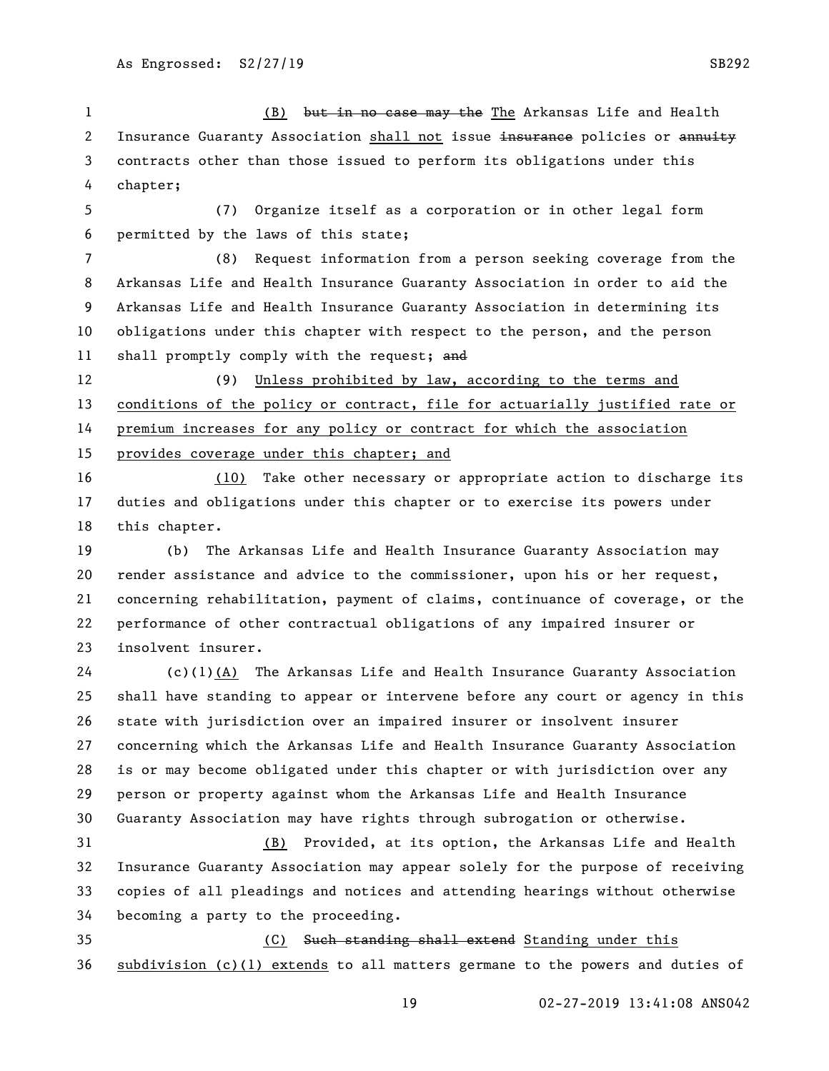(B) but in no case may the The Arkansas Life and Health 2 Insurance Guaranty Association shall not issue insurance policies or annuity contracts other than those issued to perform its obligations under this chapter;

 (7) Organize itself as a corporation or in other legal form permitted by the laws of this state;

 (8) Request information from a person seeking coverage from the Arkansas Life and Health Insurance Guaranty Association in order to aid the Arkansas Life and Health Insurance Guaranty Association in determining its obligations under this chapter with respect to the person, and the person 11 shall promptly comply with the request; and

 (9) Unless prohibited by law, according to the terms and conditions of the policy or contract, file for actuarially justified rate or premium increases for any policy or contract for which the association provides coverage under this chapter; and

 (10) Take other necessary or appropriate action to discharge its duties and obligations under this chapter or to exercise its powers under this chapter.

 (b) The Arkansas Life and Health Insurance Guaranty Association may render assistance and advice to the commissioner, upon his or her request, concerning rehabilitation, payment of claims, continuance of coverage, or the performance of other contractual obligations of any impaired insurer or insolvent insurer.

 (c)(1)(A) The Arkansas Life and Health Insurance Guaranty Association shall have standing to appear or intervene before any court or agency in this state with jurisdiction over an impaired insurer or insolvent insurer concerning which the Arkansas Life and Health Insurance Guaranty Association is or may become obligated under this chapter or with jurisdiction over any person or property against whom the Arkansas Life and Health Insurance Guaranty Association may have rights through subrogation or otherwise.

 (B) Provided, at its option, the Arkansas Life and Health Insurance Guaranty Association may appear solely for the purpose of receiving copies of all pleadings and notices and attending hearings without otherwise becoming a party to the proceeding.

 (C) Such standing shall extend Standing under this subdivision (c)(1) extends to all matters germane to the powers and duties of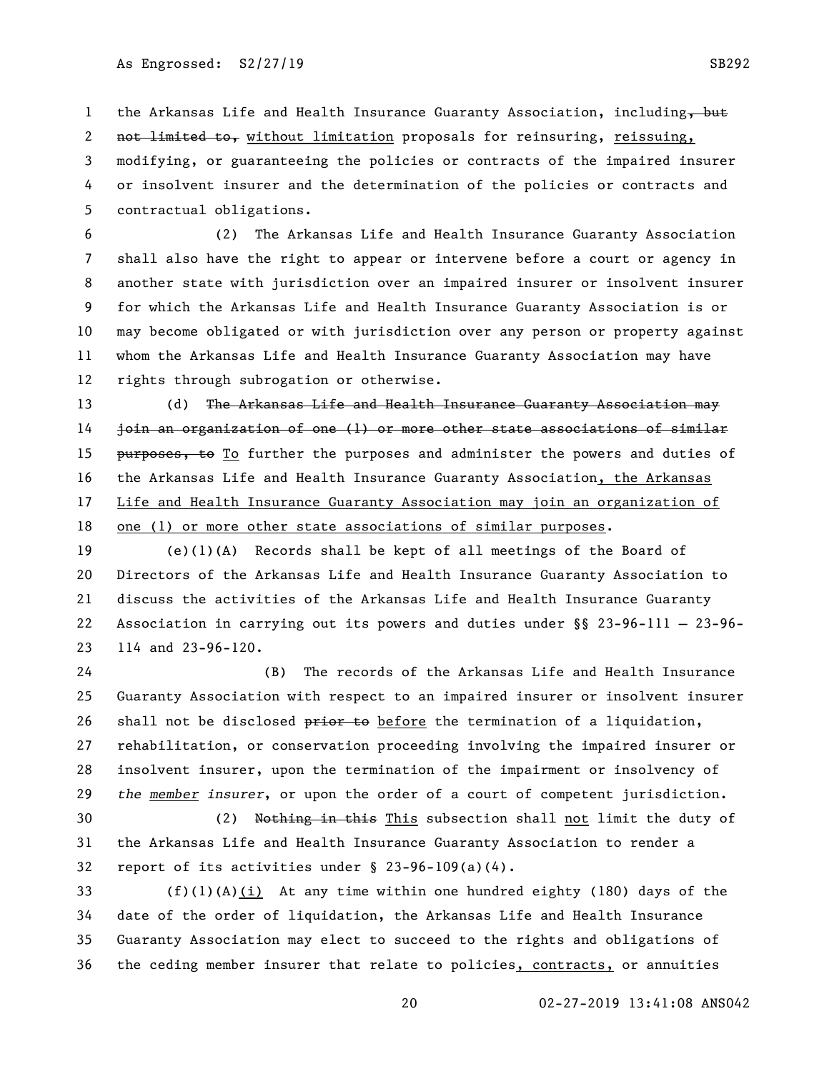1 the Arkansas Life and Health Insurance Guaranty Association, including, but

2 not limited to, without limitation proposals for reinsuring, reissuing,

 modifying, or guaranteeing the policies or contracts of the impaired insurer or insolvent insurer and the determination of the policies or contracts and contractual obligations.

 (2) The Arkansas Life and Health Insurance Guaranty Association shall also have the right to appear or intervene before a court or agency in another state with jurisdiction over an impaired insurer or insolvent insurer for which the Arkansas Life and Health Insurance Guaranty Association is or may become obligated or with jurisdiction over any person or property against whom the Arkansas Life and Health Insurance Guaranty Association may have rights through subrogation or otherwise.

13 (d) The Arkansas Life and Health Insurance Guaranty Association may join an organization of one (1) or more other state associations of similar 15 purposes, to To further the purposes and administer the powers and duties of the Arkansas Life and Health Insurance Guaranty Association, the Arkansas Life and Health Insurance Guaranty Association may join an organization of one (1) or more other state associations of similar purposes.

 (e)(1)(A) Records shall be kept of all meetings of the Board of Directors of the Arkansas Life and Health Insurance Guaranty Association to discuss the activities of the Arkansas Life and Health Insurance Guaranty Association in carrying out its powers and duties under §§ 23-96-111 — 23-96- 114 and 23-96-120.

 (B) The records of the Arkansas Life and Health Insurance Guaranty Association with respect to an impaired insurer or insolvent insurer 26 shall not be disclosed prior to before the termination of a liquidation, rehabilitation, or conservation proceeding involving the impaired insurer or insolvent insurer, upon the termination of the impairment or insolvency of *the member insurer*, or upon the order of a court of competent jurisdiction.

 (2) Nothing in this This subsection shall not limit the duty of the Arkansas Life and Health Insurance Guaranty Association to render a report of its activities under § 23-96-109(a)(4).

 (f)(1)(A)(i) At any time within one hundred eighty (180) days of the date of the order of liquidation, the Arkansas Life and Health Insurance Guaranty Association may elect to succeed to the rights and obligations of the ceding member insurer that relate to policies, contracts, or annuities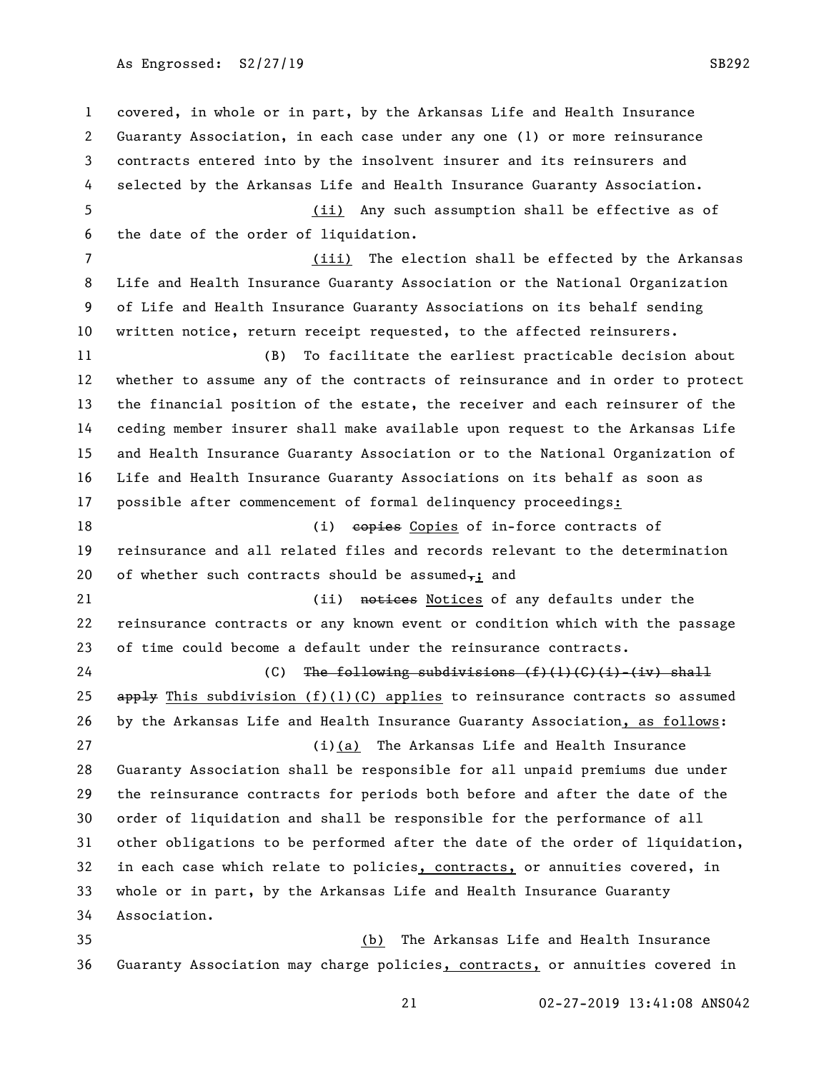As Engrossed: S2/27/19 SB292

 covered, in whole or in part, by the Arkansas Life and Health Insurance Guaranty Association, in each case under any one (1) or more reinsurance contracts entered into by the insolvent insurer and its reinsurers and selected by the Arkansas Life and Health Insurance Guaranty Association. (ii) Any such assumption shall be effective as of the date of the order of liquidation. (iii) The election shall be effected by the Arkansas Life and Health Insurance Guaranty Association or the National Organization of Life and Health Insurance Guaranty Associations on its behalf sending written notice, return receipt requested, to the affected reinsurers. (B) To facilitate the earliest practicable decision about whether to assume any of the contracts of reinsurance and in order to protect the financial position of the estate, the receiver and each reinsurer of the ceding member insurer shall make available upon request to the Arkansas Life and Health Insurance Guaranty Association or to the National Organization of Life and Health Insurance Guaranty Associations on its behalf as soon as possible after commencement of formal delinquency proceedings: 18 (i) explore Copies Copies of in-force contracts of reinsurance and all related files and records relevant to the determination 20 of whether such contracts should be assumed $\overline{x}$ ; and 21 (ii) notices Notices of any defaults under the reinsurance contracts or any known event or condition which with the passage of time could become a default under the reinsurance contracts. 24 (C) The following subdivisions  $(f)(1)(C)(i)-(iv)$  shall 25 apply This subdivision  $(f)(1)(C)$  applies to reinsurance contracts so assumed by the Arkansas Life and Health Insurance Guaranty Association, as follows: (i)(a) The Arkansas Life and Health Insurance Guaranty Association shall be responsible for all unpaid premiums due under the reinsurance contracts for periods both before and after the date of the order of liquidation and shall be responsible for the performance of all other obligations to be performed after the date of the order of liquidation, 32 in each case which relate to policies, contracts, or annuities covered, in whole or in part, by the Arkansas Life and Health Insurance Guaranty Association. (b) The Arkansas Life and Health Insurance

Guaranty Association may charge policies, contracts, or annuities covered in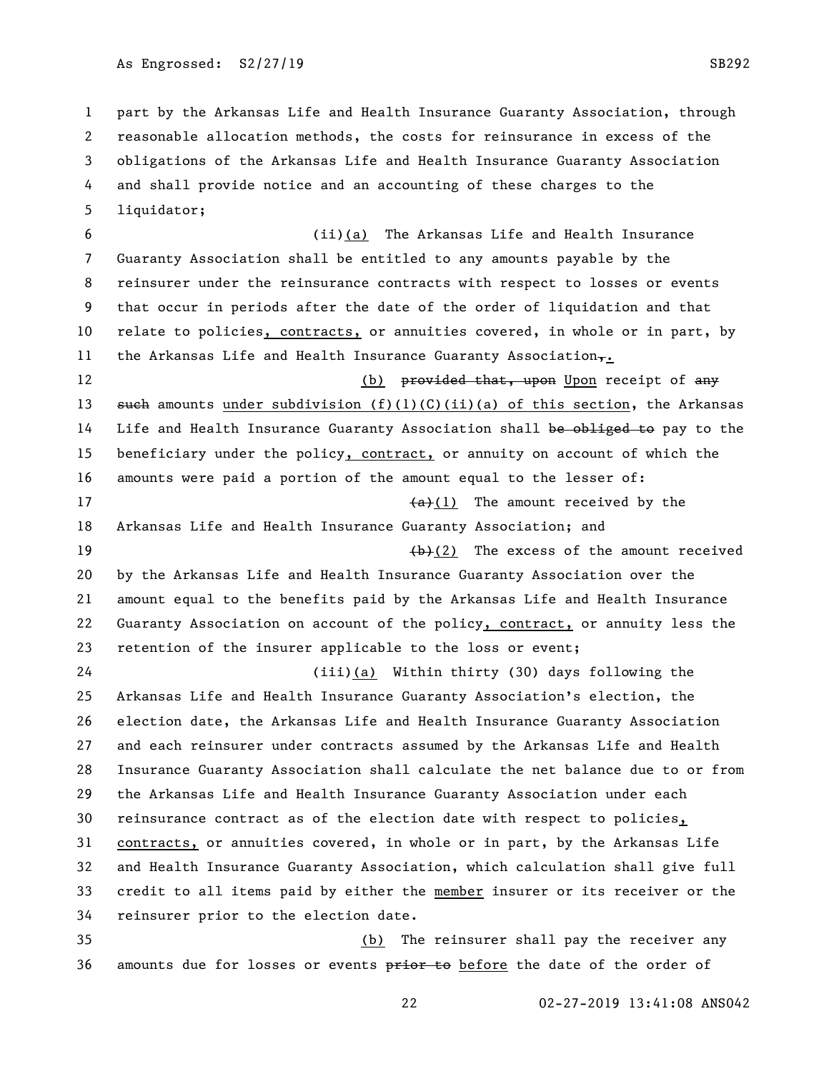As Engrossed: S2/27/19 SB292

 part by the Arkansas Life and Health Insurance Guaranty Association, through reasonable allocation methods, the costs for reinsurance in excess of the obligations of the Arkansas Life and Health Insurance Guaranty Association and shall provide notice and an accounting of these charges to the liquidator;

 (ii)(a) The Arkansas Life and Health Insurance Guaranty Association shall be entitled to any amounts payable by the reinsurer under the reinsurance contracts with respect to losses or events that occur in periods after the date of the order of liquidation and that 10 relate to policies, contracts, or annuities covered, in whole or in part, by 11 the Arkansas Life and Health Insurance Guaranty Association $_{\tau}$ . 12 (b) <del>provided that, upon</del> Upon receipt of any 13 such amounts under subdivision  $(f)(1)(C)(ii)(a)$  of this section, the Arkansas 14 Life and Health Insurance Guaranty Association shall be obliged to pay to the 15 beneficiary under the policy, contract, or annuity on account of which the amounts were paid a portion of the amount equal to the lesser of:  $\left( \frac{a}{b} \right)$  The amount received by the Arkansas Life and Health Insurance Guaranty Association; and  $\leftarrow$  19  $\leftarrow$  19  $\leftarrow$  19  $\leftarrow$  19  $\leftarrow$  10  $\leftarrow$  120  $\leftarrow$  120  $\leftarrow$  120  $\leftarrow$  120  $\leftarrow$  120  $\leftarrow$  120  $\leftarrow$  120  $\leftarrow$  120  $\leftarrow$  120  $\leftarrow$  120  $\leftarrow$  120  $\leftarrow$  120  $\leftarrow$  120  $\leftarrow$  120  $\leftarrow$  120  $\leftarrow$  120  $\leftarrow$  120  $\left$  by the Arkansas Life and Health Insurance Guaranty Association over the amount equal to the benefits paid by the Arkansas Life and Health Insurance Guaranty Association on account of the policy, contract, or annuity less the retention of the insurer applicable to the loss or event; (iii)(a) Within thirty (30) days following the

 Arkansas Life and Health Insurance Guaranty Association's election, the election date, the Arkansas Life and Health Insurance Guaranty Association and each reinsurer under contracts assumed by the Arkansas Life and Health Insurance Guaranty Association shall calculate the net balance due to or from the Arkansas Life and Health Insurance Guaranty Association under each reinsurance contract as of the election date with respect to policies, contracts, or annuities covered, in whole or in part, by the Arkansas Life and Health Insurance Guaranty Association, which calculation shall give full credit to all items paid by either the member insurer or its receiver or the reinsurer prior to the election date. (b) The reinsurer shall pay the receiver any

36 amounts due for losses or events prior to before the date of the order of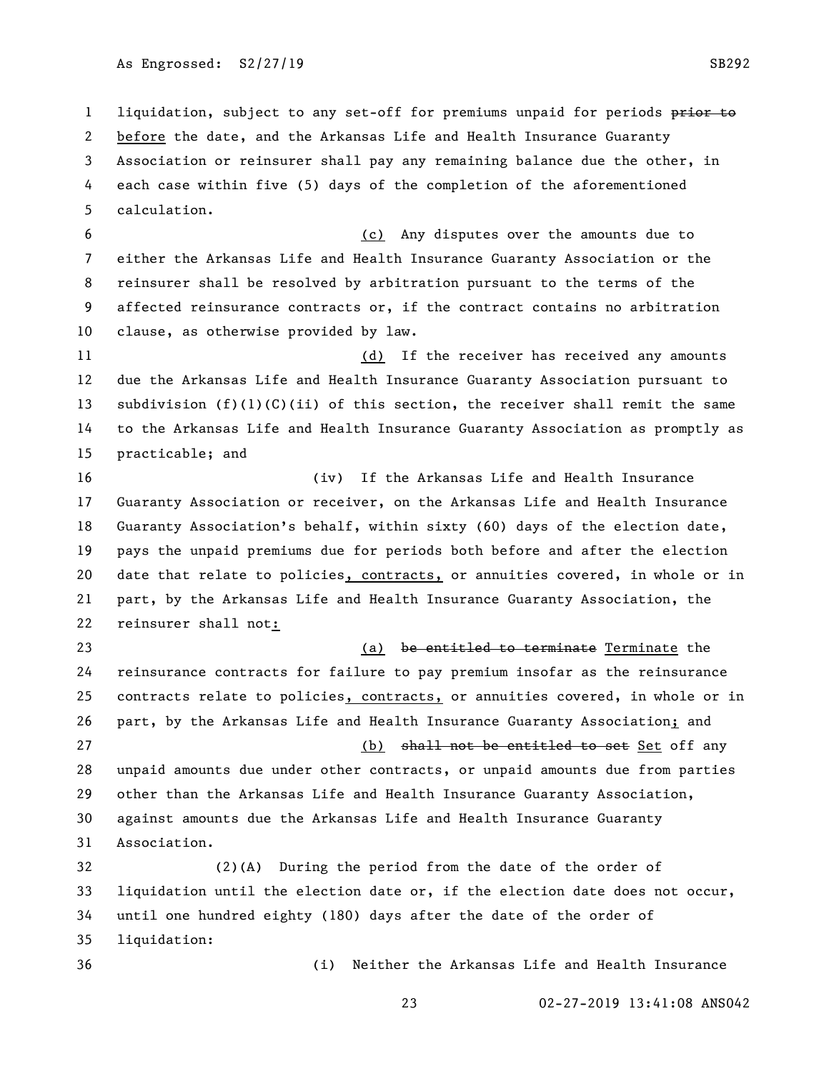1 liquidation, subject to any set-off for premiums unpaid for periods prior to before the date, and the Arkansas Life and Health Insurance Guaranty Association or reinsurer shall pay any remaining balance due the other, in each case within five (5) days of the completion of the aforementioned calculation.

 (c) Any disputes over the amounts due to either the Arkansas Life and Health Insurance Guaranty Association or the reinsurer shall be resolved by arbitration pursuant to the terms of the affected reinsurance contracts or, if the contract contains no arbitration clause, as otherwise provided by law.

11 (d) If the receiver has received any amounts due the Arkansas Life and Health Insurance Guaranty Association pursuant to 13 subdivision  $(f)(1)(C)(ii)$  of this section, the receiver shall remit the same to the Arkansas Life and Health Insurance Guaranty Association as promptly as practicable; and

 (iv) If the Arkansas Life and Health Insurance Guaranty Association or receiver, on the Arkansas Life and Health Insurance Guaranty Association's behalf, within sixty (60) days of the election date, pays the unpaid premiums due for periods both before and after the election date that relate to policies, contracts, or annuities covered, in whole or in part, by the Arkansas Life and Health Insurance Guaranty Association, the reinsurer shall not:

23 Captain Communicate Contract Communicate Terminate the terminate the terminate the terminate the terminate  $\alpha$  reinsurance contracts for failure to pay premium insofar as the reinsurance 25 contracts relate to policies, contracts, or annuities covered, in whole or in part, by the Arkansas Life and Health Insurance Guaranty Association; and 27 and the solution of the set Set Set off any shall not be entitled to set Set off any unpaid amounts due under other contracts, or unpaid amounts due from parties other than the Arkansas Life and Health Insurance Guaranty Association, against amounts due the Arkansas Life and Health Insurance Guaranty Association.

 (2)(A) During the period from the date of the order of liquidation until the election date or, if the election date does not occur, until one hundred eighty (180) days after the date of the order of liquidation:

(i) Neither the Arkansas Life and Health Insurance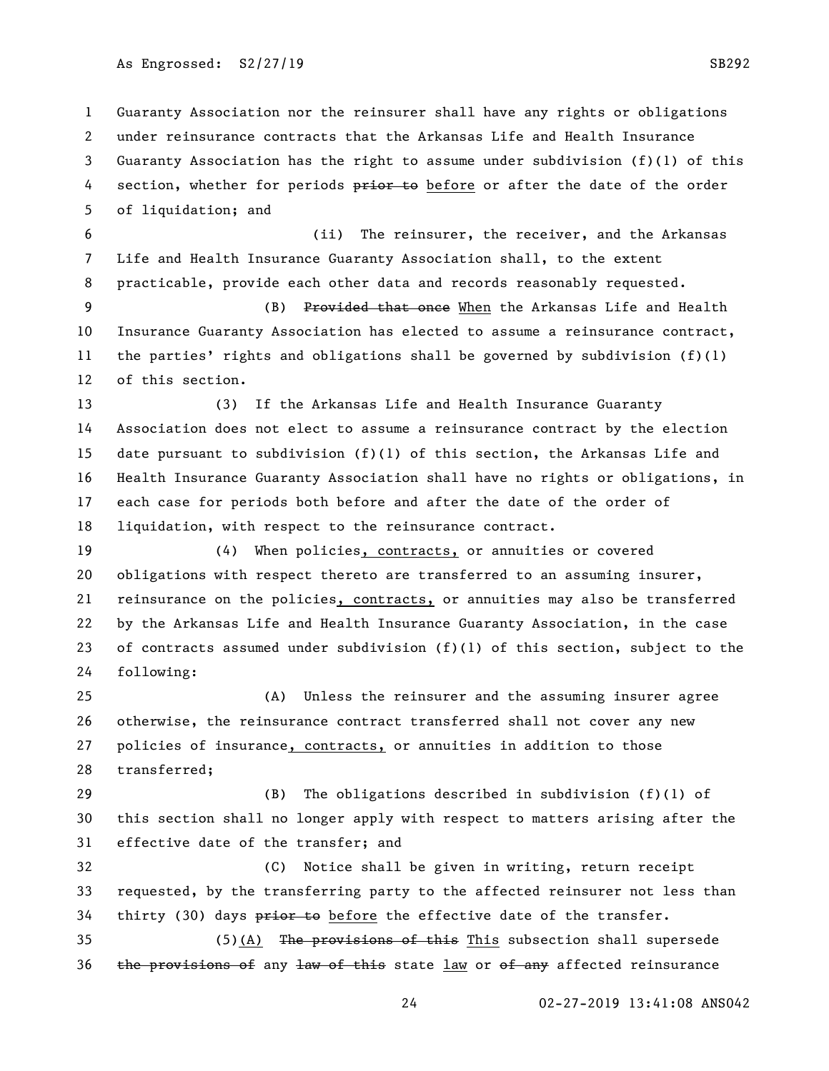Guaranty Association nor the reinsurer shall have any rights or obligations under reinsurance contracts that the Arkansas Life and Health Insurance Guaranty Association has the right to assume under subdivision (f)(1) of this 4 section, whether for periods prior to before or after the date of the order of liquidation; and

 (ii) The reinsurer, the receiver, and the Arkansas Life and Health Insurance Guaranty Association shall, to the extent practicable, provide each other data and records reasonably requested.

 (B) Provided that once When the Arkansas Life and Health Insurance Guaranty Association has elected to assume a reinsurance contract, 11 the parties' rights and obligations shall be governed by subdivision  $(f)(1)$ of this section.

 (3) If the Arkansas Life and Health Insurance Guaranty Association does not elect to assume a reinsurance contract by the election date pursuant to subdivision (f)(1) of this section, the Arkansas Life and Health Insurance Guaranty Association shall have no rights or obligations, in each case for periods both before and after the date of the order of liquidation, with respect to the reinsurance contract.

 (4) When policies, contracts, or annuities or covered obligations with respect thereto are transferred to an assuming insurer, reinsurance on the policies, contracts, or annuities may also be transferred by the Arkansas Life and Health Insurance Guaranty Association, in the case of contracts assumed under subdivision (f)(1) of this section, subject to the following:

 (A) Unless the reinsurer and the assuming insurer agree otherwise, the reinsurance contract transferred shall not cover any new policies of insurance, contracts, or annuities in addition to those transferred;

 (B) The obligations described in subdivision (f)(1) of this section shall no longer apply with respect to matters arising after the effective date of the transfer; and

 (C) Notice shall be given in writing, return receipt requested, by the transferring party to the affected reinsurer not less than 34 thirty (30) days prior to before the effective date of the transfer.

35 (5)(A) The provisions of this This subsection shall supersede 36 the provisions of any law of this state  $\frac{law}{x}$  or of any affected reinsurance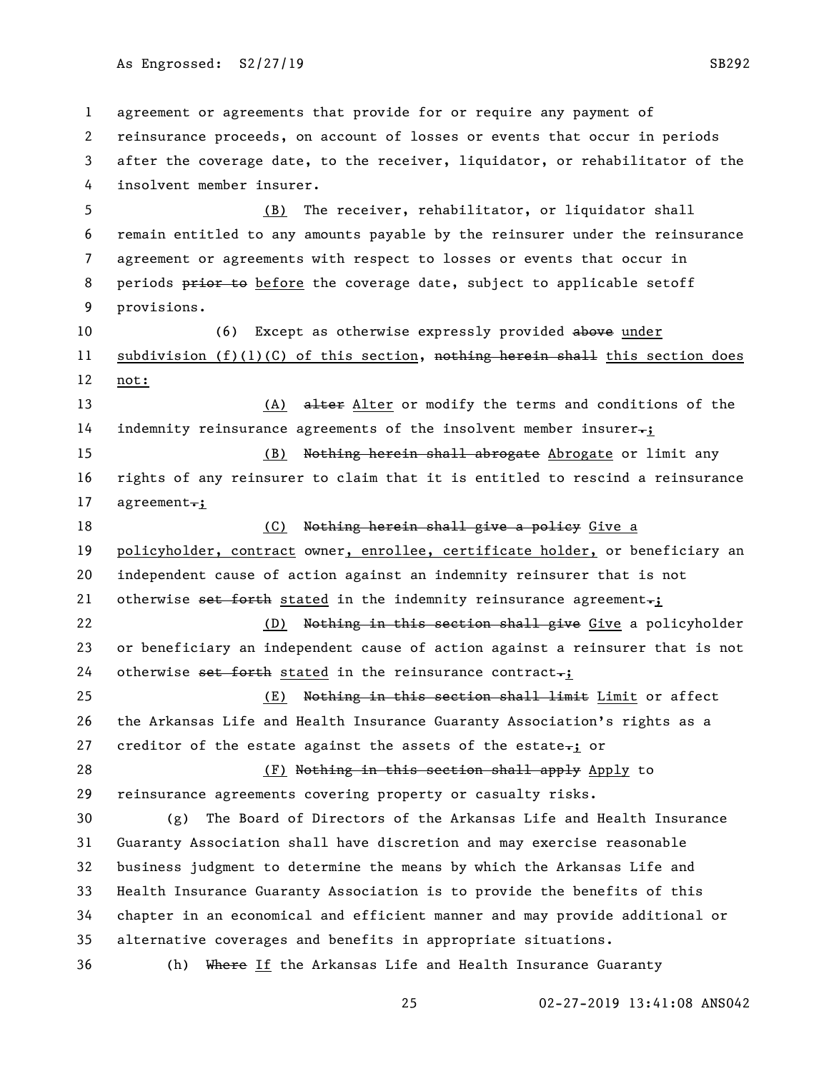As Engrossed: S2/27/19 SB292

 agreement or agreements that provide for or require any payment of reinsurance proceeds, on account of losses or events that occur in periods after the coverage date, to the receiver, liquidator, or rehabilitator of the insolvent member insurer. (B) The receiver, rehabilitator, or liquidator shall remain entitled to any amounts payable by the reinsurer under the reinsurance agreement or agreements with respect to losses or events that occur in 8 periods prior to before the coverage date, subject to applicable setoff provisions. 10 (6) Except as otherwise expressly provided above under 11 subdivision  $(f)(1)(C)$  of this section, nothing herein shall this section does not: 13 (A) alter Alter or modify the terms and conditions of the indemnity reinsurance agreements of the insolvent member insurer.; (B) Nothing herein shall abrogate Abrogate or limit any rights of any reinsurer to claim that it is entitled to rescind a reinsurance 17 agreement.; 18 (C) Nothing herein shall give a policy Give a policyholder, contract owner, enrollee, certificate holder, or beneficiary an independent cause of action against an indemnity reinsurer that is not 21 otherwise set forth stated in the indemnity reinsurance agreement.; 22 (D) Nothing in this section shall give Give a policyholder or beneficiary an independent cause of action against a reinsurer that is not 24 otherwise set forth stated in the reinsurance contract.; 25 (E) Nothing in this section shall limit Limit or affect the Arkansas Life and Health Insurance Guaranty Association's rights as a 27 creditor of the estate against the assets of the estate $\div$ ; or 28 (F) Nothing in this section shall apply Apply to reinsurance agreements covering property or casualty risks. (g) The Board of Directors of the Arkansas Life and Health Insurance Guaranty Association shall have discretion and may exercise reasonable business judgment to determine the means by which the Arkansas Life and Health Insurance Guaranty Association is to provide the benefits of this chapter in an economical and efficient manner and may provide additional or alternative coverages and benefits in appropriate situations. (h) Where If the Arkansas Life and Health Insurance Guaranty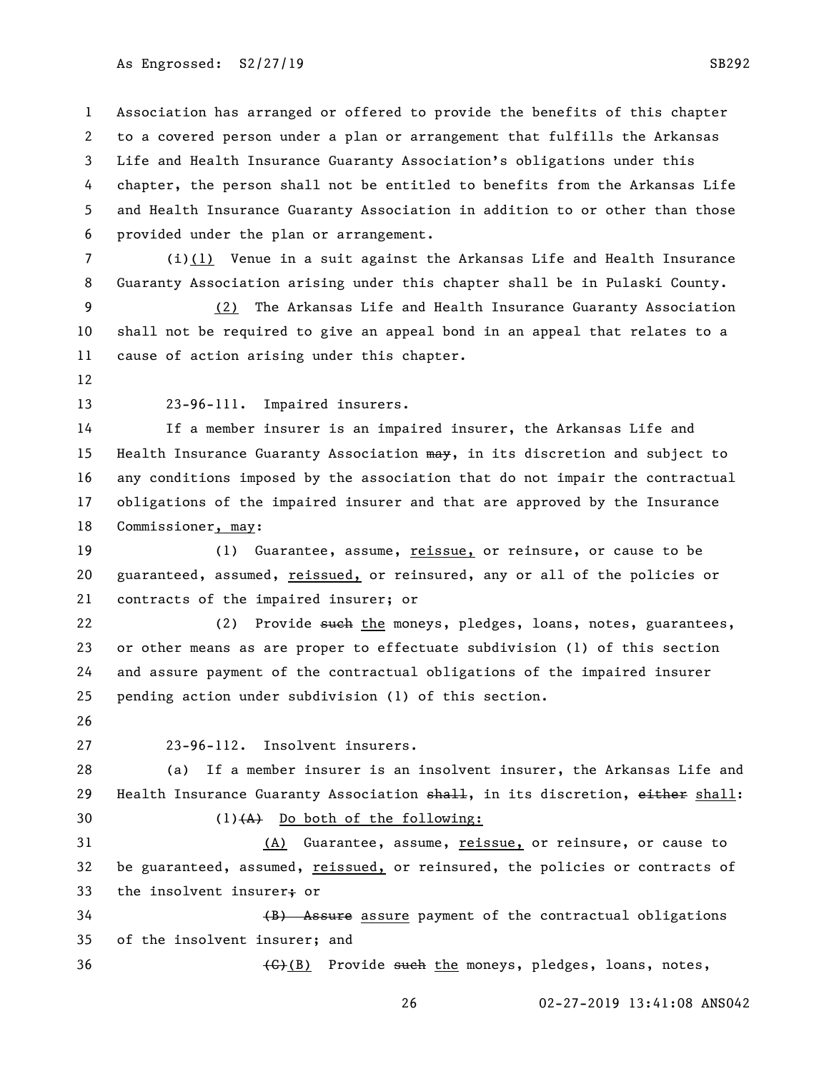As Engrossed: S2/27/19 SB292

 Association has arranged or offered to provide the benefits of this chapter to a covered person under a plan or arrangement that fulfills the Arkansas Life and Health Insurance Guaranty Association's obligations under this chapter, the person shall not be entitled to benefits from the Arkansas Life and Health Insurance Guaranty Association in addition to or other than those provided under the plan or arrangement.

 (i)(1) Venue in a suit against the Arkansas Life and Health Insurance Guaranty Association arising under this chapter shall be in Pulaski County.

 (2) The Arkansas Life and Health Insurance Guaranty Association shall not be required to give an appeal bond in an appeal that relates to a cause of action arising under this chapter.

23-96-111. Impaired insurers.

 If a member insurer is an impaired insurer, the Arkansas Life and 15 Health Insurance Guaranty Association may, in its discretion and subject to any conditions imposed by the association that do not impair the contractual obligations of the impaired insurer and that are approved by the Insurance Commissioner, may:

19 (1) Guarantee, assume, reissue, or reinsure, or cause to be guaranteed, assumed, reissued, or reinsured, any or all of the policies or contracts of the impaired insurer; or

22 (2) Provide such the moneys, pledges, loans, notes, guarantees, or other means as are proper to effectuate subdivision (1) of this section and assure payment of the contractual obligations of the impaired insurer pending action under subdivision (1) of this section.

23-96-112. Insolvent insurers.

 (a) If a member insurer is an insolvent insurer, the Arkansas Life and 29 Health Insurance Guaranty Association  $\frac{1}{2}$ , in its discretion,  $\frac{1}{2}$ ,  $\frac{1}{2}$ 30 (1) $(A)$  Do both of the following:

 (A) Guarantee, assume, reissue, or reinsure, or cause to be guaranteed, assumed, reissued, or reinsured, the policies or contracts of 33 the insolvent insurer; or

34 (B) Assure assure payment of the contractual obligations of the insolvent insurer; and

 $\left\{\left(\frac{C}{C}\right)\right\}$  Provide such the moneys, pledges, loans, notes,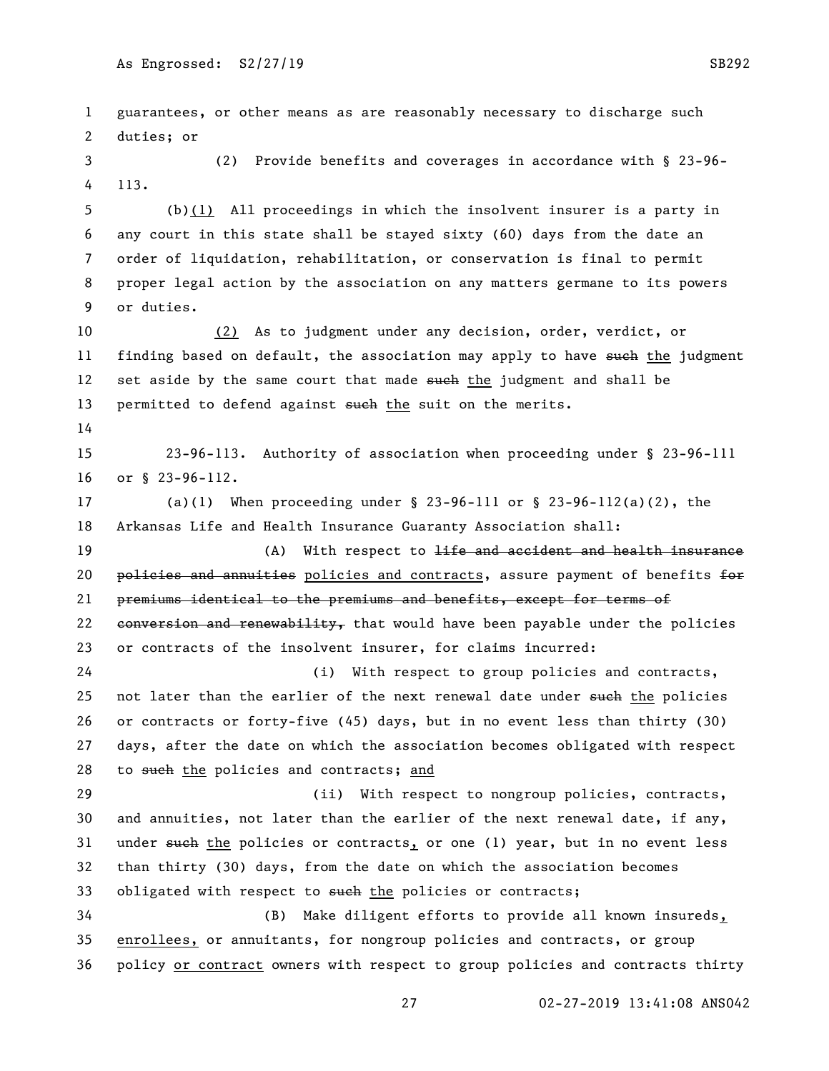guarantees, or other means as are reasonably necessary to discharge such duties; or (2) Provide benefits and coverages in accordance with § 23-96- 113. (b)(1) All proceedings in which the insolvent insurer is a party in any court in this state shall be stayed sixty (60) days from the date an order of liquidation, rehabilitation, or conservation is final to permit proper legal action by the association on any matters germane to its powers or duties. (2) As to judgment under any decision, order, verdict, or 11 finding based on default, the association may apply to have such the judgment 12 set aside by the same court that made such the judgment and shall be 13 permitted to defend against such the suit on the merits. 23-96-113. Authority of association when proceeding under § 23-96-111 or § 23-96-112. (a)(1) When proceeding under § 23-96-111 or § 23-96-112(a)(2), the Arkansas Life and Health Insurance Guaranty Association shall: 19 (A) With respect to <del>life and accident and health insurance</del> 20 policies and annuities policies and contracts, assure payment of benefits for premiums identical to the premiums and benefits, except for terms of 22 conversion and renewability, that would have been payable under the policies or contracts of the insolvent insurer, for claims incurred: (i) With respect to group policies and contracts, 25 not later than the earlier of the next renewal date under such the policies or contracts or forty-five (45) days, but in no event less than thirty (30) days, after the date on which the association becomes obligated with respect 28 to such the policies and contracts; and (ii) With respect to nongroup policies, contracts, and annuities, not later than the earlier of the next renewal date, if any, 31 under such the policies or contracts, or one (1) year, but in no event less than thirty (30) days, from the date on which the association becomes 33 obligated with respect to such the policies or contracts; (B) Make diligent efforts to provide all known insureds, enrollees, or annuitants, for nongroup policies and contracts, or group policy or contract owners with respect to group policies and contracts thirty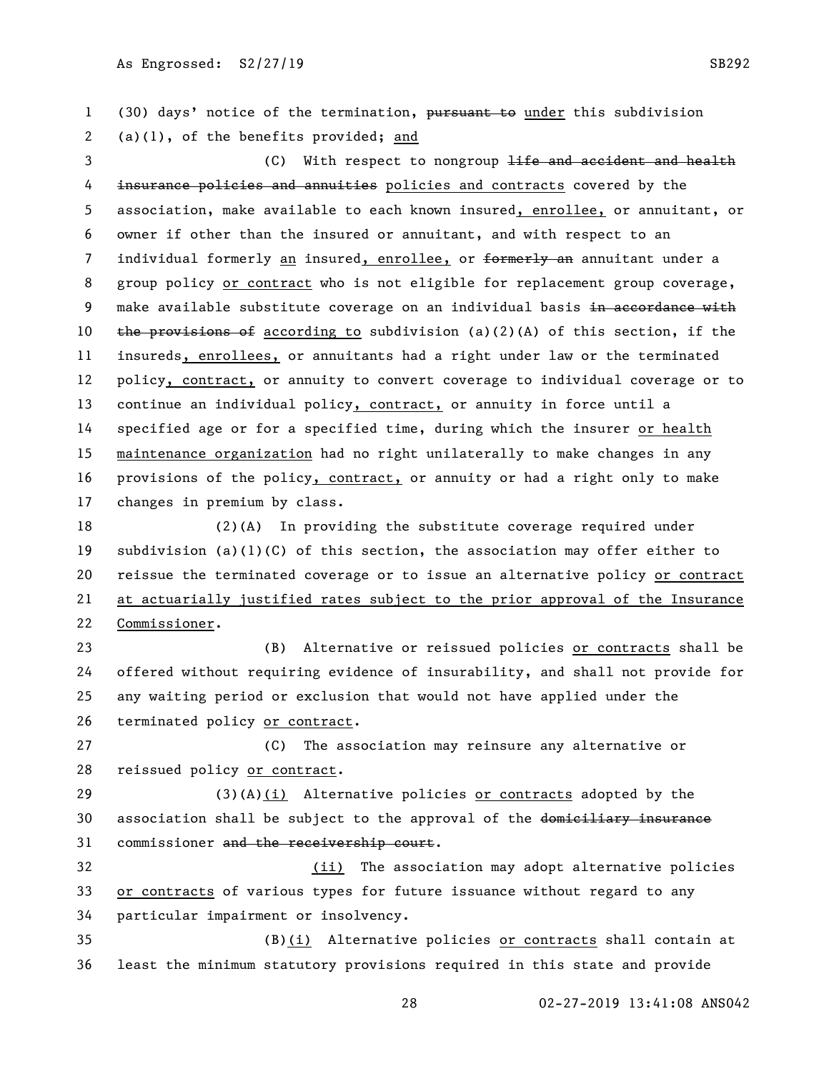1 (30) days' notice of the termination, pursuant to under this subdivision (a)(1), of the benefits provided; and 3 (C) With respect to nongroup life and accident and health 4 insurance policies and annuities policies and contracts covered by the association, make available to each known insured, enrollee, or annuitant, or owner if other than the insured or annuitant, and with respect to an 7 individual formerly an insured, enrollee, or formerly an annuitant under a 8 group policy or contract who is not eligible for replacement group coverage, 9 make available substitute coverage on an individual basis in accordance with 10 the provisions of according to subdivision (a)(2)(A) of this section, if the insureds, enrollees, or annuitants had a right under law or the terminated policy, contract, or annuity to convert coverage to individual coverage or to continue an individual policy, contract, or annuity in force until a specified age or for a specified time, during which the insurer or health maintenance organization had no right unilaterally to make changes in any provisions of the policy, contract, or annuity or had a right only to make changes in premium by class. 18 (2)(A) In providing the substitute coverage required under subdivision (a)(1)(C) of this section, the association may offer either to reissue the terminated coverage or to issue an alternative policy or contract at actuarially justified rates subject to the prior approval of the Insurance Commissioner.

 (B) Alternative or reissued policies or contracts shall be offered without requiring evidence of insurability, and shall not provide for any waiting period or exclusion that would not have applied under the terminated policy or contract.

 (C) The association may reinsure any alternative or reissued policy or contract.

 (3)(A)(i) Alternative policies or contracts adopted by the 30 association shall be subject to the approval of the domiciliary insurance 31 commissioner and the receivership court.

 (ii) The association may adopt alternative policies or contracts of various types for future issuance without regard to any particular impairment or insolvency.

 (B)(i) Alternative policies or contracts shall contain at least the minimum statutory provisions required in this state and provide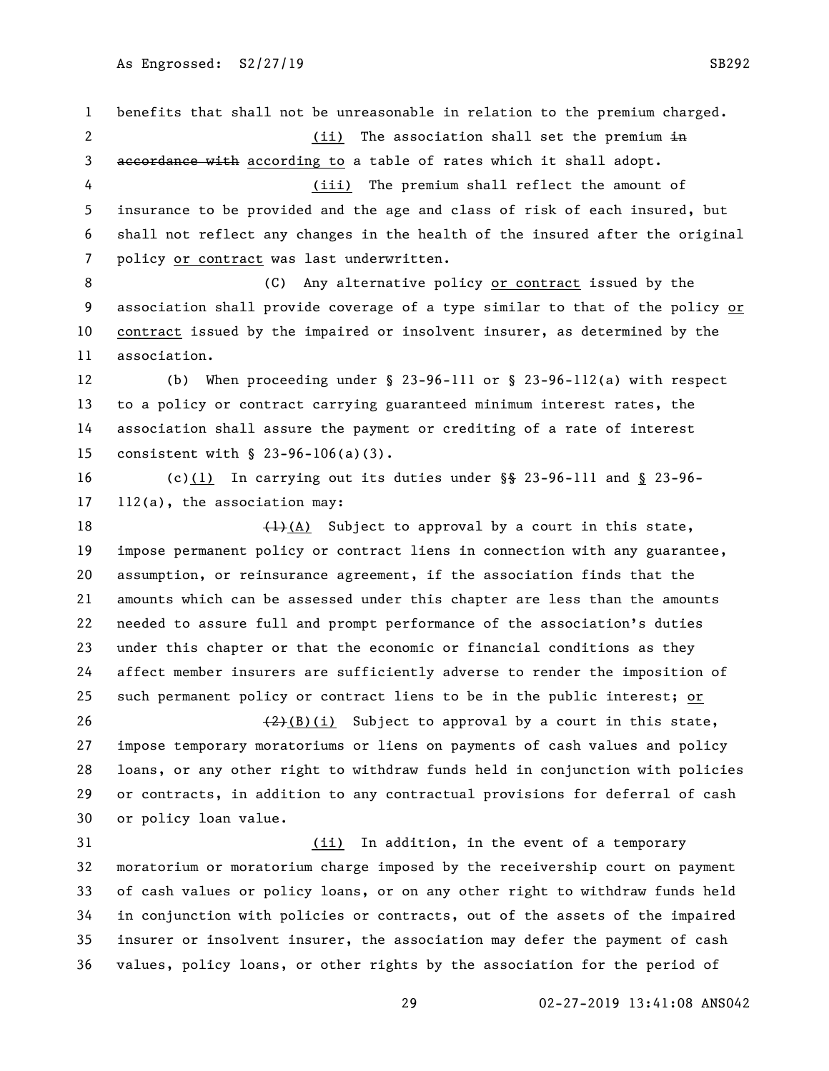benefits that shall not be unreasonable in relation to the premium charged. 2 (ii) The association shall set the premium  $\frac{1}{2}$ 3 accordance with according to a table of rates which it shall adopt. (iii) The premium shall reflect the amount of insurance to be provided and the age and class of risk of each insured, but shall not reflect any changes in the health of the insured after the original policy or contract was last underwritten. 8 (C) Any alternative policy or contract issued by the association shall provide coverage of a type similar to that of the policy or contract issued by the impaired or insolvent insurer, as determined by the association. (b) When proceeding under § 23-96-111 or § 23-96-112(a) with respect to a policy or contract carrying guaranteed minimum interest rates, the association shall assure the payment or crediting of a rate of interest consistent with § 23-96-106(a)(3). (c)(1) In carrying out its duties under §§ 23-96-111 and § 23-96- 112(a), the association may:  $\left(\frac{1}{1}\right)$  (A) Subject to approval by a court in this state, impose permanent policy or contract liens in connection with any guarantee, assumption, or reinsurance agreement, if the association finds that the amounts which can be assessed under this chapter are less than the amounts needed to assure full and prompt performance of the association's duties under this chapter or that the economic or financial conditions as they affect member insurers are sufficiently adverse to render the imposition of such permanent policy or contract liens to be in the public interest; or  $(2)(B)(i)$  Subject to approval by a court in this state, impose temporary moratoriums or liens on payments of cash values and policy loans, or any other right to withdraw funds held in conjunction with policies or contracts, in addition to any contractual provisions for deferral of cash or policy loan value. (ii) In addition, in the event of a temporary moratorium or moratorium charge imposed by the receivership court on payment of cash values or policy loans, or on any other right to withdraw funds held in conjunction with policies or contracts, out of the assets of the impaired insurer or insolvent insurer, the association may defer the payment of cash values, policy loans, or other rights by the association for the period of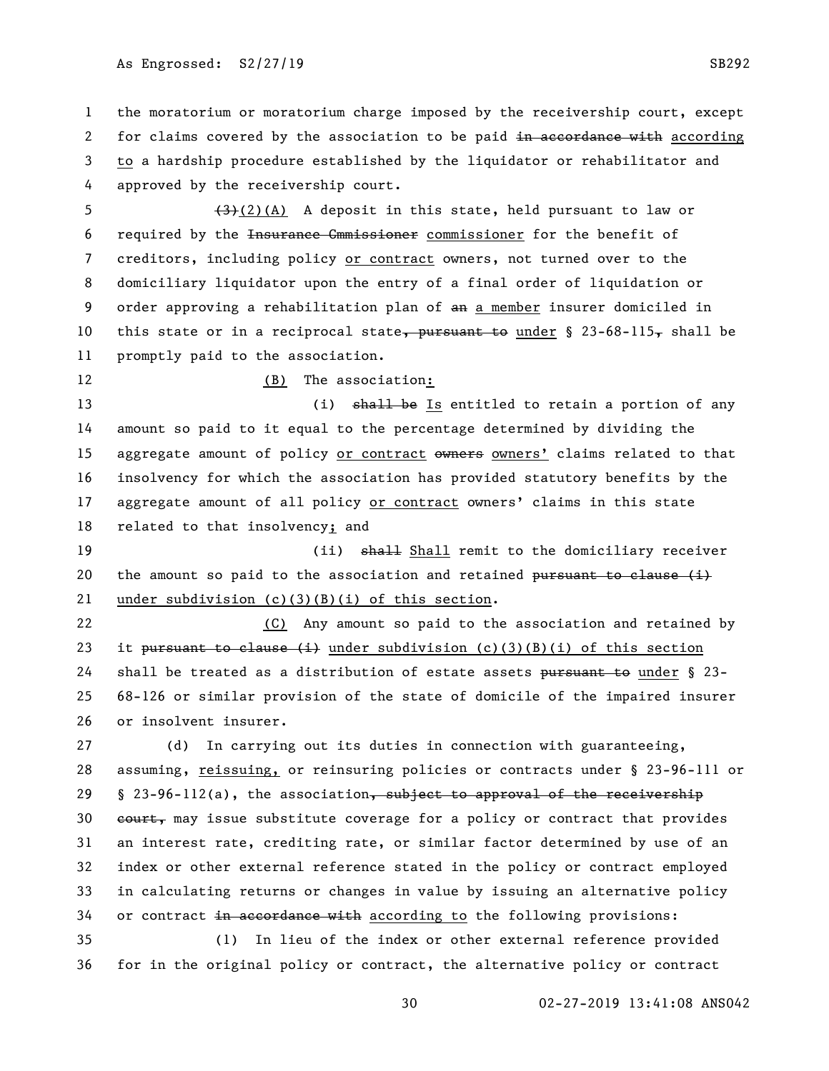the moratorium or moratorium charge imposed by the receivership court, except 2 for claims covered by the association to be paid in accordance with according to a hardship procedure established by the liquidator or rehabilitator and approved by the receivership court.

 $(3)(2)(A)$  A deposit in this state, held pursuant to law or required by the Insurance Cmmissioner commissioner for the benefit of creditors, including policy or contract owners, not turned over to the domiciliary liquidator upon the entry of a final order of liquidation or order approving a rehabilitation plan of an a member insurer domiciled in 10 this state or in a reciprocal state, pursuant to under  $\S$  23-68-115, shall be promptly paid to the association.

# 12 (B) The association:

13 (i) shall be Is entitled to retain a portion of any amount so paid to it equal to the percentage determined by dividing the 15 aggregate amount of policy or contract owners owners' claims related to that insolvency for which the association has provided statutory benefits by the aggregate amount of all policy or contract owners' claims in this state related to that insolvency; and

19 (ii) shall femit to the domiciliary receiver 20 the amount so paid to the association and retained  $\frac{1}{2}$  but the clause (i) under subdivision (c)(3)(B)(i) of this section.

 (C) Any amount so paid to the association and retained by 23 it pursuant to clause  $(i)$  under subdivision  $(c)(3)(B)(i)$  of this section 24 shall be treated as a distribution of estate assets pursuant to under § 23- 68-126 or similar provision of the state of domicile of the impaired insurer or insolvent insurer.

 (d) In carrying out its duties in connection with guaranteeing, assuming, reissuing, or reinsuring policies or contracts under § 23-96-111 or 29 § 23-96-112(a), the association, subject to approval of the receivership 30 eourt, may issue substitute coverage for a policy or contract that provides an interest rate, crediting rate, or similar factor determined by use of an index or other external reference stated in the policy or contract employed in calculating returns or changes in value by issuing an alternative policy 34 or contract in accordance with according to the following provisions:

 (1) In lieu of the index or other external reference provided for in the original policy or contract, the alternative policy or contract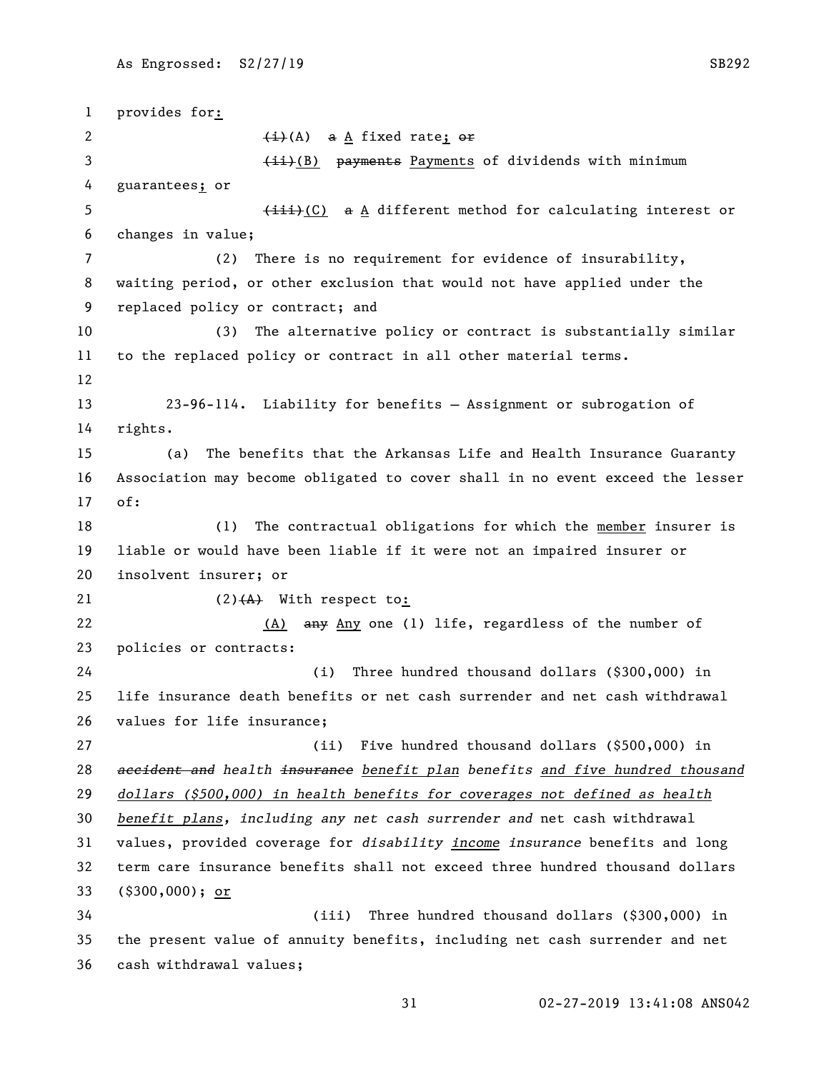provides for:  $\leftarrow$   $\leftarrow$   $\leftarrow$   $\leftarrow$   $\leftarrow$   $\leftarrow$   $\leftarrow$ 3 (ii)(B) payments Payments of dividends with minimum guarantees; or 5 (iii)(C) a A different method for calculating interest or changes in value; (2) There is no requirement for evidence of insurability, waiting period, or other exclusion that would not have applied under the replaced policy or contract; and (3) The alternative policy or contract is substantially similar to the replaced policy or contract in all other material terms. 23-96-114. Liability for benefits — Assignment or subrogation of rights. (a) The benefits that the Arkansas Life and Health Insurance Guaranty Association may become obligated to cover shall in no event exceed the lesser of: (1) The contractual obligations for which the member insurer is liable or would have been liable if it were not an impaired insurer or insolvent insurer; or  $(2)$   $(4)$  With respect to: 22 (A) any Any one (1) life, regardless of the number of policies or contracts: (i) Three hundred thousand dollars (\$300,000) in life insurance death benefits or net cash surrender and net cash withdrawal values for life insurance; (ii) Five hundred thousand dollars (\$500,000) in *accident and health insurance benefit plan benefits and five hundred thousand dollars (\$500,000) in health benefits for coverages not defined as health benefit plans, including any net cash surrender and* net cash withdrawal values, provided coverage for *disability income insurance* benefits and long term care insurance benefits shall not exceed three hundred thousand dollars (\$300,000); or (iii) Three hundred thousand dollars (\$300,000) in the present value of annuity benefits, including net cash surrender and net cash withdrawal values;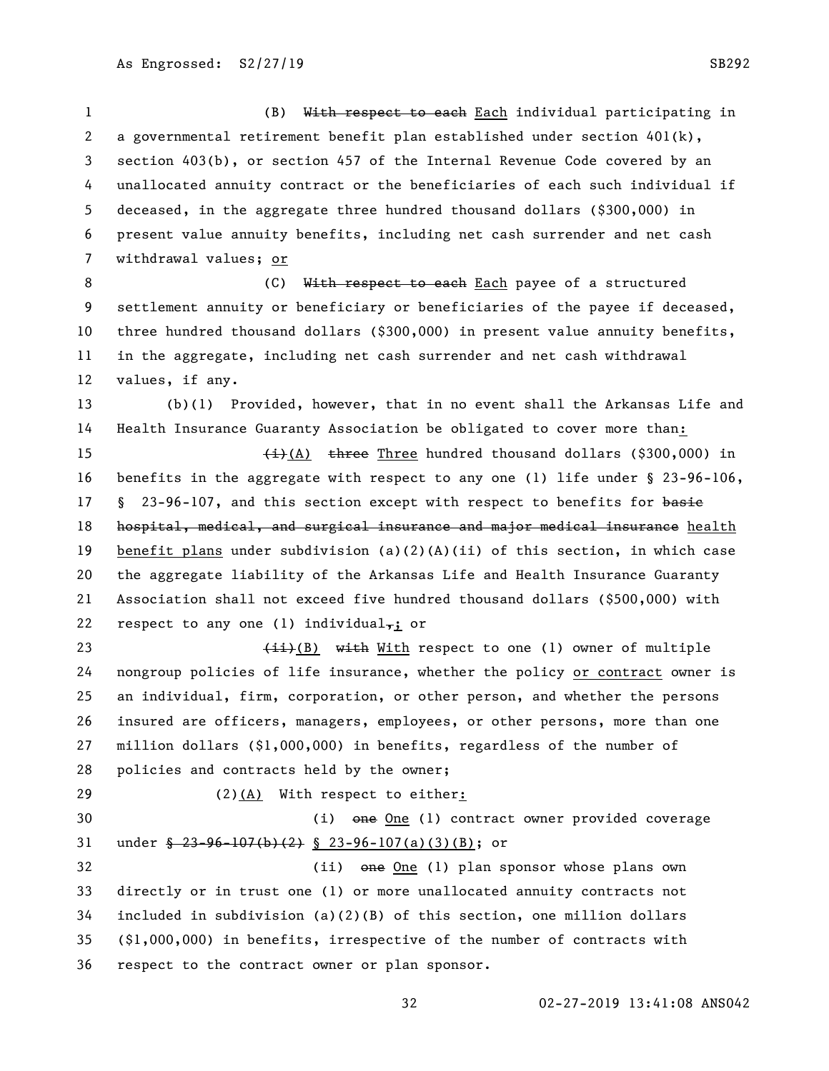(B) With respect to each Each individual participating in 2 a governmental retirement benefit plan established under section  $401(k)$ , section 403(b), or section 457 of the Internal Revenue Code covered by an unallocated annuity contract or the beneficiaries of each such individual if deceased, in the aggregate three hundred thousand dollars (\$300,000) in present value annuity benefits, including net cash surrender and net cash withdrawal values; or

8 (C) With respect to each Each payee of a structured settlement annuity or beneficiary or beneficiaries of the payee if deceased, three hundred thousand dollars (\$300,000) in present value annuity benefits, in the aggregate, including net cash surrender and net cash withdrawal values, if any.

 (b)(1) Provided, however, that in no event shall the Arkansas Life and Health Insurance Guaranty Association be obligated to cover more than:

 $\leftarrow$   $\leftarrow$   $\leftarrow$  (A) three Three hundred thousand dollars (\$300,000) in benefits in the aggregate with respect to any one (1) life under § 23-96-106, 17 § 23-96-107, and this section except with respect to benefits for basie 18 hospital, medical, and surgical insurance and major medical insurance health benefit plans under subdivision (a)(2)(A)(ii) of this section, in which case the aggregate liability of the Arkansas Life and Health Insurance Guaranty Association shall not exceed five hundred thousand dollars (\$500,000) with 22 respect to any one (1) individual,; or

 $\leftarrow$   $\leftarrow$   $\leftarrow$   $\leftarrow$  (B) with respect to one (1) owner of multiple nongroup policies of life insurance, whether the policy or contract owner is an individual, firm, corporation, or other person, and whether the persons insured are officers, managers, employees, or other persons, more than one million dollars (\$1,000,000) in benefits, regardless of the number of policies and contracts held by the owner;

(2)(A) With respect to either:

 (i) one One (1) contract owner provided coverage under § 23-96-107(b)(2) § 23-96-107(a)(3)(B); or (ii) one One (1) plan sponsor whose plans own directly or in trust one (1) or more unallocated annuity contracts not included in subdivision (a)(2)(B) of this section, one million dollars

 (\$1,000,000) in benefits, irrespective of the number of contracts with respect to the contract owner or plan sponsor.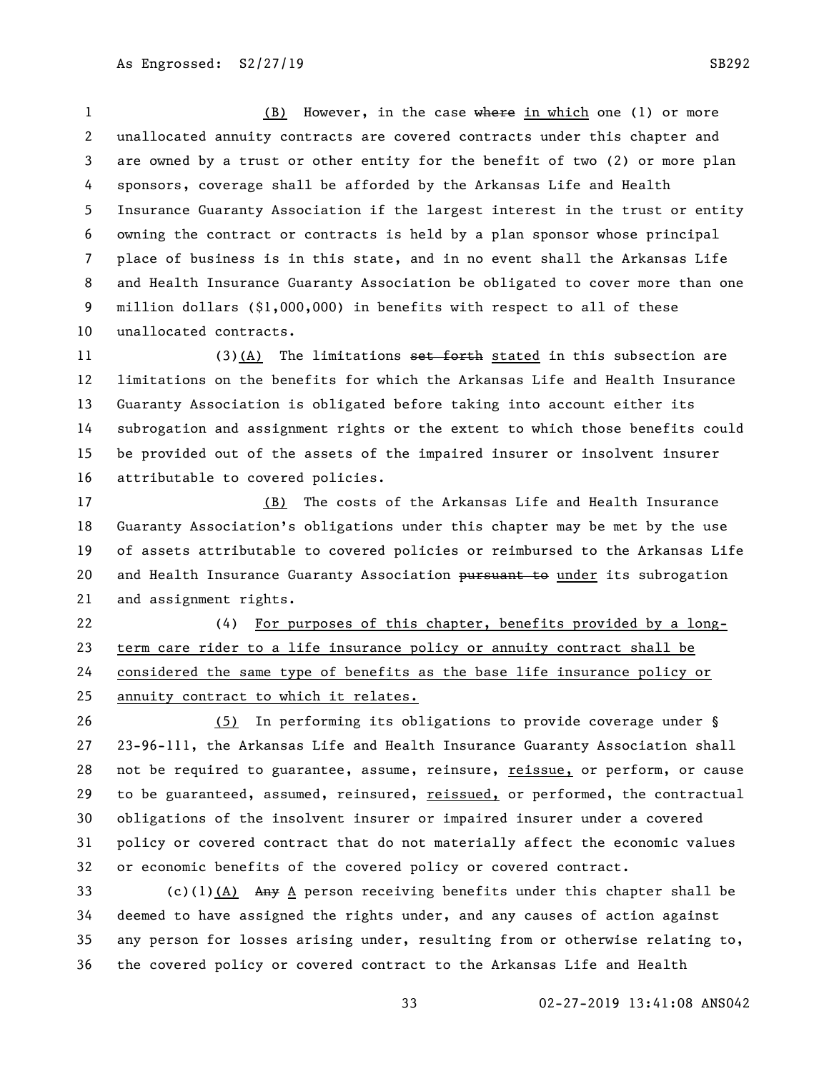1 (B) However, in the case where in which one (1) or more unallocated annuity contracts are covered contracts under this chapter and are owned by a trust or other entity for the benefit of two (2) or more plan sponsors, coverage shall be afforded by the Arkansas Life and Health Insurance Guaranty Association if the largest interest in the trust or entity owning the contract or contracts is held by a plan sponsor whose principal place of business is in this state, and in no event shall the Arkansas Life and Health Insurance Guaranty Association be obligated to cover more than one million dollars (\$1,000,000) in benefits with respect to all of these unallocated contracts.

11 (3)(A) The limitations set forth stated in this subsection are limitations on the benefits for which the Arkansas Life and Health Insurance Guaranty Association is obligated before taking into account either its subrogation and assignment rights or the extent to which those benefits could be provided out of the assets of the impaired insurer or insolvent insurer attributable to covered policies.

 (B) The costs of the Arkansas Life and Health Insurance Guaranty Association's obligations under this chapter may be met by the use of assets attributable to covered policies or reimbursed to the Arkansas Life 20 and Health Insurance Guaranty Association pursuant to under its subrogation and assignment rights.

 (4) For purposes of this chapter, benefits provided by a long- term care rider to a life insurance policy or annuity contract shall be considered the same type of benefits as the base life insurance policy or annuity contract to which it relates.

 (5) In performing its obligations to provide coverage under § 23-96-111, the Arkansas Life and Health Insurance Guaranty Association shall not be required to guarantee, assume, reinsure, reissue, or perform, or cause to be guaranteed, assumed, reinsured, reissued, or performed, the contractual obligations of the insolvent insurer or impaired insurer under a covered policy or covered contract that do not materially affect the economic values or economic benefits of the covered policy or covered contract.

33 (c)(1)(A) Any A person receiving benefits under this chapter shall be deemed to have assigned the rights under, and any causes of action against any person for losses arising under, resulting from or otherwise relating to, the covered policy or covered contract to the Arkansas Life and Health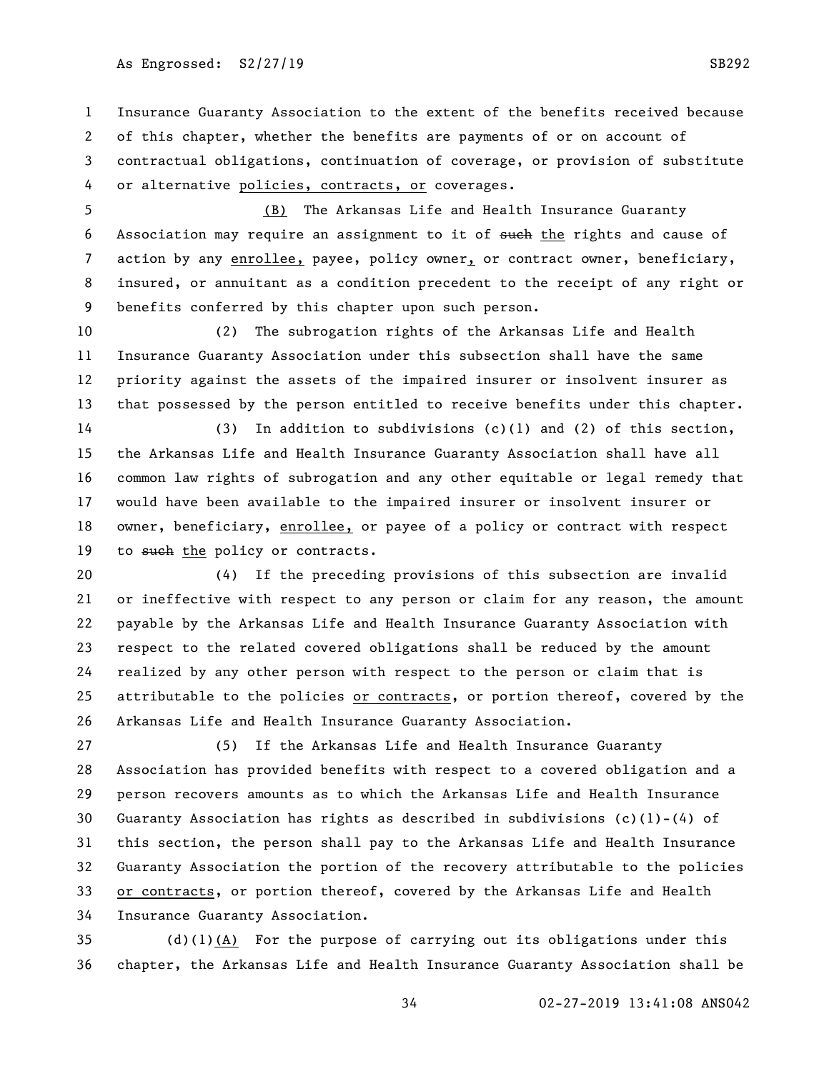# As Engrossed: S2/27/19 SB292

 Insurance Guaranty Association to the extent of the benefits received because of this chapter, whether the benefits are payments of or on account of contractual obligations, continuation of coverage, or provision of substitute or alternative policies, contracts, or coverages.

 (B) The Arkansas Life and Health Insurance Guaranty 6 Association may require an assignment to it of such the rights and cause of 7 action by any enrollee, payee, policy owner, or contract owner, beneficiary, insured, or annuitant as a condition precedent to the receipt of any right or benefits conferred by this chapter upon such person.

 (2) The subrogation rights of the Arkansas Life and Health Insurance Guaranty Association under this subsection shall have the same priority against the assets of the impaired insurer or insolvent insurer as that possessed by the person entitled to receive benefits under this chapter.

 (3) In addition to subdivisions (c)(1) and (2) of this section, the Arkansas Life and Health Insurance Guaranty Association shall have all common law rights of subrogation and any other equitable or legal remedy that would have been available to the impaired insurer or insolvent insurer or 18 owner, beneficiary, enrollee, or payee of a policy or contract with respect 19 to such the policy or contracts.

 (4) If the preceding provisions of this subsection are invalid or ineffective with respect to any person or claim for any reason, the amount payable by the Arkansas Life and Health Insurance Guaranty Association with respect to the related covered obligations shall be reduced by the amount realized by any other person with respect to the person or claim that is 25 attributable to the policies or contracts, or portion thereof, covered by the Arkansas Life and Health Insurance Guaranty Association.

 (5) If the Arkansas Life and Health Insurance Guaranty Association has provided benefits with respect to a covered obligation and a person recovers amounts as to which the Arkansas Life and Health Insurance Guaranty Association has rights as described in subdivisions (c)(1)-(4) of this section, the person shall pay to the Arkansas Life and Health Insurance Guaranty Association the portion of the recovery attributable to the policies or contracts, or portion thereof, covered by the Arkansas Life and Health Insurance Guaranty Association.

 (d)(1)(A) For the purpose of carrying out its obligations under this chapter, the Arkansas Life and Health Insurance Guaranty Association shall be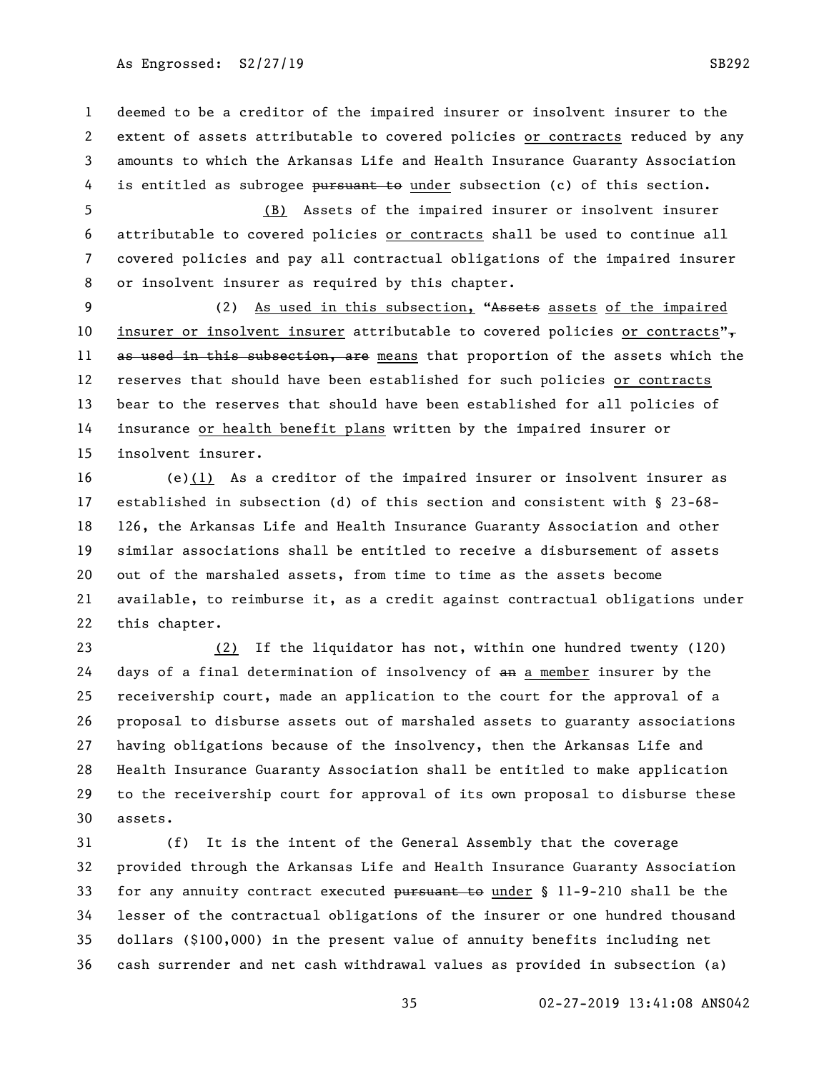As Engrossed: S2/27/19 SB292

 deemed to be a creditor of the impaired insurer or insolvent insurer to the extent of assets attributable to covered policies or contracts reduced by any amounts to which the Arkansas Life and Health Insurance Guaranty Association 4 is entitled as subrogee pursuant to under subsection (c) of this section.

 (B) Assets of the impaired insurer or insolvent insurer attributable to covered policies or contracts shall be used to continue all covered policies and pay all contractual obligations of the impaired insurer or insolvent insurer as required by this chapter.

9 (2) As used in this subsection, "Assets assets of the impaired 10 insurer or insolvent insurer attributable to covered policies or contracts" $\tau$ 11 as used in this subsection, are means that proportion of the assets which the reserves that should have been established for such policies or contracts bear to the reserves that should have been established for all policies of insurance or health benefit plans written by the impaired insurer or insolvent insurer.

 (e)(1) As a creditor of the impaired insurer or insolvent insurer as established in subsection (d) of this section and consistent with § 23-68- 126, the Arkansas Life and Health Insurance Guaranty Association and other similar associations shall be entitled to receive a disbursement of assets out of the marshaled assets, from time to time as the assets become available, to reimburse it, as a credit against contractual obligations under this chapter.

 (2) If the liquidator has not, within one hundred twenty (120) 24 days of a final determination of insolvency of  $a_n$  a member insurer by the receivership court, made an application to the court for the approval of a proposal to disburse assets out of marshaled assets to guaranty associations having obligations because of the insolvency, then the Arkansas Life and Health Insurance Guaranty Association shall be entitled to make application to the receivership court for approval of its own proposal to disburse these assets.

 (f) It is the intent of the General Assembly that the coverage provided through the Arkansas Life and Health Insurance Guaranty Association 33 for any annuity contract executed pursuant to under § 11-9-210 shall be the lesser of the contractual obligations of the insurer or one hundred thousand dollars (\$100,000) in the present value of annuity benefits including net cash surrender and net cash withdrawal values as provided in subsection (a)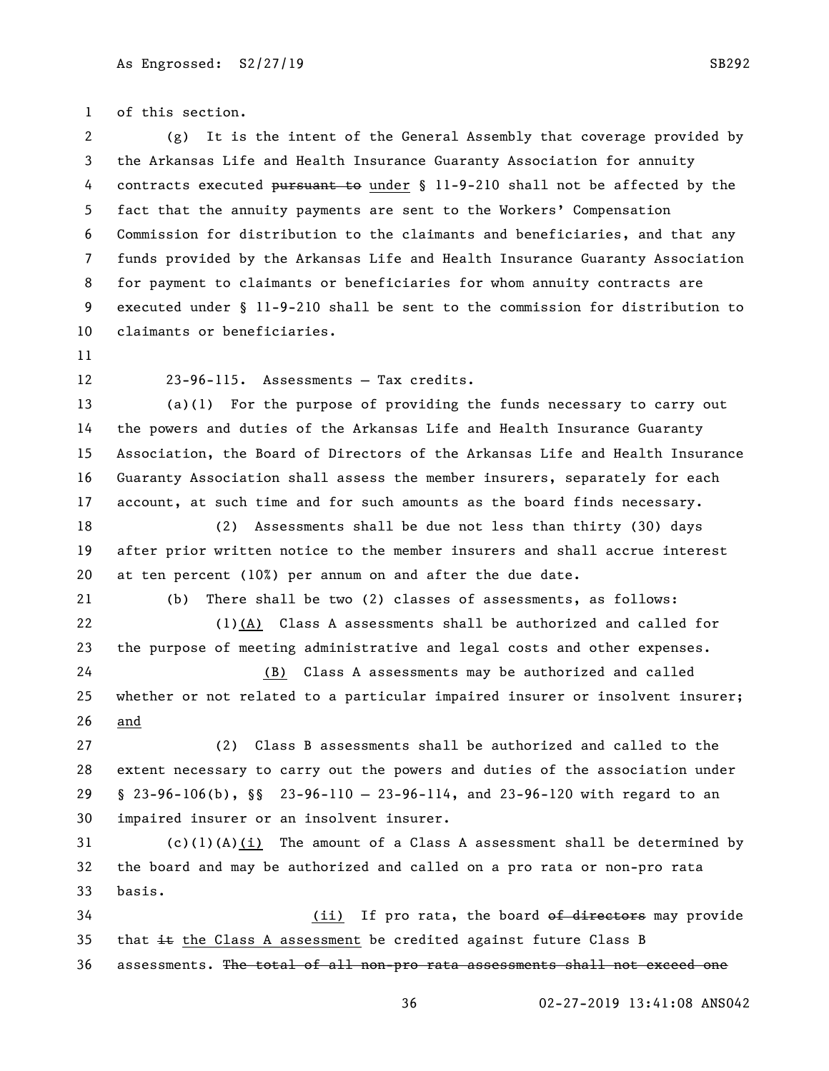of this section.

 (g) It is the intent of the General Assembly that coverage provided by the Arkansas Life and Health Insurance Guaranty Association for annuity contracts executed pursuant to under § 11-9-210 shall not be affected by the fact that the annuity payments are sent to the Workers' Compensation Commission for distribution to the claimants and beneficiaries, and that any funds provided by the Arkansas Life and Health Insurance Guaranty Association for payment to claimants or beneficiaries for whom annuity contracts are executed under § 11-9-210 shall be sent to the commission for distribution to claimants or beneficiaries.

23-96-115. Assessments — Tax credits.

 (a)(1) For the purpose of providing the funds necessary to carry out the powers and duties of the Arkansas Life and Health Insurance Guaranty Association, the Board of Directors of the Arkansas Life and Health Insurance Guaranty Association shall assess the member insurers, separately for each account, at such time and for such amounts as the board finds necessary.

 (2) Assessments shall be due not less than thirty (30) days after prior written notice to the member insurers and shall accrue interest at ten percent (10%) per annum on and after the due date.

 (b) There shall be two (2) classes of assessments, as follows: (1)(A) Class A assessments shall be authorized and called for the purpose of meeting administrative and legal costs and other expenses. (B) Class A assessments may be authorized and called

25 whether or not related to a particular impaired insurer or insolvent insurer; and

 (2) Class B assessments shall be authorized and called to the extent necessary to carry out the powers and duties of the association under § 23-96-106(b), §§ 23-96-110 — 23-96-114, and 23-96-120 with regard to an impaired insurer or an insolvent insurer.

 (c)(1)(A)(i) The amount of a Class A assessment shall be determined by the board and may be authorized and called on a pro rata or non-pro rata basis.

34 (ii) If pro rata, the board of directors may provide 35 that  $\pm\epsilon$  the Class A assessment be credited against future Class B assessments. The total of all non-pro rata assessments shall not exceed one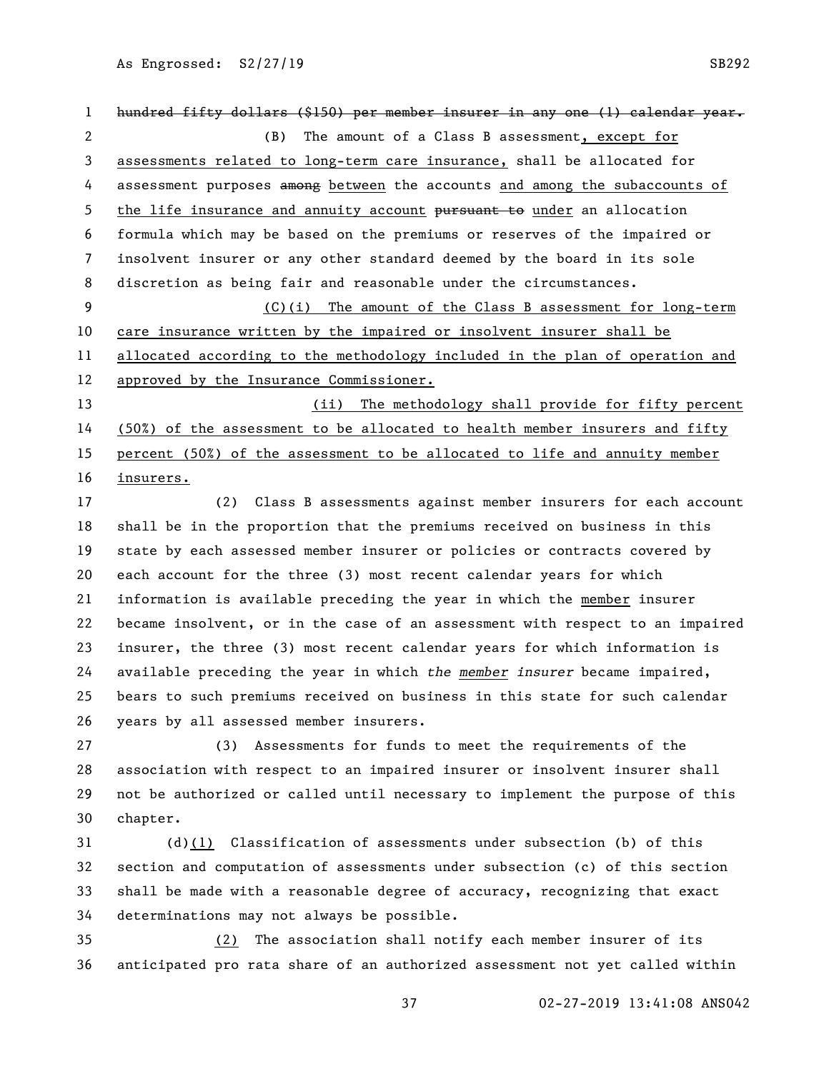As Engrossed: S2/27/19 SB292

1 hundred fifty dollars (\$150) per member insurer in any one (1) calendar year. (B) The amount of a Class B assessment, except for assessments related to long-term care insurance, shall be allocated for 4 assessment purposes a mong between the accounts and among the subaccounts of 5 the life insurance and annuity account pursuant to under an allocation formula which may be based on the premiums or reserves of the impaired or insolvent insurer or any other standard deemed by the board in its sole discretion as being fair and reasonable under the circumstances. (C)(i) The amount of the Class B assessment for long-term care insurance written by the impaired or insolvent insurer shall be allocated according to the methodology included in the plan of operation and approved by the Insurance Commissioner. (ii) The methodology shall provide for fifty percent (50%) of the assessment to be allocated to health member insurers and fifty percent (50%) of the assessment to be allocated to life and annuity member insurers.

 (2) Class B assessments against member insurers for each account shall be in the proportion that the premiums received on business in this state by each assessed member insurer or policies or contracts covered by each account for the three (3) most recent calendar years for which information is available preceding the year in which the member insurer became insolvent, or in the case of an assessment with respect to an impaired insurer, the three (3) most recent calendar years for which information is available preceding the year in which *the member insurer* became impaired, bears to such premiums received on business in this state for such calendar years by all assessed member insurers.

 (3) Assessments for funds to meet the requirements of the association with respect to an impaired insurer or insolvent insurer shall not be authorized or called until necessary to implement the purpose of this chapter.

 (d)(1) Classification of assessments under subsection (b) of this section and computation of assessments under subsection (c) of this section shall be made with a reasonable degree of accuracy, recognizing that exact determinations may not always be possible.

 (2) The association shall notify each member insurer of its anticipated pro rata share of an authorized assessment not yet called within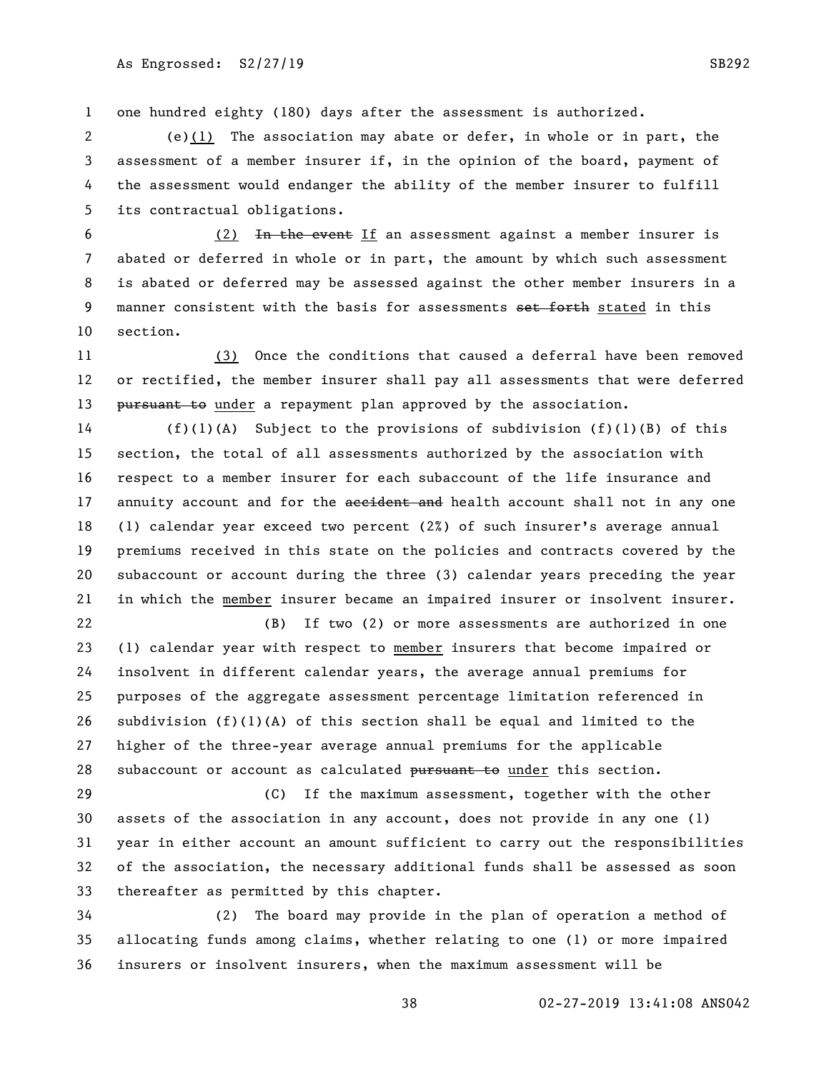1 one hundred eighty (180) days after the assessment is authorized.

 (e)(1) The association may abate or defer, in whole or in part, the assessment of a member insurer if, in the opinion of the board, payment of the assessment would endanger the ability of the member insurer to fulfill its contractual obligations.

6 (2) In the event If an assessment against a member insurer is abated or deferred in whole or in part, the amount by which such assessment is abated or deferred may be assessed against the other member insurers in a 9 manner consistent with the basis for assessments set forth stated in this section.

 (3) Once the conditions that caused a deferral have been removed or rectified, the member insurer shall pay all assessments that were deferred 13 <del>pursuant to</del> under a repayment plan approved by the association.

 (f)(1)(A) Subject to the provisions of subdivision (f)(1)(B) of this section, the total of all assessments authorized by the association with respect to a member insurer for each subaccount of the life insurance and 17 annuity account and for the accident and health account shall not in any one (1) calendar year exceed two percent (2%) of such insurer's average annual premiums received in this state on the policies and contracts covered by the subaccount or account during the three (3) calendar years preceding the year in which the member insurer became an impaired insurer or insolvent insurer.

 (B) If two (2) or more assessments are authorized in one (1) calendar year with respect to member insurers that become impaired or insolvent in different calendar years, the average annual premiums for purposes of the aggregate assessment percentage limitation referenced in 26 subdivision  $(f)(1)(A)$  of this section shall be equal and limited to the higher of the three-year average annual premiums for the applicable 28 subaccount or account as calculated pursuant to under this section.

 (C) If the maximum assessment, together with the other assets of the association in any account, does not provide in any one (1) year in either account an amount sufficient to carry out the responsibilities of the association, the necessary additional funds shall be assessed as soon thereafter as permitted by this chapter.

 (2) The board may provide in the plan of operation a method of allocating funds among claims, whether relating to one (1) or more impaired insurers or insolvent insurers, when the maximum assessment will be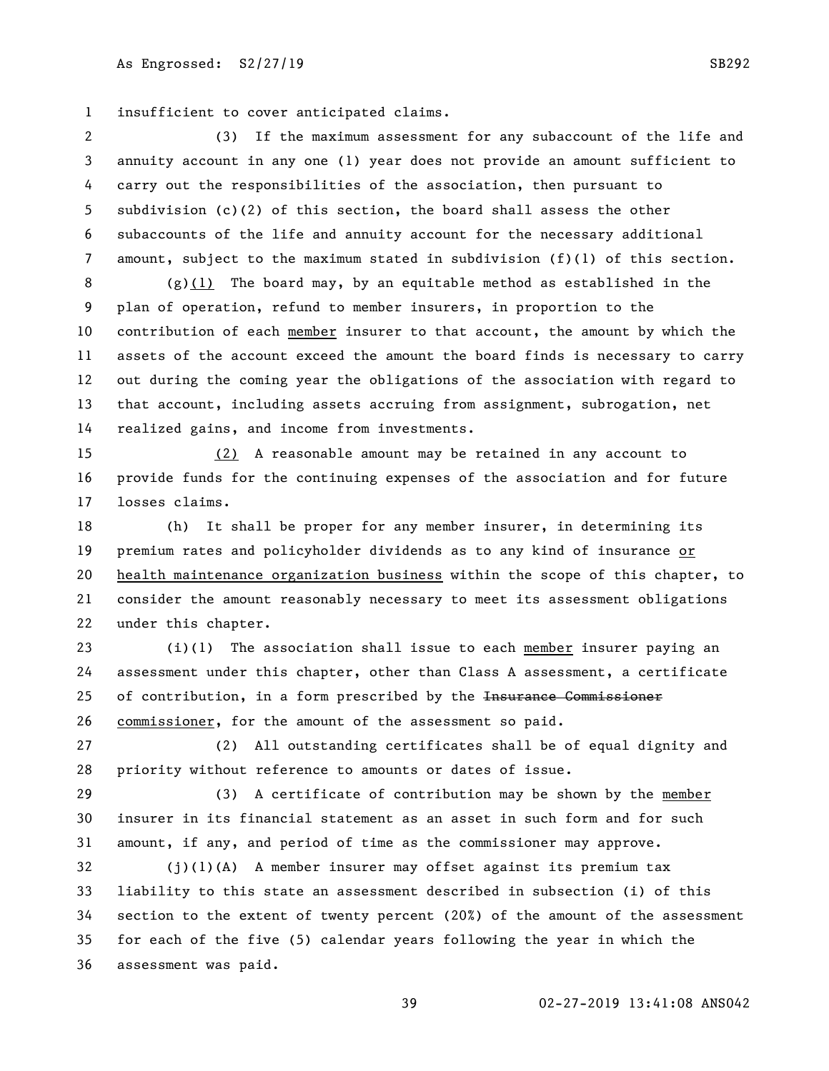insufficient to cover anticipated claims.

 (3) If the maximum assessment for any subaccount of the life and annuity account in any one (1) year does not provide an amount sufficient to carry out the responsibilities of the association, then pursuant to subdivision (c)(2) of this section, the board shall assess the other subaccounts of the life and annuity account for the necessary additional amount, subject to the maximum stated in subdivision (f)(1) of this section.

 (g)(1) The board may, by an equitable method as established in the plan of operation, refund to member insurers, in proportion to the contribution of each member insurer to that account, the amount by which the assets of the account exceed the amount the board finds is necessary to carry out during the coming year the obligations of the association with regard to that account, including assets accruing from assignment, subrogation, net realized gains, and income from investments.

 (2) A reasonable amount may be retained in any account to provide funds for the continuing expenses of the association and for future losses claims.

 (h) It shall be proper for any member insurer, in determining its premium rates and policyholder dividends as to any kind of insurance or health maintenance organization business within the scope of this chapter, to consider the amount reasonably necessary to meet its assessment obligations under this chapter.

 (i)(1) The association shall issue to each member insurer paying an assessment under this chapter, other than Class A assessment, a certificate of contribution, in a form prescribed by the Insurance Commissioner commissioner, for the amount of the assessment so paid.

 (2) All outstanding certificates shall be of equal dignity and priority without reference to amounts or dates of issue.

 (3) A certificate of contribution may be shown by the member insurer in its financial statement as an asset in such form and for such amount, if any, and period of time as the commissioner may approve.

 (j)(1)(A) A member insurer may offset against its premium tax liability to this state an assessment described in subsection (i) of this section to the extent of twenty percent (20%) of the amount of the assessment for each of the five (5) calendar years following the year in which the assessment was paid.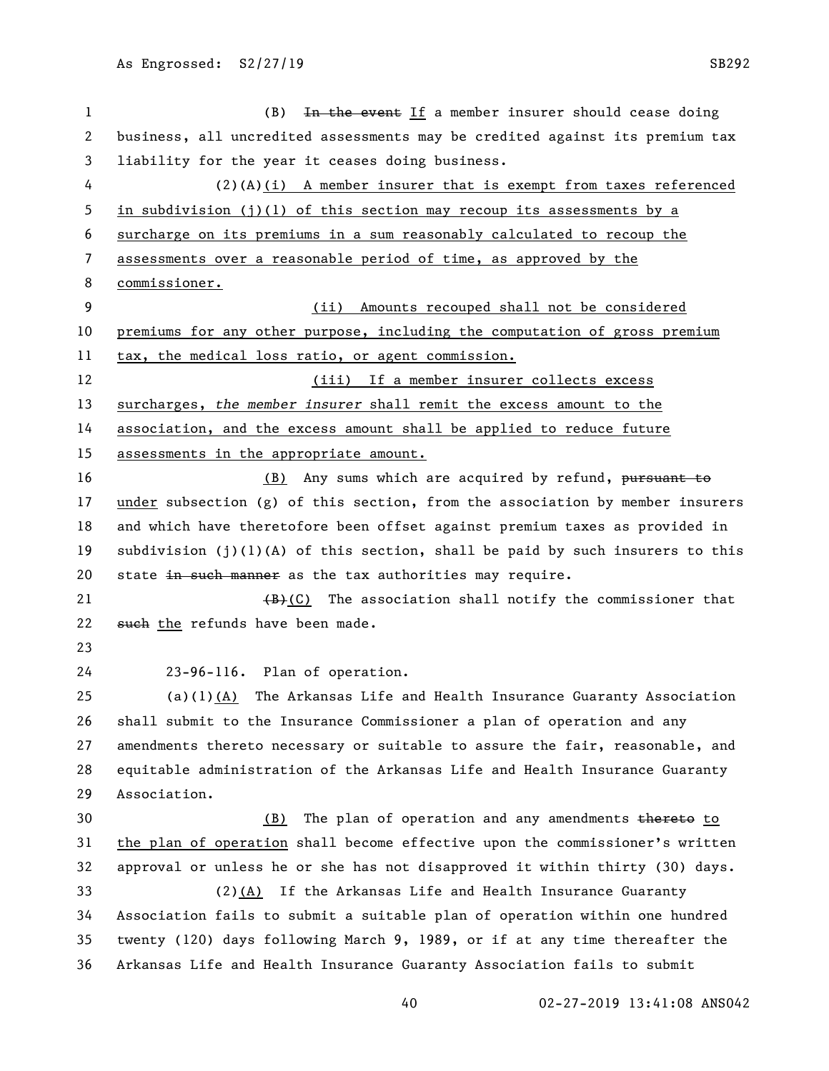| 1            | In the event If a member insurer should cease doing<br>(B)                      |
|--------------|---------------------------------------------------------------------------------|
| $\mathbf{2}$ | business, all uncredited assessments may be credited against its premium tax    |
| 3            | liability for the year it ceases doing business.                                |
| 4            | $(2)(A)(i)$ A member insurer that is exempt from taxes referenced               |
| 5            | in subdivision $(j)(1)$ of this section may recoup its assessments by a         |
| 6            | surcharge on its premiums in a sum reasonably calculated to recoup the          |
| 7            | assessments over a reasonable period of time, as approved by the                |
| 8            | commissioner.                                                                   |
| 9            | Amounts recouped shall not be considered<br>(ii)                                |
| 10           | premiums for any other purpose, including the computation of gross premium      |
| 11           | tax, the medical loss ratio, or agent commission.                               |
| 12           | (iii) If a member insurer collects excess                                       |
| 13           | surcharges, the member insurer shall remit the excess amount to the             |
| 14           | association, and the excess amount shall be applied to reduce future            |
| 15           | assessments in the appropriate amount.                                          |
| 16           | (B) Any sums which are acquired by refund, pursuant to                          |
| 17           | $under$ subsection (g) of this section, from the association by member insurers |
| 18           | and which have theretofore been offset against premium taxes as provided in     |
| 19           | subdivision $(j)(1)(A)$ of this section, shall be paid by such insurers to this |
| 20           | state in such manner as the tax authorities may require.                        |
| 21           | $\frac{1}{2}$ (C) The association shall notify the commissioner that            |
| 22           | such the refunds have been made.                                                |
| 23           |                                                                                 |
| 24           | 23-96-116. Plan of operation.                                                   |
| 25           | $(a)(1)(A)$ The Arkansas Life and Health Insurance Guaranty Association         |
| 26           | shall submit to the Insurance Commissioner a plan of operation and any          |
| 27           | amendments thereto necessary or suitable to assure the fair, reasonable, and    |
| 28           | equitable administration of the Arkansas Life and Health Insurance Guaranty     |
| 29           | Association.                                                                    |
| 30           | (B) The plan of operation and any amendments thereto to                         |
| 31           | the plan of operation shall become effective upon the commissioner's written    |
| 32           | approval or unless he or she has not disapproved it within thirty (30) days.    |
| 33           | $(2)$ (A) If the Arkansas Life and Health Insurance Guaranty                    |
| 34           | Association fails to submit a suitable plan of operation within one hundred     |
| 35           | twenty (120) days following March 9, 1989, or if at any time thereafter the     |
| 36           | Arkansas Life and Health Insurance Guaranty Association fails to submit         |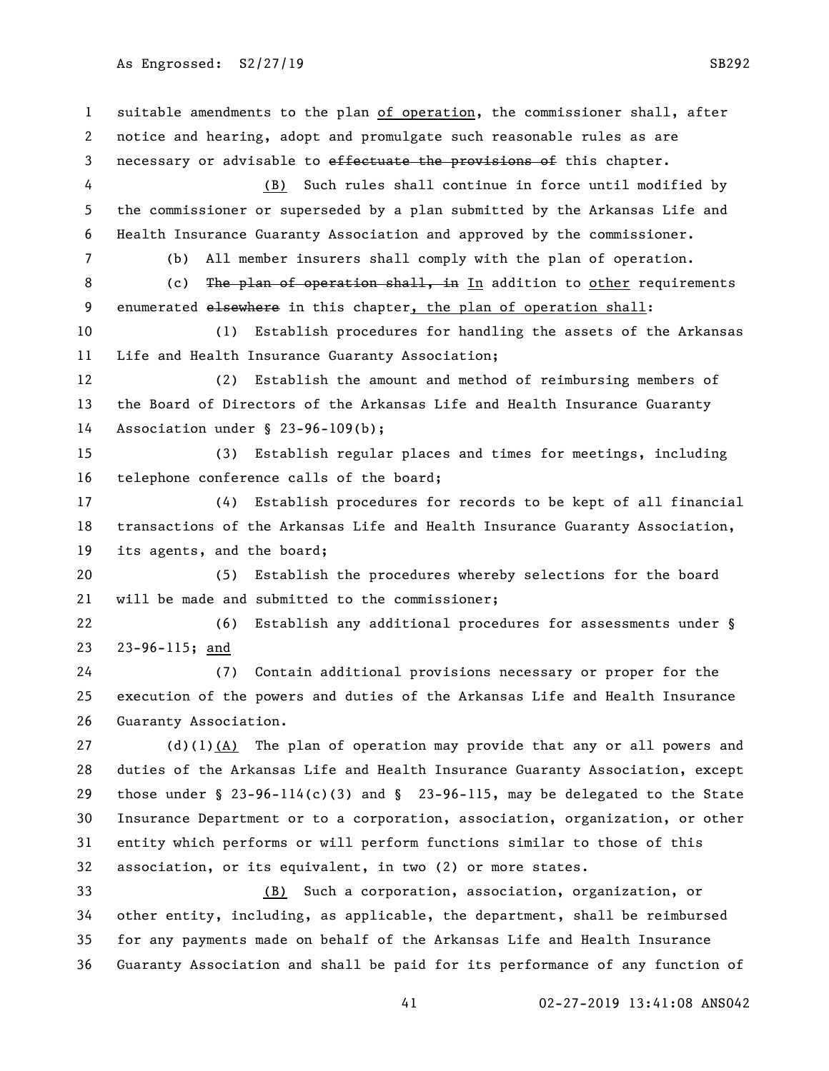suitable amendments to the plan of operation, the commissioner shall, after notice and hearing, adopt and promulgate such reasonable rules as are 3 necessary or advisable to effectuate the provisions of this chapter. (B) Such rules shall continue in force until modified by the commissioner or superseded by a plan submitted by the Arkansas Life and Health Insurance Guaranty Association and approved by the commissioner. (b) All member insurers shall comply with the plan of operation. 8 (c) The plan of operation shall, in In addition to other requirements 9 enumerated elsewhere in this chapter, the plan of operation shall: (1) Establish procedures for handling the assets of the Arkansas Life and Health Insurance Guaranty Association; (2) Establish the amount and method of reimbursing members of the Board of Directors of the Arkansas Life and Health Insurance Guaranty Association under § 23-96-109(b); (3) Establish regular places and times for meetings, including telephone conference calls of the board; (4) Establish procedures for records to be kept of all financial transactions of the Arkansas Life and Health Insurance Guaranty Association, its agents, and the board; (5) Establish the procedures whereby selections for the board will be made and submitted to the commissioner; (6) Establish any additional procedures for assessments under § 23-96-115; and (7) Contain additional provisions necessary or proper for the execution of the powers and duties of the Arkansas Life and Health Insurance Guaranty Association. 27 (d)(1)(A) The plan of operation may provide that any or all powers and duties of the Arkansas Life and Health Insurance Guaranty Association, except those under § 23-96-114(c)(3) and § 23-96-115, may be delegated to the State Insurance Department or to a corporation, association, organization, or other entity which performs or will perform functions similar to those of this association, or its equivalent, in two (2) or more states. (B) Such a corporation, association, organization, or other entity, including, as applicable, the department, shall be reimbursed for any payments made on behalf of the Arkansas Life and Health Insurance Guaranty Association and shall be paid for its performance of any function of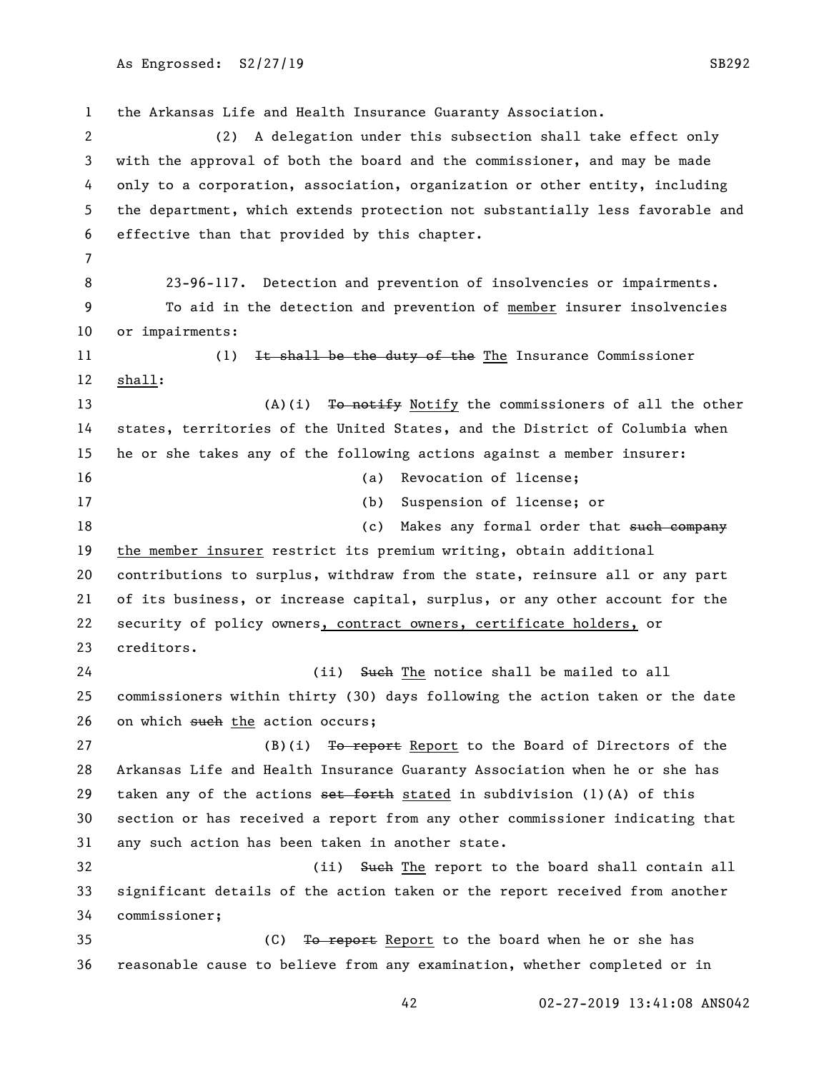the Arkansas Life and Health Insurance Guaranty Association. (2) A delegation under this subsection shall take effect only with the approval of both the board and the commissioner, and may be made only to a corporation, association, organization or other entity, including the department, which extends protection not substantially less favorable and effective than that provided by this chapter. 23-96-117. Detection and prevention of insolvencies or impairments. To aid in the detection and prevention of member insurer insolvencies or impairments: 11 (1) It shall be the duty of the The Insurance Commissioner shall: 13 (A)(i) To notify Notify the commissioners of all the other states, territories of the United States, and the District of Columbia when he or she takes any of the following actions against a member insurer: (a) Revocation of license; (b) Suspension of license; or 18 (c) Makes any formal order that <del>such company</del> the member insurer restrict its premium writing, obtain additional contributions to surplus, withdraw from the state, reinsure all or any part of its business, or increase capital, surplus, or any other account for the security of policy owners, contract owners, certificate holders, or creditors. 24 (ii) Such The notice shall be mailed to all commissioners within thirty (30) days following the action taken or the date 26 on which such the action occurs; 27 (B)(i) To report Report to the Board of Directors of the Arkansas Life and Health Insurance Guaranty Association when he or she has 29 taken any of the actions  $set$  forth stated in subdivision (1)(A) of this section or has received a report from any other commissioner indicating that any such action has been taken in another state. 32 (ii) Such The report to the board shall contain all significant details of the action taken or the report received from another commissioner; 35 (C) To report Report to the board when he or she has reasonable cause to believe from any examination, whether completed or in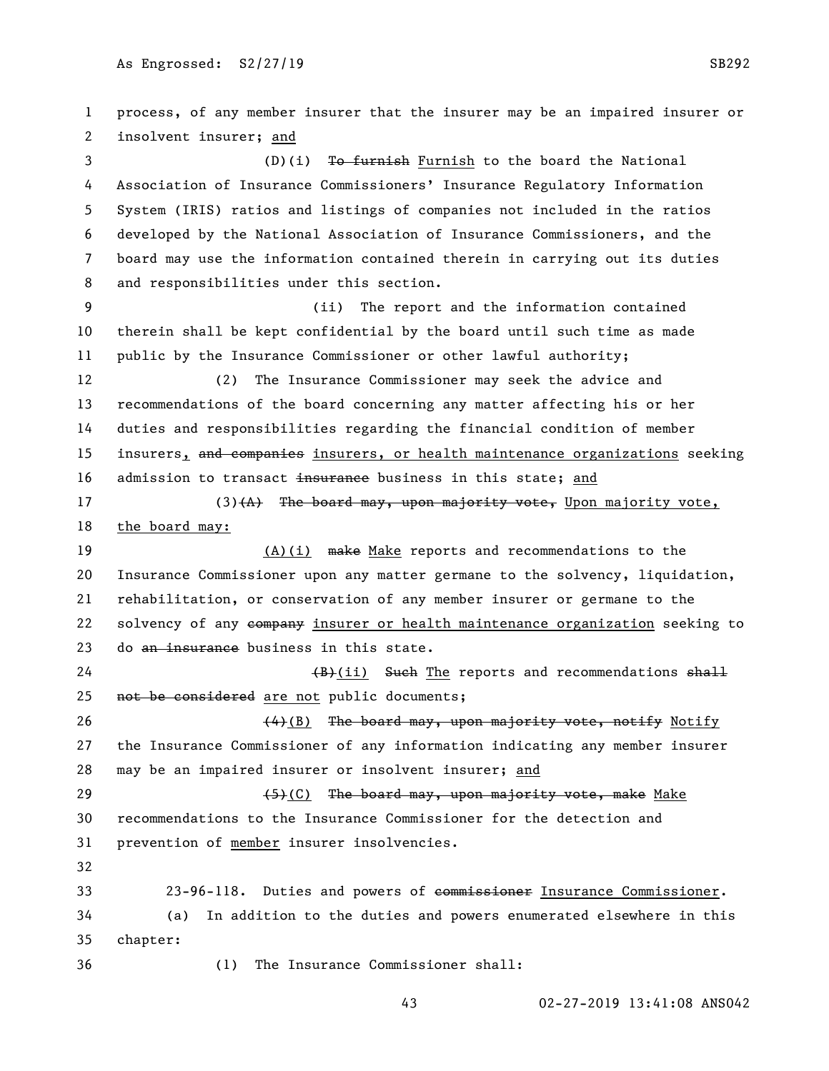process, of any member insurer that the insurer may be an impaired insurer or insolvent insurer; and 3 (D)(i) To furnish Furnish to the board the National Association of Insurance Commissioners' Insurance Regulatory Information System (IRIS) ratios and listings of companies not included in the ratios developed by the National Association of Insurance Commissioners, and the board may use the information contained therein in carrying out its duties and responsibilities under this section. (ii) The report and the information contained therein shall be kept confidential by the board until such time as made public by the Insurance Commissioner or other lawful authority; (2) The Insurance Commissioner may seek the advice and recommendations of the board concerning any matter affecting his or her duties and responsibilities regarding the financial condition of member 15 insurers, and companies insurers, or health maintenance organizations seeking 16 admission to transact insurance business in this state; and 17 (3) (A) The board may, upon majority vote, Upon majority vote, the board may: 19 (A)(i) make Make reports and recommendations to the Insurance Commissioner upon any matter germane to the solvency, liquidation, rehabilitation, or conservation of any member insurer or germane to the 22 solvency of any company insurer or health maintenance organization seeking to 23 do an insurance business in this state.  $(B)(ii)$  Such The reports and recommendations shall not be considered are not public documents;  $(4)(B)$  The board may, upon majority vote, notify Notify the Insurance Commissioner of any information indicating any member insurer may be an impaired insurer or insolvent insurer; and  $(5)(C)$  The board may, upon majority vote, make Make recommendations to the Insurance Commissioner for the detection and prevention of member insurer insolvencies. 23-96-118. Duties and powers of commissioner Insurance Commissioner. (a) In addition to the duties and powers enumerated elsewhere in this chapter: (1) The Insurance Commissioner shall: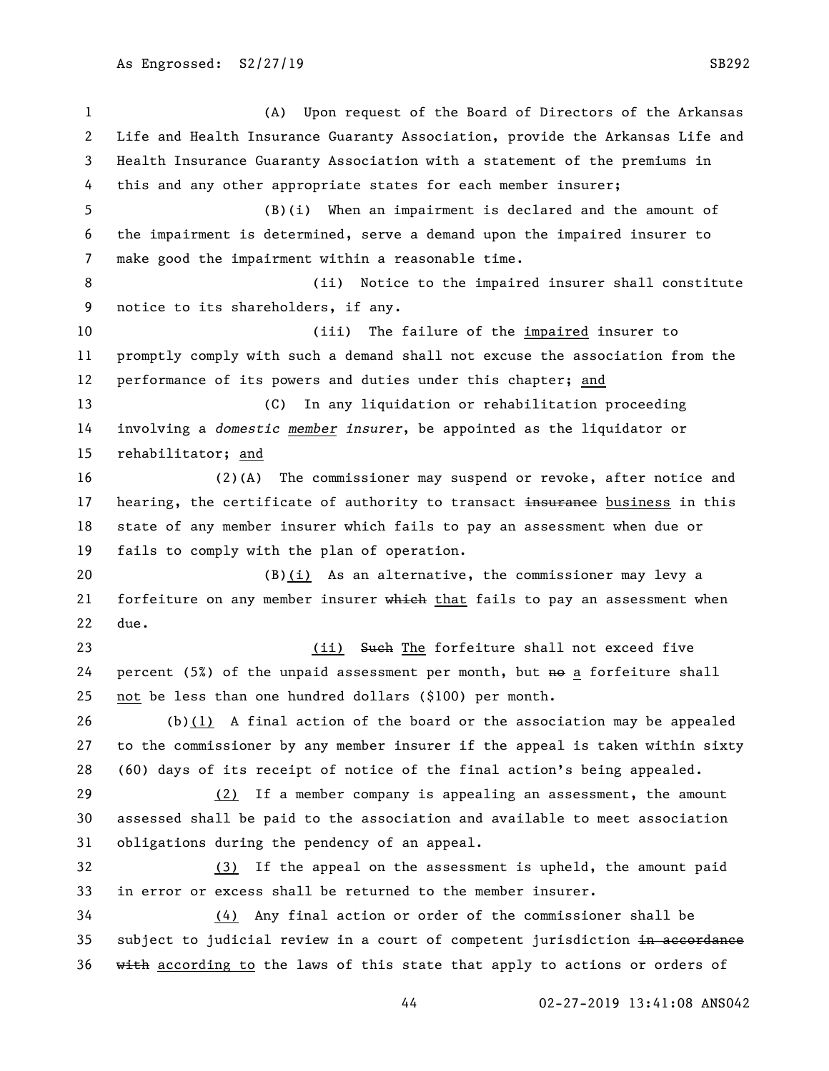(A) Upon request of the Board of Directors of the Arkansas Life and Health Insurance Guaranty Association, provide the Arkansas Life and Health Insurance Guaranty Association with a statement of the premiums in this and any other appropriate states for each member insurer; (B)(i) When an impairment is declared and the amount of the impairment is determined, serve a demand upon the impaired insurer to make good the impairment within a reasonable time. 8 (ii) Notice to the impaired insurer shall constitute notice to its shareholders, if any. (iii) The failure of the impaired insurer to promptly comply with such a demand shall not excuse the association from the performance of its powers and duties under this chapter; and (C) In any liquidation or rehabilitation proceeding involving a *domestic member insurer*, be appointed as the liquidator or rehabilitator; and (2)(A) The commissioner may suspend or revoke, after notice and 17 hearing, the certificate of authority to transact insurance business in this state of any member insurer which fails to pay an assessment when due or fails to comply with the plan of operation. (B)(i) As an alternative, the commissioner may levy a 21 forfeiture on any member insurer which that fails to pay an assessment when due. 23 (ii) Such The forfeiture shall not exceed five 24 percent  $(5%)$  of the unpaid assessment per month, but  $m$  a forfeiture shall not be less than one hundred dollars (\$100) per month. (b)(1) A final action of the board or the association may be appealed to the commissioner by any member insurer if the appeal is taken within sixty (60) days of its receipt of notice of the final action's being appealed. (2) If a member company is appealing an assessment, the amount assessed shall be paid to the association and available to meet association obligations during the pendency of an appeal. (3) If the appeal on the assessment is upheld, the amount paid in error or excess shall be returned to the member insurer. (4) Any final action or order of the commissioner shall be 35 subject to judicial review in a court of competent jurisdiction in accordance 36 with according to the laws of this state that apply to actions or orders of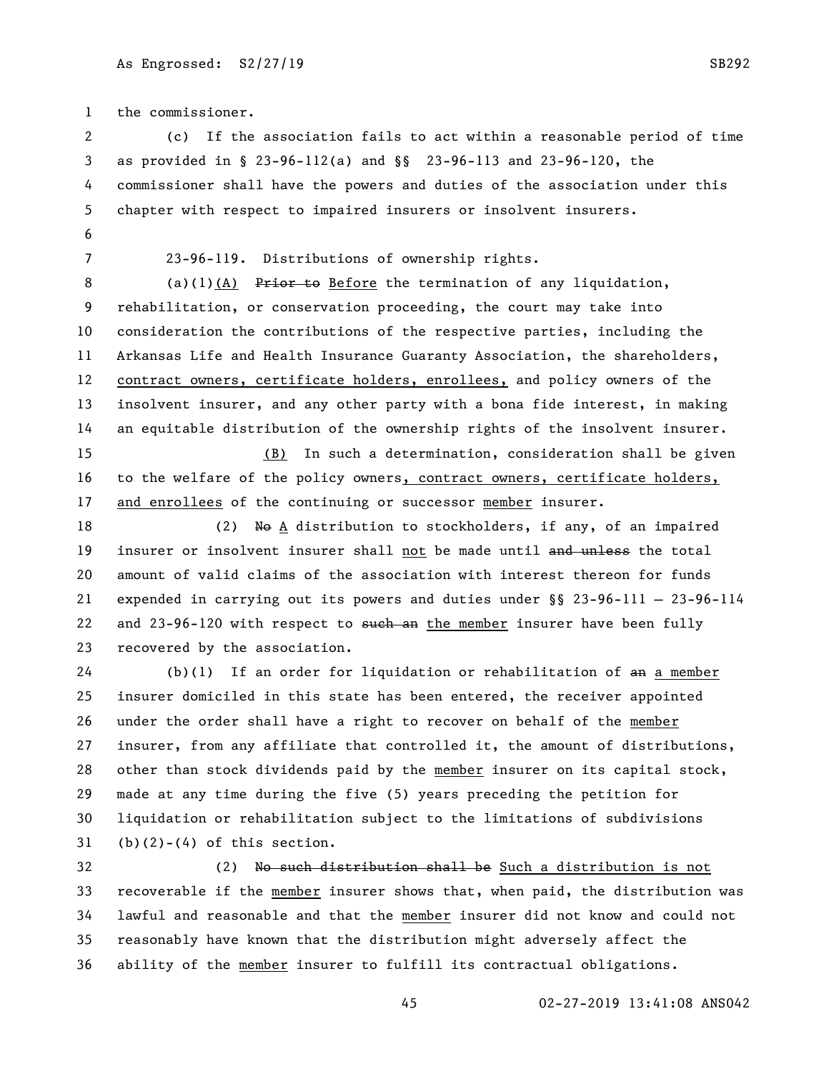the commissioner.

 (c) If the association fails to act within a reasonable period of time as provided in § 23-96-112(a) and §§ 23-96-113 and 23-96-120, the commissioner shall have the powers and duties of the association under this chapter with respect to impaired insurers or insolvent insurers. 

23-96-119. Distributions of ownership rights.

8 (a)(1)(A) Prior to Before the termination of any liquidation, rehabilitation, or conservation proceeding, the court may take into consideration the contributions of the respective parties, including the Arkansas Life and Health Insurance Guaranty Association, the shareholders, contract owners, certificate holders, enrollees, and policy owners of the insolvent insurer, and any other party with a bona fide interest, in making an equitable distribution of the ownership rights of the insolvent insurer.

 (B) In such a determination, consideration shall be given to the welfare of the policy owners, contract owners, certificate holders, and enrollees of the continuing or successor member insurer.

18 (2) No A distribution to stockholders, if any, of an impaired 19 insurer or insolvent insurer shall not be made until and unless the total amount of valid claims of the association with interest thereon for funds expended in carrying out its powers and duties under §§ 23-96-111 — 23-96-114 22 and 23-96-120 with respect to such an the member insurer have been fully recovered by the association.

 (b)(1) If an order for liquidation or rehabilitation of an a member insurer domiciled in this state has been entered, the receiver appointed under the order shall have a right to recover on behalf of the member insurer, from any affiliate that controlled it, the amount of distributions, other than stock dividends paid by the member insurer on its capital stock, made at any time during the five (5) years preceding the petition for liquidation or rehabilitation subject to the limitations of subdivisions (b)(2)-(4) of this section.

32 (2) No such distribution shall be Such a distribution is not recoverable if the member insurer shows that, when paid, the distribution was lawful and reasonable and that the member insurer did not know and could not reasonably have known that the distribution might adversely affect the ability of the member insurer to fulfill its contractual obligations.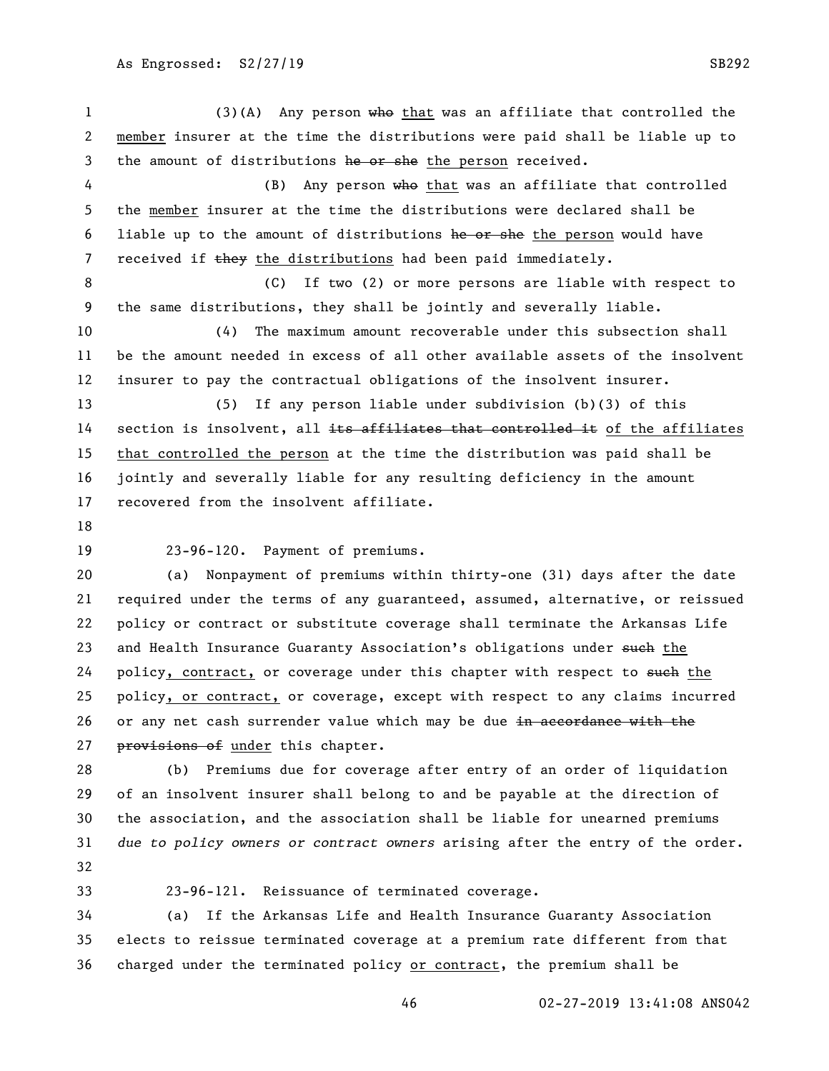(3)(A) Any person who that was an affiliate that controlled the member insurer at the time the distributions were paid shall be liable up to 3 the amount of distributions he or she the person received. 4 (B) Any person who that was an affiliate that controlled the member insurer at the time the distributions were declared shall be 6 liable up to the amount of distributions he or she the person would have 7 received if they the distributions had been paid immediately. (C) If two (2) or more persons are liable with respect to the same distributions, they shall be jointly and severally liable. (4) The maximum amount recoverable under this subsection shall be the amount needed in excess of all other available assets of the insolvent insurer to pay the contractual obligations of the insolvent insurer. (5) If any person liable under subdivision (b)(3) of this 14 section is insolvent, all its affiliates that controlled it of the affiliates that controlled the person at the time the distribution was paid shall be jointly and severally liable for any resulting deficiency in the amount recovered from the insolvent affiliate. 23-96-120. Payment of premiums. (a) Nonpayment of premiums within thirty-one (31) days after the date required under the terms of any guaranteed, assumed, alternative, or reissued policy or contract or substitute coverage shall terminate the Arkansas Life 23 and Health Insurance Guaranty Association's obligations under such the 24 policy, contract, or coverage under this chapter with respect to such the policy, or contract, or coverage, except with respect to any claims incurred 26 or any net cash surrender value which may be due in accordance with the 27 provisions of under this chapter. (b) Premiums due for coverage after entry of an order of liquidation of an insolvent insurer shall belong to and be payable at the direction of the association, and the association shall be liable for unearned premiums *due to policy owners or contract owners* arising after the entry of the order.

- 
- 

23-96-121. Reissuance of terminated coverage.

 (a) If the Arkansas Life and Health Insurance Guaranty Association elects to reissue terminated coverage at a premium rate different from that charged under the terminated policy or contract, the premium shall be